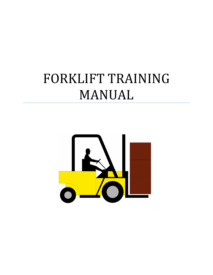# FORKLIFT TRAINING MANUAL

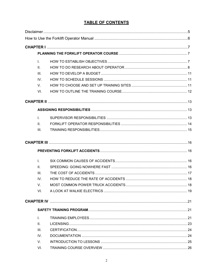# **TABLE OF CONTENTS**

| L.           |  |
|--------------|--|
| ΙΙ.          |  |
| III.         |  |
| IV.          |  |
| V.           |  |
| VI.          |  |
|              |  |
|              |  |
| I.           |  |
| $\Pi$ .      |  |
| III.         |  |
|              |  |
|              |  |
| $\mathbf{L}$ |  |
| ΙΙ.          |  |
| III.         |  |
| IV.          |  |
| V.           |  |
| VI.          |  |
|              |  |
|              |  |
| $\mathsf{L}$ |  |
| $\Pi$ .      |  |
| III.         |  |
| IV.          |  |
| V.           |  |
| VI.          |  |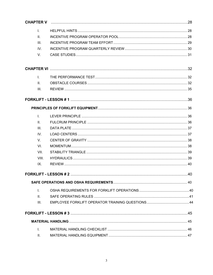| <b>CHAPTER V</b> |  |
|------------------|--|
| $\mathbf{L}$     |  |
| II.              |  |
| III.             |  |
| IV.              |  |
| V.               |  |
|                  |  |
| $\mathsf{L}$     |  |
| II.              |  |
| III.             |  |
|                  |  |
|                  |  |
| $\mathbf{L}$     |  |
| II.              |  |
| III.             |  |
| IV.              |  |
| $V_{\rm c}$      |  |
| VI.              |  |
| VII.             |  |
| VIII.            |  |
| IX.              |  |
|                  |  |
|                  |  |
| $\mathsf{L}$     |  |
| Ш.               |  |
| III.             |  |
|                  |  |
|                  |  |
| I.               |  |
| II.              |  |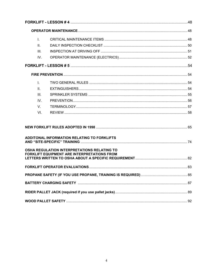| L.          |                                                                                                                                                  |  |
|-------------|--------------------------------------------------------------------------------------------------------------------------------------------------|--|
| $\Pi$ .     |                                                                                                                                                  |  |
| III.        |                                                                                                                                                  |  |
| IV.         |                                                                                                                                                  |  |
|             |                                                                                                                                                  |  |
|             |                                                                                                                                                  |  |
| L.          |                                                                                                                                                  |  |
| $\Pi$ .     |                                                                                                                                                  |  |
| III.        |                                                                                                                                                  |  |
| IV.         |                                                                                                                                                  |  |
| $V_{\rm c}$ |                                                                                                                                                  |  |
| VI.         |                                                                                                                                                  |  |
|             | ADDITONAL INFORMATION RELATING TO FORKLIFTS<br>OSHA REGULATION INTERPRETATIONS RELATING TO<br><b>FORKLIFT EQUIPMENT ARE INTERPRETATIONS FROM</b> |  |
|             |                                                                                                                                                  |  |
|             |                                                                                                                                                  |  |
|             |                                                                                                                                                  |  |
|             |                                                                                                                                                  |  |
|             |                                                                                                                                                  |  |
|             |                                                                                                                                                  |  |
|             |                                                                                                                                                  |  |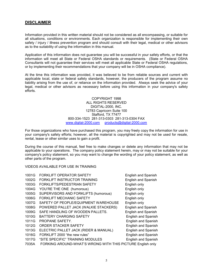# **DISCLAIMER**

Information provided in this written material should not be considered as all encompassing, or suitable for all situations, conditions or environments. Each organization is responsible for implementing their own safety / injury / illness prevention program and should consult with their legal, medical or other advisors as to the suitability of using the information in this manual.

Application of this information does not guarantee you will be successful in your safety efforts, or that the information will meet all State or Federal OSHA standards or requirements. (State or Federal OSHA Consultants will not guarantee their services will meet all applicable State or Federal OSHA regulations, or by implementing their recommendations that your company will be in OSHA compliance).

At the time this information was provided, it was believed to be from reliable sources and current with applicable local, state or federal safety standards, however, the producers of the program assume no liability arising from the use of, or reliance on the information provided. Always seek the advice of your legal, medical or other advisors as necessary before using this information in your company's safety efforts.

> COPYRIGHT 1998 ALL RIGHTS RESERVED DIGITAL-2000, INC. 12783 Capricorn Suite 100 Stafford, TX 77477 800-334-1523 281-313-0303 281-313-0304 FAX www.digital-2000.com products@digital-2000.com

For those organizations who have purchased this program, you may freely copy the information for use in your company's safety efforts; however, all the material is copyrighted and may not be used for resale, rental, lease or other similar uses to gain a profit.

During the course of this manual, feel free to make changes or delete any information that may not be applicable to your operations. The company policy statement herein, may or may not be suitable for your company's policy statement, so you may want to change the wording of your policy statement, as well as other parts of the program.

VIDEOS AVAILABLE FOR USE IN TRAINING

| 1001G | <b>FORKLIFT OPERATOR SAFETY</b>                            | English and Spanish        |
|-------|------------------------------------------------------------|----------------------------|
| 1002G | FORKLIFT INSTRUCTOR TRAINING                               | English and Spanish        |
| 1003G | FORKLIFTS/PEDESTRIAN SAFETY                                | English only               |
| 1004G | YOU'RE THE ONE (humorous)                                  | English only               |
| 1005G | SUPERVISORS AND FORKLIFTS (humorous)                       | English only               |
| 1006G | <b>FORKLIFT MECHANIC SAFETY</b>                            | English only               |
| 1007G | SAFETY OF PEOPLE/EQUIPMENT WAREHOUSE                       | English only               |
| 1008G | POWERED PALLET JACK (WALKIE STACKERS)                      | English and Spanish        |
| 1009G | SAFE HANDLING OF WOODEN PALLETS.                           | <b>English and Spanish</b> |
| 1010G | <b>BATTERY CHARGING SAFETY</b>                             | English and Spanish        |
| 1011G | PROPANE SAFETY.                                            | English and Spanish        |
| 1012G | ORDER STACKER SAFETY                                       | English and Spanish        |
| 1013G | ELECTRIC PALLET JACK (RIDER & MANUAL)                      | English and Spanish        |
| 1016G | FORKLIFT 2000 "the new rules"                              | English and Spanish        |
| 1017G | "SITE SPECIFIC" TRAINING MODULES                           | English and Spanish        |
| 7035A | FORKING AROUND-WHAT'S WRONG WITH THIS PICTURE English only |                            |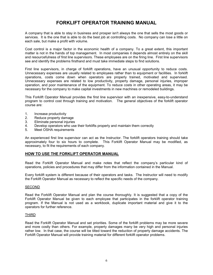# **FORKLIFT OPERATOR TRAINING MANUAL**

A company that is able to stay in business and prosper isn't always the one that sells the most goods or services. It is the one that is able to do the best job at controlling costs. No company can lose a little on each sale, but make a profit with volume.

Cost control is a major factor in the economic health of a company. To a great extent, this important matter is not in the hands of top management. In most companies it depends almost entirely on the skill and resourcefulness of first line supervisors. These employees are on the firing line. First line supervisors see and identify the problems firsthand and must take immediate steps to find solutions.

First line supervisors, in charge of forklift operations, have an unusual opportunity to reduce costs. Unnecessary expenses are usually related to employees rather than to equipment or facilities. In forklift operations, costs come down when operators are properly trained, motivated and supervised. Unnecessary expenses are related to low productivity, property damage, personal injuries, improper operation, and poor maintenance of the equipment. To reduce costs in other operating areas, it may be necessary for the company to make capital investments in new machines or remodeled buildings.

This Forklift Operator Manual provides the first line supervisor with an inexpensive, easy-to-understand program to control cost through training and motivation. The general objectives of the forklift operator course are:

- 1. Increase productivity
- 2. Reduce property damage
- 3. Eliminate personal injuries
- 4. Develop operators who use their forklifts properly and maintain them correctly<br>5. Meet OSHA requirements
- Meet OSHA requirements

An experienced first line supervisor can act as the Instructor. The forklift operators training should take approximately four to six hours to complete. This Forklift Operator Manual may be modified, as necessary, to fit the requirements of each company.

# **HOW TO USE THE FORKLIFT OPERATOR MANUAL**

Read the Forklift Operator Manual and make notes that reflect the company's particular kind of operations, policies and procedures that may differ from the information contained in the Manual.

Every forklift system is different because of their operators and tasks. The Instructor will need to modify the Forklift Operator Manual as necessary to reflect the specific needs of the company.

#### **SECOND**

Read the Forklift Operator Manual and plan the course thoroughly. It is suggested that a copy of the Forklift Operator Manual be given to each employee that participates in the forklift operator training program. If the Manual is not used as a workbook, duplicate important material and give it to the operators for further reference.

#### THIRD

Read the Forklift Operator Manual and set priorities. Some of the forklift problems may be more severe and more costly than others. For example, property damages many be very high and personal injuries rather low. In that case, the course will be tilted toward the reduction of property damage accidents. The Forklift Operator Manual will provide training material for different forklift operator problems.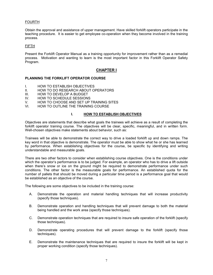# **FOURTH**

Obtain the approval and assistance of upper management. Have skilled forklift operators participate in the teaching procedure. It is easier to get employee co-operation when they become involved in the training process.

#### FIFTH

Present the Forklift Operator Manual as a training opportunity for improvement rather than as a remedial process. Motivation and wanting to learn is the most important factor in this Forklift Operator Safety Program.

# **CHAPTER I**

#### **PLANNING THE FORKLIFT OPERATOR COURSE**

- I. HOW TO ESTABLISH OBJECTIVES
- II. HOW TO DO RESEARCH ABOUT OPERATORS
- III. HOW TO DEVELOP A BUDGET
- IV. HOW TO SCHEDULE SESSIONS
- V. HOW TO CHOOSE AND SET UP TRAINING SITES
- VI. HOW TO OUTLINE THE TRAINING COURSE

#### **I. HOW TO ESTABLISH OBJECTIVES**

Objectives are statements that describe what goals the trainees will achieve as a result of completing the forklift operator training course. The objectives will be clear, specific, meaningful, and in written form. Well-chosen objectives make statements about behavior, such as:

Trainees will be able to demonstrate the correct way to drive a loaded forklift up and down ramps. The key word in that objective is demonstrate. The operator must be able to show what he or she has learned by performance. When establishing objectives for the course, be specific by identifying and writing understandable and measurable goals.

There are two other factors to consider when establishing course objectives. One is the conditions under which the operator's performance is to be judged. For example, an operator who has to drive a lift outside when there's snow or ice on the ground might be required to demonstrate performance under such conditions. The other factor is the measurable goals for performance. An established quota for the number of pallets that should be moved during a particular time period is a performance goal that would be established as an objective of the course.

The following are some objectives to be included in the training course:

- A. Demonstrate the operation and material handling techniques that will increase productivity (specify those techniques).
- B. Demonstrate operation and handling techniques that will prevent damage to both the material being handled and the work area (specify those techniques).
- C. Demonstrate operation techniques that are required to insure safe operation of the forklift (specify those techniques).
- D. Demonstrate operating procedures that will prevent damage to the forklift (specify those techniques).
- E. Demonstrate the maintenance techniques that are required to insure the forklift will be kept in proper working condition (specify those techniques).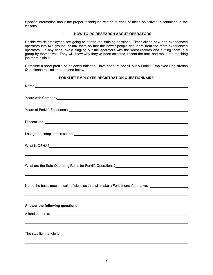Specific information about the proper techniques related to each of these objectives is contained in the lessons.

#### **II. HOW TO DO RESEARCH ABOUT OPERATORS**

Decide which employees are going to attend the training sessions. Either divide new and experienced operators into two groups, or mix them so that the newer people can learn from the more experienced operators. In any case, avoid singling out the operators with the worst records and putting them in a group by themselves. They will know why they've been selected, resent the fact, and make the teaching job more difficult.

Complete a short profile on selected trainees. Have each trainee fill out a Forklift Employee Registration Questionnaire similar to the one below.

#### **FORKLIFT EMPLOYEE REGISTRATION QUESTIONNAIRE**

| Name: Name: Name: Name: Name: Name: Name: Name: Name: Name: Name: Name: Name: Name: Name: Name: Name: Name: Name: Name: Name: Name: Name: Name: Name: Name: Name: Name: Name: Name: Name: Name: Name: Name: Name: Name: Name: |
|-------------------------------------------------------------------------------------------------------------------------------------------------------------------------------------------------------------------------------|
|                                                                                                                                                                                                                               |
|                                                                                                                                                                                                                               |
|                                                                                                                                                                                                                               |
|                                                                                                                                                                                                                               |
| What is OSHA?<br><u> What is OSHA?</u>                                                                                                                                                                                        |
|                                                                                                                                                                                                                               |
|                                                                                                                                                                                                                               |
| Name the basic mechanical deficiencies that will make a Forklift unsafe to drive: _________________                                                                                                                           |
|                                                                                                                                                                                                                               |
| Answer the following questions:                                                                                                                                                                                               |
|                                                                                                                                                                                                                               |
|                                                                                                                                                                                                                               |
|                                                                                                                                                                                                                               |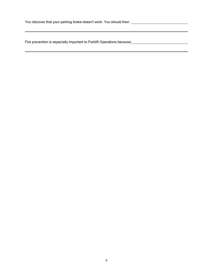You discover that your parking brake doesn't work. You should then:

Fire prevention is especially important to Forklift Operations because: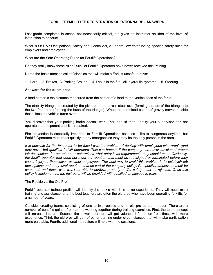## **FORKLIFT EMPLOYEE REGISTRATION QUESTIONNAIRE - ANSWERS**

Last grade completed in school not necessarily critical, but gives an Instructor an idea of the level of instruction to conduct.

What is OSHA? Occupational Safety and Health Act, a Federal law establishing specific safety rules for employers and employees.

What are the Safe Operating Rules for Forklift Operations?

Do they really know these rules? 90% of Forklift Operators have never received this training.

Name the basic mechanical deficiencies that will make a Forklift unsafe to drive:

1. Horn 2. Brakes 3. Parking Brakes 4. Leaks in the fuel, oil, hydraulic systems 5. Steering

#### **Answers for the questions:**

A load center is the distance measured from the center of a load to the vertical face of the forks.

The stability triangle is created by the pivot pin on the rear steer axle (forming the top of the triangle) to the two front tires (forming the base of the triangle). When the combined center of gravity moves outside these lines the vehicle turns over.

You discover that your parking brake doesn't work. You should then: notify your supervisor and not operate the equipment until it is repaired.

Fire prevention is especially important to Forklift Operations because a fire is dangerous anytime, but Forklift Operators must react quickly to any emergencies they may be the only person in the area.

*It is possible for the Instructor to be faced with the problem of dealing with employees who aren't (and may never be) qualified forklift operators. This can happen if the company has never developed proper job descriptions for operators, or determined what entry-level requirements they should meet. Obviously, the forklift operator that does not meet the requirements must be reassigned or terminated before they cause injury to themselves or other employees. The best way to avoid this problem is to establish job descriptions and entry level requirements as part of the company policy. Prospective employees must be screened, and those who won't be able to perform properly and/or safely must be rejected. Once this policy is implemented, the Instructor will be provided with qualified employees to train.* 

The Rookie vs. the Old Pro

Forklift operator trainee profiles will identify the rookie with little or no experience. They will need extra training and assistance, and the best teachers are often the old pros who have been operating forklifts for a number of years.

Consider creating teams consisting of one or two rookies and an old pro as team leader. There are a number of benefits gained from teams working together during training exercises. First, the team concept will increase interest. Second, the newer operators will get valuable information from those with more experience. Third, the old pros will get refresher training under circumstances that will make participation more palatable. Fourth, additional Instructors will help with the sessions.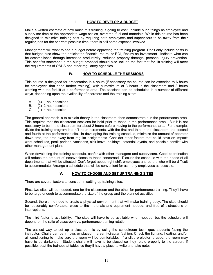# **III. HOW TO DEVELOP A BUDGET**

Make a written estimate of how much this training is going to cost. Include such things as employee and supervisor time at the appropriate wage scales, overtime, fuel and materials. While this course has been designed to minimize training cost by requiring both employees and supervisors to be away from their regular jobs for the shortest possible time, there is still some expense involved.

Management will want to see a budget before approving the training program. Don't only include costs in that budget; also show the anticipated financial return, or ROI, Return on Investment. Indicate what can be accomplished through increased productivity, reduced property damage, personal injury prevention. This benefits statement in the budget proposal should also include the fact that forklift training will meet the requirements of OSHA and other regulatory agencies.

# **IV. HOW TO SCHEDULE THE SESSIONS**

This course is designed for presentation in 4 hours (if necessary the course can be extended to 6 hours for employees that need further training), with a maximum of 3 hours in the classroom and 3 hours working with the forklift at a performance area. The sessions can be scheduled in a number of different ways, depending upon the availability of operators and the training sites:

- A. (4) 1-hour sessions
- B. (2) 2-hour sessions
- C. (1) 4-hour session

The general approach is to explain theory in the classroom, then demonstrate it in the performance area. This requires that the classroom sessions be held prior to those in the performance area. But it is not necessary to be in the classroom for about 2 hours before moving to the performance area. For example, divide the training program into 4/1-hour increments, with the first and third in the classroom, the second and fourth at the performance site. In developing the training schedule, minimize the amount of operator down time, the time away from regular assignments. Consider other factors that could have an impact: work schedules, peak periods, vacations, sick leave, holidays, potential layoffs, and possible conflict with other management plans.

When developing the training schedule, confer with other managers and supervisors. Good coordination will reduce the amount of inconvenience to those concerned. Discuss the schedule with the heads of all departments that will be affected. Don't forget about night shift employees and others who will be difficult to accommodate. Arrange a schedule that will be convenient for as many employees as possible.

# **V. HOW TO CHOOSE AND SET UP TRAINING SITES**

There are several factors to consider in setting up training sites.

First, two sites will be needed, one for the classroom and the other for performance training. They'll have to be large enough to accommodate the size of the group and the planned activities.

Second, there's the need to create a physical environment that will make training easy. The sites should be reasonably comfortable, close to the materials and equipment needed, and free of distractions or interruptions.

The third factor is availability. The sites will have to be available when needed, but the schedule will depend on the ratio of classroom vs. performance training rotation.

The easiest way to set up a classroom is by using the schoolroom technique: students facing the instructor. Chairs can be in rows or placed in a semi-circular fashion. Check the lighting, heating, and/or air conditioning to make sure the room will be comfortable. If a slide projector is used, the room may have to be darkened. Student chairs will have to be placed so they relate properly to the screen. If possible, seat the trainees at tables so they'll have a place to write and take notes.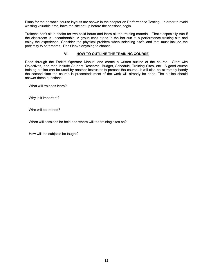Plans for the obstacle course layouts are shown in the chapter on Performance Testing. In order to avoid wasting valuable time, have the site set up before the sessions begin.

Trainees can't sit in chairs for two solid hours and learn all the training material. That's especially true if the classroom is uncomfortable. A group can't stand in the hot sun at a performance training site and enjoy the experience. Consider the physical problem when selecting site's and that must include the proximity to bathrooms. Don't leave anything to chance.

# **VI. HOW TO OUTLINE THE TRAINING COURSE**

Read through the Forklift Operator Manual and create a written outline of the course. Start with Objectives, and then include Student Research, Budget, Schedule, Training Sites, etc. A good course training outline can be used by another Instructor to present the course. It will also be extremely handy the second time the course is presented; most of the work will already be done. The outline should answer these questions:

What will trainees learn?

Why is it important?

Who will be trained?

When will sessions be held and where will the training sites be?

How will the subjects be taught?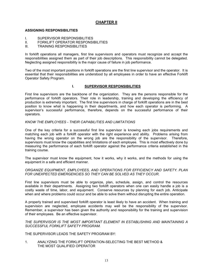# **CHAPTER II**

## **ASSIGNING RESPONSIBILITIES**

- I. SUPERVISOR RESPONSIBILITIES
- II. FORKLIFT OPERATOR RESPONSIBILITIES
- **TRAINING RESPONSIBILITIES**

In forklift operations all managers, first line supervisors and operators must recognize and accept the responsibilities assigned them as part of their job descriptions. This responsibility cannot be delegated. Neglecting assigned responsibility is the major cause of failure in job performance.

Two of the most important positions in forklift operations are the first line supervisor and the operator. It is essential that their responsibilities are understood by all employees in order to have an effective Forklift Operator Safety Program.

#### **I. SUPERVISOR RESPONSIBILITIES**

First line supervisors are the backbone of the organization. They are the persons responsible for the performance of forklift operators. Their role in leadership, training and developing the efficiency of production is extremely important. The first line supervisors in charge of forklift operations are in the best position to know what is happening in their departments, and how each operator is performing. A supervisor's successful performance, therefore, depends on the successful performance of their operators.

# *KNOW THE EMPLOYEES - THEIR CAPABILITIES AND LIMITATIONS*

One of the key criteria for a successful first line supervisor is knowing each jobs requirements and matching each job with a forklift operator with the right experience and ability. Problems arising from having the wrong operator on the wrong job are the responsibility of the supervisor. Therefore, supervisors must know the capabilities and limitations of each employee. This is most effectively done by measuring the performance of each forklift operator against the performance criteria established in the training course.

The supervisor must know the equipment, how it works, why it works, and the methods for using the equipment in a safe and efficient manner.

#### *ORGANIZE EQUIPMENT, EMPLOYEES, AND OPERATIONS FOR EFFICIENCY AND SAFETY. PLAN FOR UNEXPECTED EMERGENCIES SO THEY CAN BE SOLVED AS THEY OCCUR.*

First line supervisors must be able to organize, plan, schedule, assign, and control the resources available in their departments. Assigning two forklift operators when one can easily handle a job is a costly waste of time, labor, and equipment. Conserve resources by planning for each job. Anticipate when and where problems could occur and be able to solve them without disrupting the entire operation.

A properly trained and supervised forklift operator is least likely to have an accident. When training and supervision are neglected, employee accidents may well be the responsibility of the supervisor. Remember, a supervisor has been given the authority and responsibility for the training and supervision of their employees. Be an effective supervisor.

#### *THE SUPERVISOR IS THE MOST IMPORTANT ELEMENT IN ESTABLISHING AND MAINTAINING A SUCCESSFUL FORKLIFT SAFETY PROGRAM.*

THE SUPERVISOR LEADS THE SAFETY PROGRAM BY:

1. ANALYZING THE FORKLIFT OPERATION-SELECTING THE BEST METHOD & THE MOST QUALIFIED OPERATOR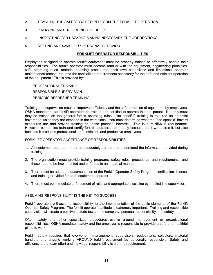- 2. TEACHING THE SAFEST WAY TO PERFORM THE FORKLIFT OPERATION
- 3. KNOWING AND ENFORCING THE RULES
- 4. INSPECTING FOR HAZARDS-MAKING NECESSARY THE CORRECTIONS
- 5. SETTING AN EXAMPLE BY PERSONAL BEHAVIOR

#### **II. FORKLIFT OPERATOR RESPONSIBILITIES**

Employees assigned to operate forklift equipment must be properly trained to effectively handle their responsibilities. The forklift operator must become familiar with the equipment, engineering principles, safe operating rules, material handling procedures, their own capabilities and limitations, operator maintenance procedures, and the specialized requirements necessary for the safe and efficient operation of the equipment. This is provided by:

 PROFESSIONAL TRAINING RESPONSIBLE SUPERVISION PERIODIC REFRESHER TRAINING

Training and supervision result in improved efficiency and the safe operation of equipment by employees. OSHA-mandates that forklift operators be trained and certified to operate this equipment. Not only must they be trained on the general forklift operating rules, "site specific" training is required on potential hazards to which they are exposed in the workplace. You must determine what the "site specific" hazard exposures are and provide training on those potential hazards. This is a MINIMUM requirement. However, companies train and certify forklift operators, not merely because the law requires it, but also because it produces professional, safe, efficient, and productive employees.

#### FORKLIFT OPERATOR ACCEPTANCE OF RESPONSIBILITIES

- 1. All equipment operators must be adequately trained and understand the information provided during training.
- 2. The organization must provide training programs, safety rules, procedures, and requirements, and these need to be implemented and enforced in an impartial manner.
- 3. There must be adequate documentation of the Forklift Operator Safety Program, certification, license, and training provided for each equipment operator.
- 4. There must be immediate enforcement of rules and appropriate discipline by the first line supervisor.

# ASSUMING RESPONSIBILITY IS THE KEY TO SUCCESS

Forklift operators will assume responsibility for the implementation of the basic elements of the Forklift Operator Safety Program. The forklift operator's attitude is extremely important. Training and responsible supervision will create a positive attitude toward the company, personal responsibility, and safety.

Often, safety and other specialized procedures evolve around management or organizational responsibilities. OSHA mandates safety and the employer is responsible to provide a safe and healthful place to work.

Forklift safety requires that everyone - management, supervisors, pedestrians, selectors, material handlers and anyone working AROUND forklift equipment be personally responsible. Safety and efficiency are a team effort and individual responsibility is a prime requirement.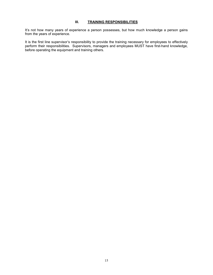# **III. TRAINING RESPONSIBILITIES**

It's not how many years of experience a person possesses, but how much knowledge a person gains from the years of experience.

It is the first line supervisor's responsibility to provide the training necessary for employees to effectively perform their responsibilities. Supervisors, managers and employees MUST have first-hand knowledge, before operating the equipment and training others.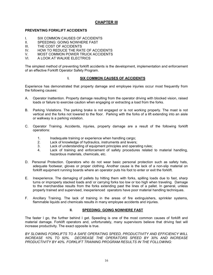# **CHAPTER III**

# **PREVENTING FORKLIFT ACCIDENTS**

- I. SIX COMMON CAUSES OF ACCIDENTS
- II. SPEEDING: GOING NOWHERE FAST<br>III. THE COST OF ACCIDENTS
- THE COST OF ACCIDENTS
- IV. HOW TO REDUCE THE RATE OF ACCIDENTS
- V. MOST COMMON POWER TRUCK ACCIDENTS<br>VI. A LOOK AT WALKIE ELECTRICS
- A LOOK AT WALKIE ELECTRICS

The simplest method of preventing forklift accidents is the development, implementation and enforcement of an effective Forklift Operator Safety Program.

# **I. SIX COMMON CAUSES OF ACCIDENTS**

Experience has demonstrated that property damage and employee injuries occur most frequently from the following causes:

- A. Operator Inattention. Property damage resulting from the operator driving with blocked vision, raised loads or failure to exercise caution when engaging or extracting a load from the forks.
- B. Parking Violations. The parking brake is not engaged or is not working properly. The mast is not vertical and the forks not lowered to the floor. Parking with the forks of a lift extending into an aisle or walkway is a parking violation.
- C. Operator Training. Accidents, injuries, property damage are a result of the following forklift operations:
	- 1. Inadequate training or experience when handling cargo;
	- 2. Lack of knowledge of hydraulics, instruments and levers;
	- 3. Lack of understanding of equipment principles and operating rules;
	- 4. Lack of training and enforcement of safety procedures related to material handling, hazardous materials, chemicals, etc.
- D. Personal Protection. Operators who do not wear basic personal protection such as safety hats, adequate footwear, gloves or proper clothing. Another cause is the lack of a non-slip material on forklift equipment running boards where an operator puts his foot to enter or exit the forklift.
- E. Inexperience. The damaging of pallets by hitting them with forks, spilling loads due to fast, sharp turns or improperly stacked loads and/ or carrying forks too low or too high when traveling. Damage to the merchandise results from the forks extending past the lines of a pallet. In general, unless properly trained and supervised, inexperienced operators have poor material handling techniques.
- F. Ancillary Training. The lack of training in the areas of fire extinguishers, sprinkler systems, flammable liquids and chemicals results in many employee accidents and injuries.

# **II. SPEEDING: GOING NOWHERE FAST**

The faster I go, the further behind I get. Speeding is one of the most common causes of forklift and material damage. Forklift operators and, unfortunately, many supervisors believe that driving fast will increase productivity. The exact opposite is true.

*BY SLOWING FORKLIFTS TO A SAFE OPERATING SPEED, PRODUCTIVITY AND EFFICIENCY WILL INCREASE 10% TO 50%. DECREASE THE OPERATORS SPEED BY 30% AND INCREASE PRODUCTIVITY BY 40%. FORKLIFT TRAINING PROGRAM RESULTS IN THE FOLLOWING:*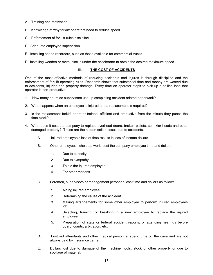- A. Training and motivation.
- B. Knowledge of why forklift operators need to reduce speed.
- C. Enforcement of forklift rules discipline.
- D. Adequate employee supervision.
- E. Installing speed recorders, such as those available for commercial trucks.
- F. Installing wooden or metal blocks under the accelerator to obtain the desired maximum speed.

# **III. THE COST OF ACCIDENTS**

One of the most effective methods of reducing accidents and injures is through discipline and the enforcement of forklift operating rules. Research shows that substantial time and money are wasted due to accidents, injuries and property damage. Every time an operator stops to pick up a spilled load that operator is non-productive.

- 1. How many hours do supervisors use up completing accident related paperwork?
- 2. What happens when an employee is injured and a replacement is required?
- 3. Is the replacement forklift operator trained, efficient and productive from the minute they punch the time clock?
- 4. What does it cost the company to replace overhead doors, broken pallets, sprinkler heads and other damaged property? These are the hidden dollar losses due to accidents.
	- A. Injured employee's loss of time results in loss of income dollars.
	- B. Other employees, who stop work, cost the company employee time and dollars.
		- 1. Due to curiosity
		- 2. Due to sympathy
		- 3. To aid the injured employee
		- 4. For other reasons
	- C. Foremen, supervisors or management personnel cost time and dollars as follows:
		- 1. Aiding injured employee
		- 2. Determining the cause of the accident
		- 3. Making arrangements for some other employee to perform injured employees job.
		- 4. Selecting, training, or breaking in a new employee to replace the injured employee.
		- 5. Preparation of state or federal accident reports, or attending hearings before board, courts, arbitration, etc.
	- D. First aid attendants and other medical personnel spend time on the case and are not always paid by insurance carrier.
	- E. Dollars lost due to damage of the machine, tools, stock or other property or due to spoilage of material.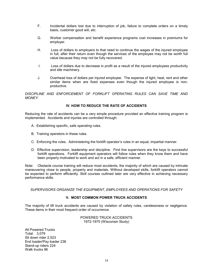- F. Incidental dollars lost due to interruption of job, failure to complete orders on a timely basis, customer good will, etc.
- G. Worker compensation and benefit experience programs cost increases in premiums for employer.
- H. Loss of dollars to employers to that need to continue the wages of the injured employee in full, after their return even though the services of the employee may not be worth full value because they may not be fully recovered.
- I. Loss of dollars due to decrease in profit as a result of the injured employees productivity and idle machinery.
- J. Overhead loss of dollars per injured employee. The expense of light, heat, rent and other similar items when are fixed expenses even though the injured employee is nonproductive.

DISCIPLINE AND ENFORCEMENT OF FORKLIFT OPERATING RULES CAN SAVE TIME AND *MONEY.* 

# **IV. HOW TO REDUCE THE RATE OF ACCIDENTS**

Reducing the rate of accidents can be a very simple procedure provided an effective training program is implemented. Accidents and injuries are controlled through:

- A. Establishing specific, safe operating rules.
- B. Training operators in these rules.
- C. Enforcing the rules. Administering the forklift operator's rules in an equal, impartial manner.
- D. Effective supervision, leadership and discipline. First line supervisors are the keys to successful forklift operations. Forklift equipment operators will follow rules when they know them and have been properly motivated to work and act in a safe, efficient manner.

Note: Obstacle course training will reduce most accidents, the majority of which are caused by intricate maneuvering close to people, property and materials. Without developed skills, forklift operators cannot be expected to perform efficiently. Skill courses outlined later are very effective in achieving necessary performance skills.

*SUPERVISORS ORGANIZE THE EQUIPMENT, EMPLOYEES AND OPERATIONS FOR SAFETY* 

# **V. MOST COMMON POWER TRUCK ACCIDENTS**

The majority of lift truck accidents are caused by violation of safety rules, carelessness or negligence. These items in their most frequent order of occurrence.

> POWERED TRUCK ACCIDENTS 1972-1975 (Wisconsin Study)

All Powered Trucks Total: 3,079 Sit down rider 2,523 End loader/Pay loader 236 Stand-up riders 224 Walk trucks 96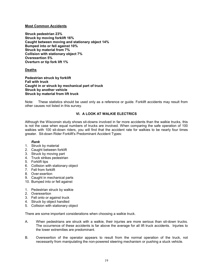# **Most Common Accidents**

**Struck pedestrian 23% Struck by moving forklift 16% Caught between moving and stationary object 14% Bumped into or fell against 10% Struck by material from 7% Collision with stationary object 7% Overexertion 5% Overturn or tip fork lift 1%** 

# **Deaths**

**Pedestrian struck by forklift Fall with truck Caught in or struck by mechanical part of truck Struck by another vehicle Struck by material from lift truck** 

Note: These statistics should be used only as a reference or guide. Forklift accidents may result from other causes not listed in this survey.

# **VI. A LOOK AT WALKIE ELECTRICS**

Although the Wisconsin study shows sit-downs involved in far more accidents than the walkie trucks, this is not the case when equal numbers of trucks are involved. When comparing the safe operation of 100 walkies with 100 sit-down riders, you will find that the accident rate for walkies to be nearly four times greater. Sit-down Rider Forklift's Predominant Accident Types:

#### *Rank*

- 1. Struck by material
- 2. Caught between forklift
- 3. Struck by moving part
- 4. Truck strikes pedestrian
- 5. Forklift tips
- 6. Collision with stationary object
- 7. Fell from forklift
- 8. Over-exertion
- 9. Caught in mechanical parts
- 10. Bumped into or fell against
- 1. Pedestrian struck by walkie
- 2. Overexertion
- 3. Fell onto or against truck
- 4. Struck by object handled
- 5. Collision with stationary object

There are some important considerations when choosing a walkie truck.

- A. When pedestrians are struck with a walkie, their injuries are more serious than sit-down trucks. The occurrence of these accidents is far above the average for all lift truck accidents. Injuries to the lower extremities are predominant.
- B. Overexertion of the operator appears to result from the normal operation of the truck, not necessarily from manipulating the non-powered steering mechanism or pushing a stuck vehicle.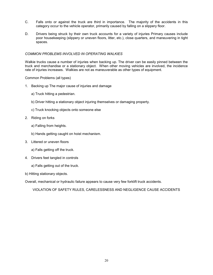- C. Falls onto or against the truck are third in importance. The majority of the accidents in this category occur to the vehicle operator, primarily caused by falling on a slippery floor.
- D. Drivers being struck by their own truck accounts for a variety of injuries Primary causes include poor housekeeping (slippery or uneven floors, litter, etc.), close quarters, and maneuvering in tight spaces.

#### *COMMON PROBLEMS INVOLVED IN OPERATING WALKIES*

Walkie trucks cause a number of injuries when backing up. The driver can be easily pinned between the truck and merchandise or a stationary object. When other moving vehicles are involved, the incidence rate of injuries increases. Walkies are not as maneuverable as other types of equipment.

Common Problems (all types)

- 1. Backing up The major cause of injuries and damage
	- a) Truck hitting a pedestrian.
	- b) Driver hitting a stationary object injuring themselves or damaging property.
	- c) Truck knocking objects onto someone else
- 2. Riding on forks
	- a) Falling from heights.
	- b) Hands getting caught on hoist mechanism.
- 3. Littered or uneven floors
	- a) Falls getting off the truck.
- 4. Drivers feet tangled in controls
	- a) Falls getting out of the truck.
- b) Hitting stationary objects.

Overall, mechanical or hydraulic failure appears to cause very few forklift truck accidents.

VIOLATION OF SAFETY RULES, CARELESSNESS AND NEGLIGENCE CAUSE ACCIDENTS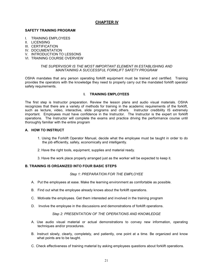# **CHAPTER IV**

# **SAFETY TRAINING PROGRAM**

- I. TRAINING EMPLOYEES
- II. LICENSING
- III. CERTIFICATION
- IV. DOCUMENTATION
- V. INTRODUCTION TO LESSONS
- VI. TRAINING COURSE OVERVIEW

#### *THE SUPERVISOR IS THE MOST IMPORTANT ELEMENT IN ESTABLISHING AND MAINTAINING A SUCCESSFUL FORKLIFT SAFETY PROGRAM*

OSHA mandates that any person operating forklift equipment must be trained and certified. Training provides the operators with the knowledge they need to properly carry out the mandated forklift operator safety requirements.

# **I. TRAINING EMPLOYEES**

The first step is Instructor preparation. Review the lesson plans and audio visual materials. OSHA recognizes that there are a variety of methods for training in the academic requirements of the forklift, such as lecture, video, interactive, slide programs and others. Instructor credibility IS extremely important. Employees must have confidence in the Instructor. The Instructor is the expert on forklift operations. The Instructor will complete the exams and practice driving the performance course until thoroughly familiar with the entire program

## **A. HOW TO INSTRUCT**

- 1. Using the Forklift Operator Manual, decide what the employee must be taught in order to do the job efficiently, safely, economically and intelligently.
- 2. Have the right tools, equipment, supplies and material ready.
- 3. Have the work place properly arranged just as the worker will be expected to keep it.

# **B. TRAINING IS ORGANIZED INTO FOUR BASIC STEPS**

#### *Step 1: PREPARATION FOR THE EMPLOYEE*

- A. Put the employees at ease. Make the learning environment as comfortable as possible.
- B. Find out what the employee already knows about the forklift operations.
- C. Motivate the employees. Get them interested and involved in the training program
- D. Involve the employee in the discussions and demonstrations of forklift operations.

## **Step 2: PRESENTATION OF THE OPERATIONS AND KNOWLEDGE**

- A. Use audio visual material or actual demonstrations to convey new information, operating techniques and/or procedures.
- B. Instruct slowly, clearly, completely, and patiently, one point at a time. Be organized and know what points are to be taught.
- C. Check effectiveness of training material by asking employees questions about forklift operations.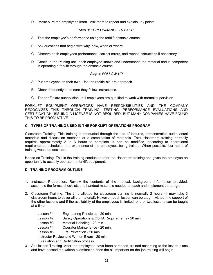D. Make sure the employees learn. Ask them to repeat and explain key points.

# *Step 3: PERFORMANCE TRY-OUT*

- A. Test the employee's performance using the forklift obstacle course.
- B. Ask questions that begin with why, how, when or where.
- C. Observe each employees performance, correct errors, and repeat instructions if necessary.
- D. Continue the training until each employee knows and understands the material and is competent in operating a forklift through the obstacle course.

# *Step 4: FOLLOW-UP*

- A. Put employees on their own. Use the rookie-old pro approach.
- B. Check frequently to be sure they follow instructions.
- C. Taper off extra supervision until employees are qualified to work with normal supervision.

FORKLIFT EQUIPMENT OPERATORS HAVE RESPONSIBILITIES AND THE COMPANY RECOGNIZES THIS THROUGH TRAINING, TESTING, PERFORMANCE EVALUATIONS AND CERTIFICATION. ISSUING A LICENSE IS NOT REQUIRED; BUT MANY COMPANIES HAVE FOUND THIS TO BE PRODUCTIVE.

# **C. TYPES OF TRAINING USED IN THE FORKLIFT OPERATIONS PROGRAM**

Classroom Training. This training is conducted through the use of lectures, demonstration audio visual materials and discussion methods or a combination of materials. Total classroom training normally requires approximately 2 to 3 hours to complete. It can be modified, according to operational requirements, schedules and experience of the employees being trained. When possible, four hours of training would be desirable.

Hands-on Training. This is the training conducted after the classroom training and gives the employee an opportunity to actually operate the forklift equipment.

#### **D. TRAINING PROGRAM OUTLINE**

- 1. Instructor Preparation. Review the contents of the manual, background information provided, assemble the forms, checklists and handout materials needed to teach and implement the program.
- 2. Classroom Training. The time allotted for classroom training is normally 2 hours (it may take 3 classroom hours to cover all the material). However, each lesson can be taught without the support of the other lessons and if the availability of the employees is limited, one or two lessons can be taught at a time.
	- Lesson #1 Engineering Principles 20 min. Lesson #2 Safety Operations & OSHA Requirements - 20 min. Lesson #3 Material Handling - 20 min. Lesson #4 Operator Maintenance - 20 min. Lesson #5 Fire Prevention - 20 min. Instructor Review and Written Exam - 20 min. Evaluation and Certification process
- 3. Application Training. After the employees have been screened, trained according to the lesson plans and have passed the written examination, then the all-important on-the-job training will begin.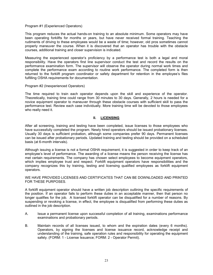#### Program #1 (Experienced Operators)

This program reduces the actual hands-on training to an absolute minimum. Some operators may have been operating forklifts for months or years, but have never received formal training. Teaching the rudiments of driving to these employees would be a waste of time; however, old pros sometimes cannot properly maneuver the course. When it is discovered that an operator has trouble with the obstacle courses, additional training and closer supervision is indicated.

Measuring the experienced operator's proficiency by a performance test is both a legal and moral responsibility. Have the operators first line supervisor conduct the test and record the results on the performance examination form. The supervisor will observe the operator during normal work times and complete the performance exam according to routine work performance. The completed form is then returned to the forklift program coordinator or safety department for retention in the employee's files fulfilling OSHA requirements for documentation.

#### Program #2 (Inexperienced Operators)

The time required to train each operator depends upon the skill and experience of the operator. Theoretically, training time could range from 30 minutes to 30 days. Generally, 2 hours is needed for a novice equipment operator to maneuver through these obstacle courses with sufficient skill to pass the performance test. Review each case individually. More training time will be devoted to those employees who really need it.

#### **II. LICENSING**

After all screening, training and testing have been completed, issue licenses to those employees who have successfully completed the program. Newly hired operators should be issued probationary licenses. Usually 30 days is sufficient probation, although some companies prefer 90 days. Permanent licenses can be issued after probationary periods. Updated training and testing should be provided on a scheduled basis (at 6-month intervals).

Although issuing a license is not a formal OSHA requirement, it is suggested in order to keep track of an employee's level of performance. The awarding of a license means the person receiving the license has met certain requirements. The company has chosen select employees to become equipment operators, which implies employee trust and respect. Forklift equipment operators have responsibilities and the company recognizes this by training, testing and licensing qualified employees as forklift equipment operators.

#### WE HAVE PROVIDED LICENSES AND CERTIFICATES THAT CAN BE DOWNLOADED AND PRINTED FOR THESE PURPOSES.

A forklift equipment operator should have a written job description outlining the specific requirements of the position. If an operator fails to perform these duties in an acceptable manner, then that person no longer qualifies for the job. A licensed forklift operator can be disqualified for a number of reasons. By suspending or revoking a license, in effect, the employee is disqualified from performing these duties as outlined in the job description.

- A. Issue a permanent license upon successful completion of all training, examinations performance examinations and probationary periods.
- B. Maintain records of all licenses issued, to whom and the expiration dates (every 6 months). Operators, by signing the licenses and license issuance record, acknowledge receipt and understanding of the training, safe operation rules and responsibility for operating the equipment safely. (FORM: 1 - License Issuance; FORM: 2 - Operator Permit).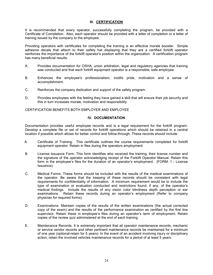# **III. CERTIFICATION**

It is recommended that every operator, successfully completing the program, be provided with a Certificate of Completion. Also, each operator should be provided with a letter of completion or a letter of training issued by the company to the employee.

Providing operators with certificates for completing the training is an effective morale booster. Simple adhesive decals that attach to their safety hat displaying that they are a certified forklift operator reinforces the importance of the forklift operator's position within the organization. A certification program has many beneficial results.

- A. Provides documentation for OSHA, union arbitration, legal and regulatory agencies that training was conducted and that each forklift equipment operator is a responsible, safe employee.
- B. Enhances the employee's professionalism, instills pride, motivation and a sense of accomplishment.
- C. Reinforces the company dedication and support of the safety program.
- D. Provides employees with the feeling they have gained a skill that will ensure their job security and this in turn increases morale, motivation and responsibility.

CERTIFICATION BENEFITS BOTH EMPLOYER AND EMPLOYEE

# **IV. DOCUMENTATION**

Documentation provides useful employee records and is a legal requirement for the forklift program. Develop a complete file or set of records for forklift operations which should be retained in a central location if possible which allows for better control and follow-through. These records should include:

- A. Certificate of Training. This certificate outlines the course requirements completed for forklift equipment operator. Retain in files during the operators employment.
- B. License Issuance Form. This form identifies who received the training, their license number and the signature of the operator acknowledging receipt of the Forklift Operator Manual. Retain this form in the employee's files for the duration of an operator's employment. (FORM: 1 - License Issuance).
- C. Medical Forms. These forms should be included with the results of the medical examinations of the operator. Be aware that the keeping of these records should be consistent with legal requirements for confidentiality of information. A minimum requirement would be to include the type of examination or evaluation conducted and restrictions found, if any, of the operator's medical findings. Include the results of any vision color blindness depth perception or ear examinations. Retain these records during an operator's employment (Refer to company physician for required forms).
- D. Examinations. Maintain copies of the results of the written examinations (the actual corrected copy of the exam) and the results of the performance examination as certified by the first line supervisor. Retain these in employee's files during an operator's term of employment. Retain copies of the review quiz administered at the end of each training.
- E. Maintenance Records. It is extremely important that all operator maintenance records, mechanic or service vendor records and other pertinent maintenance records be maintained for a minimum of one year (optional-retain for 5 years). In the event of an accident involving injury or disciplinary action, retain the involved vehicles maintenance records for a period of at least 5 years.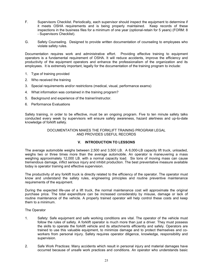- F. Supervisors Checklist. Periodically, each supervisor should inspect the equipment to determine if it meets OSHA requirements and is being properly maintained. Keep records of these inspections in the business files for a minimum of one year (optional-retain for 5 years) (FORM: 8 - Supervisors Checklist).
- G. Safety Counseling. Designed to provide written documentation of counseling to employees who violate safety rules.

Documentation requires work and administrative effort. Providing effective training to equipment operators is a fundamental requirement of OSHA. It will reduce accidents, improve the efficiency and productivity of the equipment operators and enhance the professionalism of the organization and its employees. It is extremely important, legally for the documentation of the training program to include:

- 1. Type of training provided
- 2. Who received the training
- 3. Special requirements and/or restrictions (medical, visual, performance exams)
- 4. What information was contained in the training program?
- 5. Background and experience of the trainer/instructor.
- 6. Performance Evaluations

Safety training, in order to be effective, must be an ongoing program. Five to ten minute safety talks conducted every week by supervisors will ensure safety awareness, hazard alertness and up-to-date knowledge of forklift safety.

> DOCUMENTATION MAKES THE FORKLIFT TRAINING PROGRAM LEGAL AND PROVIDES USEFUL RECORDS

# **V. INTRODUCTION TO LESSONS**

The average automobile weighs between 2,500 and 3,500 LB. A 6,000-LB capacity lift truck, unloaded, weighs two or three times more than the average automobile. An operator is maneuvering a mass weighing approximately 12,000 LB. with a normal capacity load. Six tons of moving mass can cause tremendous damage, inflict serious injury and inhibit production. The best preventative measure available today is operator training and effective supervision.

The productivity of any forklift truck is directly related to the efficiency of the operator. The operator must know and understand the safety rules, engineering principles and routine preventive maintenance requirements of the equipment.

During the expected life-use of a lift truck, the normal maintenance cost will approximate the original purchase price. The total expenditure can be increased considerably by misuse, damage or lack of routine maintenance of the vehicle. A properly trained operator will help control these costs and keep them to a minimum.

#### The Operator

- 1. Safety: Safe equipment and safe working conditions are vital. The operator of the vehicle must follow the rules of safety. A forklift operator is much more than just a driver. They must possess the skills to operate the forklift vehicle and its attachments efficiently and safely. Operators are trained to use this valuable equipment, to minimize damage and to protect themselves and coworkers from personal injury. Safety requires operator diligence, knowledge, responsibility and supervision.
- 2. Safe Work Practices: Many accidents which result in personal injury and material damages have occurred because of unsafe work practices and conditions. An operator who understands basic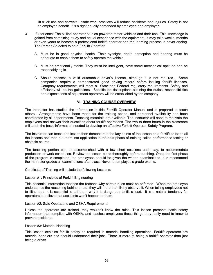lift truck use and corrects unsafe work practices will reduce accidents and injuries. Safety is not an employee benefit, it is a right equally demanded by employee and employer.

- 3. Experience: The skilled operator studies powered motor vehicles and their use. This knowledge is gained from combining study and actual experience with the equipment. It may take weeks, months or even years to become a professional forklift operator and the learning process is never-ending. The Person Selected to be a Forklift Operator:
	- A. Must be in good physical health. Their eyesight, depth perception and hearing must be adequate to enable them to safely operate the vehicle.
	- B. Must be emotionally stable. They must be intelligent, have some mechanical aptitude and be reasonably agile.
	- C. Should possess a valid automobile driver's license, although it is not required. Some companies require a demonstrated good driving record before issuing forklift licenses. Company requirements will meet all State and Federal regulatory requirements. Safety and efficiency will be the guidelines. Specific job descriptions outlining the duties, responsibilities and expectations of equipment operators will be established by the company.

#### **VI. TRAINING COURSE OVERVIEW**

The Instructor has studied the information in this Forklift Operator Manual and is prepared to teach others. Arrangements have been made for the training space, and personnel availability has been coordinated by all departments. Teaching materials are available. The Instructor will need to motivate the employees and answer their questions about forklift operations. The two to three hours in the classroom will teach the basic information needed to develop an effective Forklift Operator Safety Program.

The Instructor can teach one lesson then demonstrate the key points of the lesson on a forklift or teach all the lessons and then put them into application in the next phase of training called performance testing or obstacle course.

The teaching portion can be accomplished with a few short sessions each day, to accommodate production or work schedules. Review the lesson plans thoroughly before teaching. Once the first phase of the program is completed, the employees should be given the written examinations. It is recommend the Instructor grades all examinations after class. Never let employee's grade exams.

Certificate of Training will include the following Lessons:

#### Lesson #1: Principles of Forklift Engineering

This essential information teaches the reasons why certain rules must be enforced. When the employee understands the reasoning behind a rule, they will more than likely observe it. When telling employees not to tilt a load, it is essential to tell them why it is dangerous to tilt a load. It is a natural tendency for operators to believe that accidents won't happen to them.

#### Lesson #2: Safe Operations and OSHA Requirements

Unless the operators are trained, they wouldn't know the rules. This lesson presents basic safety information that complies with OSHA, and teaches employees those things they really need to know to prevent accidents.

#### Lesson #3: Material Handling

This lesson explains forklift safety as required in material handling operations. Forklift operators are material handlers and should understand their jobs. There is more to being a forklift operator than just being a driver.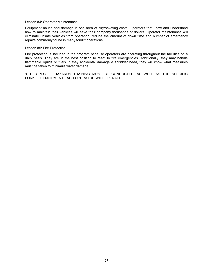#### Lesson #4: Operator Maintenance

Equipment abuse and damage is one area of skyrocketing costs. Operators that know and understand how to maintain their vehicles will save their company thousands of dollars. Operator maintenance will eliminate unsafe vehicles from operation, reduce the amount of down time and number of emergency repairs commonly found in many forklift operations.

#### Lesson #5: Fire Protection

Fire protection is included in the program because operators are operating throughout the facilities on a daily basis. They are in the best position to react to fire emergencies. Additionally, they may handle flammable liquids or fuels. If they accidental damage a sprinkler head, they will know what measures must be taken to minimize water damage.

"SITE SPECIFIC HAZARDS TRAINING MUST BE CONDUCTED, AS WELL AS THE SPECIFIC FORKLIFT EQUIPMENT EACH OPERATOR WILL OPERATE.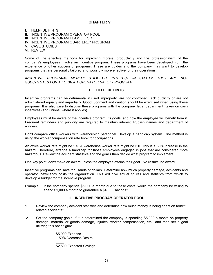# **CHAPTER V**

I. HELPFUL HINTS

- II. INCENTIVE PROGRAM OPERATOR POOL
- III. INCENTIVE PROGRAM TEAM EFFORT
- IV. INCENTIVE PROGRAM QUARTERLY PROGRAM
- V. CASE STUDIES
- VI. REVIEW

Some of the effective methods for improving morale, productivity and the professionalism of the company's employees involve an incentive program. These programs have been developed from the experience of other successful programs. These are guides and the company may want to develop programs that are personally tailored and, possibly more effective for their operations.

#### *INCENTIVE PROGRAMS MERELY STIMULATE INTEREST IN SAFETY. THEY ARE NOT SUBSTITUTES FOR A FORKLIFT OPERATOR SAFETY PROGRAM*

# **I. HELPFUL HINTS**

Incentive programs can be detrimental if used improperly, are not controlled, lack publicity or are not administered equally and impartially. Good judgment and caution should be exercised when using these programs. It is also wise to discuss these programs with the company legal department (taxes on cash incentives) and unions (where it applies).

Employees must be aware of the incentive program, its goals, and how the employee will benefit from it. Frequent reminders and publicity are required to maintain interest. Publish names and department of winners.

Don't compare office workers with warehousing personnel. Develop a handicap system. One method is using the worker compensation rate book for occupations.

An office worker rate might be 2.5. A warehouse worker rate might be 5.0. This is a 50% increase in the hazard. Therefore, arrange a handicap for those employees engaged in jobs that are considered more hazardous. Review the accident statistics and the goal's then decide what program to implement.

One key point, don't make an award unless the employee attains their goal. No results, no award.

Incentive programs can save thousands of dollars. Determine how much property damage, accidents and operator inefficiency costs the organization. This will give actual figures and statistics from which to develop a budget for the incentive program.

Example: If the company spends \$5,000 a month due to these costs, would the company be willing to spend \$1,000 a month to guarantee a \$4,000 savings?

#### **II. INCENTIVE PROGRAM OPERATOR POOL**

- 1. Review the company accident statistics and determine how much money is being spent on forklift related accidents?
- 2. Set the company goals. If it is determined the company is spending \$5,000 a month on property damage, material or goods damage, injuries, worker compensation, etc., and then set a goal utilizing this base figure.

 \$5,000 Expense 50% Decrease Desire

 $\mathcal{L}=\mathcal{L}=\mathcal{L}=\mathcal{L}=\mathcal{L}=\mathcal{L}=\mathcal{L}=\mathcal{L}=\mathcal{L}=\mathcal{L}=\mathcal{L}=\mathcal{L}=\mathcal{L}=\mathcal{L}=\mathcal{L}=\mathcal{L}=\mathcal{L}=\mathcal{L}=\mathcal{L}=\mathcal{L}=\mathcal{L}=\mathcal{L}=\mathcal{L}=\mathcal{L}=\mathcal{L}=\mathcal{L}=\mathcal{L}=\mathcal{L}=\mathcal{L}=\mathcal{L}=\mathcal{L}=\mathcal{L}=\mathcal{L}=\mathcal{L}=\mathcal{L}=\mathcal{L}=\mathcal{$ 

\$2,500 Expected Savings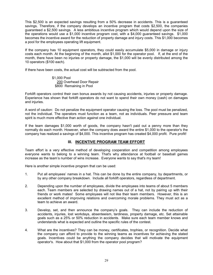This \$2,500 is an expected savings resulting from a 50% decrease in accidents. This is a guaranteed savings. Therefore, if the company develops an incentive program that costs \$2,500, the companies guaranteed a \$2,500 savings. A less ambitious incentive program which would depend upon the size of the operations would use a \$1,000 incentive program cost, with a \$4,000 guaranteed savings. \$1,000 becomes the incentive award for the reduction of property damage and injury costs. This \$1,000 becomes a pool for the employees operating lift equipment.

If the company has 10 equipment operators, they could easily accumulate \$5,000 in damage or injury costs each month. At the beginning of the month, allot \$1,000 for the operator pool. If, at the end of the month, there have been no injuries or property damage, the \$1,000 will be evenly distributed among the 10 operators (\$100 each).

If there have been costs, the actual cost will be subtracted from the pool.

 \$1,000 Pool 200 Overhead Door Repair \$800 Remaining in Pool

Forklift operators control their own bonus awards by not causing accidents, injuries or property damage. Experience has shown that forklift operators do not want to spend their own money (cash) on damages and injuries.

A word of caution: Do not penalize the equipment operator causing the loss. The pool must be penalized, not the individual. The operators must function as a team, not as individuals. Peer pressure and team spirit is much more effective than action against one individual.

If the team damages \$1,000 worth of goods, the company hasn't paid out a penny more than they normally do each month. However, when the company does award the entire \$1,000 to the operator's the company has realized a savings of \$4,000. This incentive program has created \$4,000 profit. Pure profit!

# **III. INCENTIVE PROGRAM TEAM EFFORT**

Team effort is a very effective method of developing cooperation and competition among employees everyone wants to belong to a winning team. That's why attendance at football or baseball games increase as the team's number of wins increase. Everyone wants to say that's my team!

Here is another simple incentive program that can be used:

- 1. Put all employees' names in a hat. This can be done by the entire company, by departments, or by any other company breakdown. Include all forklift operators, regardless of department.
- 2. Depending upon the number of employees, divide the employees into teams of about 5 members each. Team members are selected by drawing names out of a hat, not by pairing up with their friends or work mates! Some employees will not like their team members. However, this is an excellent method of improving relations and overcoming morale problems. They must act as a team to achieve an award.
- 3. Develop, set, and then announce the company's goals. They can include the reduction of accidents, injuries, lost workdays, absenteeism, tardiness, property damage, etc. Set attainable goals such as a 25% or 50% reduction in accidents. Make sure each team member knows and understands what is expected and outline the specific rules of the contest.
- 4. What are the incentives? They can be money, certificates, trophies, or recognition. Decide what the company can afford to provide to the winning teams as incentives for achieving the stated goals. Incentives could be anything the company decides that will motivate the equipment operator's. How about that \$1,000 from the operator pool program?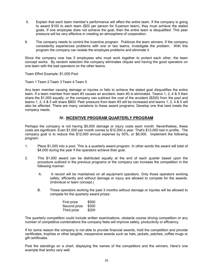- 5. Explain that each team member's performance will affect the entire team. If the company is going to award \$100 to each team (\$20 per person for 5-person team), they must achieve the stated goals. If one employee does not achieve the goal, then the entire team is disqualified. This peer pressure will be very effective in creating an atmosphere of cooperation.
- 6. The company needs to control the incentive program. Publicize the team winners. If the company consistently experiences problems with one or two teams, investigate the problem. With this program the company can isolate the employee problems and eliminate it.

Since the company now has 5 employees who must work together to protect each other, the team concept works. By random selection the company eliminates cliques and having the good operators on one team with the bad operators on the other teams.

Team Effort Example: \$1,000 Pool

Team 1 Team 2 Team 3 Team 4 Team 5

Any team member causing damage or injuries or fails to achieve the stated goal disqualifies the entire team. If a team member from team #3 causes an accident, team #3 is eliminated. Teams 1, 2, 4 & 5 then share the \$1,000 equally, or the company can subtract the cost of the accident (\$200) from the pool and teams 1, 2, 4 & 5 will share \$800. Peer pressure from team #3 will be increased and teams 1, 2, 4 & 5 will also be affected. There are many variations to these award programs. Develop one that best meets the company needs.

# **IV. INCENTIVE PROGRAM QUARTERLY PROGRAM**

Perhaps the company is not having \$5,000 damage or injury costs each month. Nevertheless, these costs are significant. Even \$1,000 per month comes to \$12,000 a year. That's \$12,000 lost in profits. The company goal is to reduce this \$12,000 annual expense by 50%, or \$6,000. Implement the following program:

- 1. Place \$1,000 into a pool. This is a quarterly award program. In other words the award will total of \$4,000 during the year if the operators achieve their goal.
- 2. This \$1,000 award can be distributed equally at the end of each quarter based upon the procedure outlined in the previous programs or the company can increase the competition in the following manner:
	- A. A record will be maintained on all equipment operators. Only those operators working safely, efficiently and without damage or injury are allowed to compete for the awards. (Individual or team concept.)
	- B. Those operators working the past 3 months without damage or injuries will be allowed to compete for the quarterly award prizes:

| First prize  | \$500 |
|--------------|-------|
| Second prize | \$300 |
| Third prize  | \$200 |

The quarterly competition could include written examinations, obstacle course driving competition or any number of competitive combinations the company feels will improve safety, productivity or efficiency.

If for some reason the company is not able to provide financial awards, hold the competition and provide certificates, trophies or other tangible, inexpensive awards such as hats, jackets, patches, coffee mugs or gift certificates.

Post the standings on a chart, displaying the names of the competitors and the winners. Here's one example that works very well.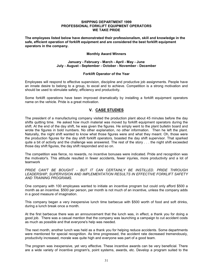#### **SHIPPING DEPARTMENT 1999 PROFESSIONAL FORKLIFT EQUIPMENT OPERATORS WE TAKE PRIDE**

**The employees listed below have demonstrated their professionalism, skill and knowledge in the safe, efficient operation of forklift equipment and are considered the best forklift equipment operators in the company.** 

#### **Monthly Award Winners**

#### **January - February - March - April - May - June July - August - September - October - November - December**

#### **Forklift Operator of the Year**

Employees will respond to effective supervision, discipline and productive job assignments. People have an innate desire to belong to a group, to excel and to achieve. Competition is a strong motivation and should be used to stimulate safety, efficiency and productivity.

Some forklift operations have been improved dramatically by installing a forklift equipment operators name on the vehicle. Pride is a great motivation.

# **V. CASE STUDIES**

The president of a manufacturing company visited the production plant about 45 minutes before the day shifts quitting time. He asked how much material was moved by forklift equipment operators during the shift. At the end of the day shift, he was given the figures. He simply went to the plant bulletin board and wrote the figures in bold numbers. No other explanation, no other information. Then he left the plant. Naturally, the night shift wanted to know what those figures were and what they meant. Oh, those were the production figures for the day shift forklift operators, boasted the day shift supervisor. That sparked quite a bit of activity and the challenge was answered. The rest of the story . . . the night shift exceeded those day shift figures, the day shift responded and so on.

The competition was fierce, no rewards, no incentive bonuses were indicated. Pride and recognition was the motivator's. This attitude resulted in fewer accidents, fewer injuries, more productivity and a lot of teamwork

PRIDE CAN'T BE BOUGHT - BUT IT CAN CERTAINLY BE INSTILLED. PRIDE THROUGH *LEADERSHIP, SUPERVISION AND IMPLEMENTATION RESULTS IN EFFECTIVE FORKLIFT SAFETY AND TRAINING PROGRAMS.* 

One company with 100 employees wanted to initiate an incentive program but could only afford \$500 a month as an incentive. \$500 per person, per month is not much of an incentive, unless the company adds in a good measure of imagination.

This company began a very inexpensive lunch time barbecue with \$500 worth of food and soft drinks, during a lunch break once a month.

At the first barbecue there was an announcement that the lunch was, in effect, a thank you for doing a good job. There was a casual mention that the company was launching a campaign to cut accident costs as much as possible and that everyone's help was needed.

The next month, another lunch was held as a thank you for helping reduce accidents. Some departments were mentioned for special recognition. As time progressed, the accident rate decreased tremendously, productivity increased, morale was quite high and everyone was part of a good team.

The program was inexpensive, yet very effective. These incentive awards can be very beneficial. There are a wide variety of incentive program's, point systems, awards, etc. Develop a program suited to the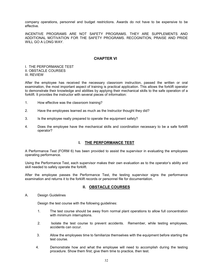company operations, personnel and budget restrictions. Awards do not have to be expensive to be effective.

INCENTIVE PROGRAMS ARE NOT SAFETY PROGRAMS. THEY ARE SUPPLEMENTS AND ADDITIONAL MOTIVATION FOR THE SAFETY PROGRAMS. RECOGNITION, PRAISE AND PRIDE WILL GO A LONG WAY.

# **CHAPTER VI**

I. THE PERFORMANCE TEST II. OBSTACLE COURSES III. REVIEW

After the employee has received the necessary classroom instruction, passed the written or oral examination, the most important aspect of training is practical application. This allows the forklift operator to demonstrate their knowledge and abilities by applying their mechanical skills to the safe operation of a forklift. It provides the instructor with several pieces of information:

- 1. How effective was the classroom training?
- 2. Have the employees learned as much as the Instructor thought they did?
- 3. Is the employee really prepared to operate the equipment safely?
- 4. Does the employee have the mechanical skills and coordination necessary to be a safe forklift operator?

# **I. THE PERFORMANCE TEST**

A Performance Test (FORM 6) has been provided to assist the supervisor in evaluating the employees operating performance.

Using the Performance Test, each supervisor makes their own evaluation as to the operator's ability and skill needed to safely operate the forklift.

After the employee passes the Performance Test, the testing supervisor signs the performance examination and returns it to the forklift records or personnel file for documentation.

# **II. OBSTACLE COURSES**

A. Design Guidelines

Design the test course with the following guidelines:

- 1. The test course should be away from normal plant operations to allow full concentration with minimum interruptions.
- 2. Isolate the test course to prevent accidents. Remember, while testing employees, accidents can occur.
- 3. Allow the employees time to familiarize themselves with the equipment before starting the test course.
- 4. Demonstrate how and what the employee will need to accomplish during the testing procedure. Show them first; give them time to practice, then test.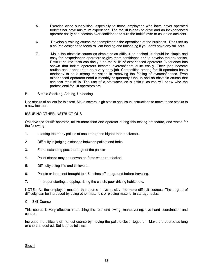- 5. Exercise close supervision, especially to those employees who have never operated forklifts nor have minimum experience. The forklift is easy to drive and an inexperienced operator easily can become over confident and turn the forklift over or cause an accident.
- 6. Develop a training course that compliments the operations of the business. Don't set up a course designed to teach rail car loading and unloading if you don't have any rail cars.
- 7. Make the obstacle course as simple or as difficult as desired. It should be simple and easy for inexperienced operators to give them confidence and to develop their expertise. Difficult course tests can finely tune the skills of experienced operators Experience has shown that forklift operators become overconfident quite easily. Their jobs become routine and it appears to be a very easy job. Competition among forklift operators has a tendency to be a strong motivation in removing the feeling of overconfidence. Even experienced operators need a monthly or quarterly tune-up and an obstacle course that can test their skills. The use of a stopwatch on a difficult course will show who the professional forklift operators are.
- B. Simple Stacking, Adding, Unloading

Use stacks of pallets for this test. Make several high stacks and issue instructions to move these stacks to a new location.

# ISSUE NO OTHER INSTRUCTIONS

Observe the forklift operator, utilize more than one operator during this testing procedure, and watch for the following:

- 1. Leading too many pallets at one time (none higher than backrest).
- 2. Difficulty in judging distances between pallets and forks.
- 3. Forks extending past the edge of the pallets
- 4. Pallet stacks may be uneven on forks when re-stacked.
- 5. Difficulty using lifts and tilt levers.
- 6. Pallets or loads not brought to 4-6 inches off the ground before traveling.
- 7. Improper starting, stopping, riding the clutch, poor driving habits, etc.

NOTE: As the employee masters this course move quickly into more difficult courses. The degree of difficulty can be increased by using other materials or placing material in storage racks.

C. Skill Course

This course is very effective in teaching the rear end swing, maneuvering, eye-hand coordination and control.

Increase the difficulty of the test course by moving the pallets closer together. Make the course as long or short as desired. Set it up as follows:

Step 1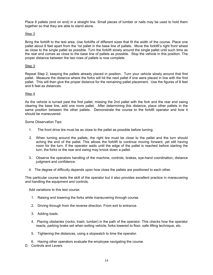Place 8 pallets (end on end) in a straight line. Small pieces of lumber or nails may be used to hold them together so that they are able to stand alone.

# Step 2

Bring the forklift to the test area. Use forklifts of different sizes that fit the width of the course. Place one pallet about 8 feet apart from the 1st pallet in the base line of pallets. Move the forklift's right front wheel as close to the single pallet as possible. Turn the forklift slowly around the single pallet until such time as the rear end comes as close to the base line of pallets as possible. Stop the vehicle in this position. The proper distance between the two rows of pallets is now complete.

# Step 3

Repeat Step 2, keeping the pallets already placed in position. Turn your vehicle slowly around that first pallet. Measure the distance where the forks will hit the next pallet if one were placed in line with the first pallet. This will then give the proper distance for the remaining pallet placement. Use the figures of 8 feet and 6 feet as distances.

#### Step 4

As the vehicle is turned past the first pallet, missing the 2nd pallet with the fork and the rear end swing clearing the base line, add one more pallet. After determining this distance, place other pallets in the same position between the other pallets. Demonstrate the course to the forklift operator and how it should be maneuvered.

Some Observation Tips:

- 1. The front drive tire must be as close to the pallet as possible before turning.
- 2. When turning around the pallets, the right tire must be close to the pallet and the turn should aching the end of the pallet. This allows the forklift to continue moving forward, yet still having room for the turn. If the operator waits until the edge of the pallet is reached before starting the turn, the forks or the rear end swing may knock down a pallet.
- 3. Observe the operators handling of the machine, controls, brakes, eye-hand coordination, distance judgment and confidence.
- 4. The degree of difficulty depends upon how close the pallets are positioned to each other.

This particular course tests the skill of the operator but it also provides excellent practice in maneuvering and handling the equipment and controls.

Add variations to this test course:

- 1. Raising and lowering the forks while maneuvering through course.
- 2. Driving through from the reverse direction. From exit to entrance.
- 3. Adding loads.
- 4. Placing obstacles (rocks, trash, lumber) in the path of the operator. This checks how the operator reacts, parking brake set when exiting vehicle, forks lowered to floor, safe lifting technique, etc.
- 5. Tightening the distances, using a stopwatch to time the operator.
- 6. Having other operators evaluate the employee navigating the course.
- D. Controls and Levers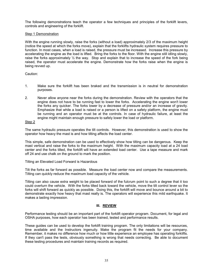The following demonstrations teach the operator a few techniques and principles of the forklift levers, controls and engineering of the forklift.

# Step 1 Demonstration

With the engine running slowly, raise the forks (without a load) approximately 2/3 of the maximum height (notice the speed at which the forks move), explain that the forklifts hydraulic system requires pressure to function. In most cases, when a load is raised, the pressure must be increased. Increase this pressure by accelerating the engine as the load is lifted. Bring the forks to the floor. With the engine still idling slowly, raise the forks approximately  $\frac{1}{2}$  the way. Stop and explain that to increase the speed of the fork being raised, the operator must accelerate the engine. Demonstrate how the forks raise when the engine is being revved up.

Caution:

- 1. Make sure the forklift has been braked and the transmission is in neutral for demonstration purposes.
- 2. Never allow anyone near the forks during the demonstration. Review with the operators that the engine does not have to be running fast to lower the forks. Accelerating the engine won't lower the forks any quicker. The forks lower by a decrease of pressure and/or an increase of gravity. Emphasize that while a load is raised or a person is lifted on a safety platform, the engine must be running and an operator must be at the controls. In case of hydraulic failure, at least the engine might maintain enough pressure to safely lower the load or platform.

# Step 2

The same hydraulic pressure operates the tilt controls. However, this demonstration is used to show the operator how heavy the mast is and how tilting affects the load center.

This simple, safe demonstration can be used to effectively show how tilting can be dangerous. Keep the mast vertical and raise the forks to the maximum height. With the maximum capacity load at a 24 load center and the forks tilted, the forklift will have an extended load center. Use a tape measure and mark off 24 and use chalk on the ground to mark the position.

Tilting an Elevated Load Forward is Hazardous

Tilt the forks as far forward as possible. Measure the load center now and compare the measurements. Tilting can quickly reduce the maximum load capacity of the vehicle.

Tilting can also cause extra weight to be placed forward of the fulcrum point to such a degree that it too could overturn the vehicle. With the forks tilted back toward the vehicle, move the tilt control lever so the forks will shift forward as quickly as possible. Doing this, the forklift will move and bounce around a bit to demonstrate exactly how heavy that mast really is. The operators will experience this mild earthquake. It makes a lasting impression.

# **III. REVIEW**

Performance testing should be an important part of the forklift operator program. Document, for legal and OSHA purposes, how each operator has been trained, tested and performance results.

These guides can be used to develop the forklift training program. The only limitations will be resources, time available and the Instructors ingenuity. Make the program fit the needs for your company. Remember, it makes no difference how much or how little experience an employee has operating forklifts. If they can't pass the tests, obviously something is wrong that needs correcting. Be able to document these testing procedures and maintain training records as required.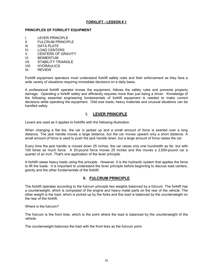# **FORKLIFT - LESSON # 1**

## **PRINCIPLES OF FORKLIFT EQUIPMENT**

- **I.** LEVER PRINCIPLE<br>II. FULCRUM PRINCIF
- **FULCRUM PRINCIPLE**
- III. DATA PLATE
- IV. LOAD CENTERS
- V. CENTERS OF GRAVITY
- VI. MOMENTUM
- VII. STABILITY TRIANGLE
- VIII. HYDRAULICS
- IX. REVIEW

Forklift equipment operators must understand forklift safety rules and their enforcement as they face a wide variety of situations requiring immediate decisions on a daily basis.

A professional forklift operator knows the equipment, follows the safety rules and prevents property damage. Operating a forklift safely and efficiently requires more than just being a driver. Knowledge of the following essential engineering fundamentals of forklift equipment is needed to make correct decisions while operating the equipment. Odd size loads, heavy materials and unusual situations can be handled safely.

# **I. LEVER PRINCIPLE**

Levers are used as it applies to forklifts with the following illustration.

When changing a flat tire, the car is jacked up and a small amount of force is exerted over a long distance. The jack handle moves a large distance, but the car moves upward only a short distance. A small amount of force is used to push the jack handle down, but a large amount of force raises the car.

Every time the jack handle is moved down 25 inches, the car raises only one hundredth as far, but with 100 times as much force. A 20-pound force moves 25 inches and this moves a 2,000-pound car a quarter of an inch. That's one application of the lever principle.

A forklift raises heavy loads using this principle. However, it is the hydraulic system that applies the force to lift the loads. It is important to understand the lever principle before beginning to discuss load centers, gravity and the other fundamentals of the forklift.

# **II. FULCRUM PRINCIPLE**

The forklift operates according to the fulcrum principle two weights balanced by a fulcrum. The forklift has a counterweight, which is composed of the engine and heavy metal parts on the rear of the vehicle. The other weight is the load, which is picked up by the forks and this load is balanced by the counterweight on the rear of the forklift.

Where is the fulcrum?

The fulcrum is the front tires, which is the point where the load is balanced by the counterweight of the vehicle.

The counterweight balances the load with the front tires as the fulcrum point.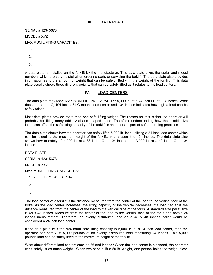## **III. DATA PLATE**

| SERIAL # 12345678           |
|-----------------------------|
| MODEL # XYZ                 |
| MAXIMUM LIFTING CAPACITIES: |
|                             |
| 2                           |
| 3                           |

A data plate is installed on the forklift by the manufacturer. This data plate gives the serial and model numbers which are very helpful when ordering parts or servicing the forklift. The data plate also provides information as to the amount of weight that can be safely lifted with the weight of the forklift. This data plate usually shows three different weights that can be safely lifted as it relates to the load centers.

## **IV. LOAD CENTERS**

The data plate may read: MAXIMUM LIFTING CAPACITY: 5,000 lb. at a 24 inch LC at 104 inches. What does it mean - LC, 104 inches? LC means load center and 104 inches indicates how high a load can be safely raised.

Most data plates provide more than one safe lifting weight. The reason for this is that the operator will probably be lifting many odd sized and shaped loads. Therefore, understanding how these odd- size loads can affect the safe lifting capacity of the forklift is an important part of safe operating practices.

The data plate shows how the operator can safely lift a 5,000 lb. load utilizing a 24 inch load center which can be raised to the maximum height of the forklift. In this case it is 104 inches. The data plate also shows how to safely lift 4,000 lb. at a 36 inch LC at 104 inches and 3,000 lb. at a 42 inch LC at 104 inches.

DATA PLATE

SERIAL # 12345678

MODEL # XYZ

MAXIMUM LIFTING CAPACITIES:

| 1. 5,000 LB. at 24" LC - 104" |  |  |  |  |
|-------------------------------|--|--|--|--|
|-------------------------------|--|--|--|--|

3. \_\_\_\_\_\_\_\_\_\_\_\_\_\_\_\_\_\_\_\_\_\_\_\_\_\_\_\_\_\_\_\_\_\_\_\_\_\_\_\_

If the data plate tells the maximum safe lifting capacity is 5,000 lb. at a 24 inch load center, then the operator can safely lift 5,000 pounds of an evenly distributed load measuring 24 inches. This 5,000 pounds load can be safely lifted to the maximum height of the forklift.

What about different load centers such as 36 and inches? When the load center is extended, the operator can't safely lift as much weight. When two people lift a 50-lb. weight, one person holds the weight close

The load center of a forklift is the distance measured from the center of the load to the vertical face of the forks. As the load center increases, the lifting capacity of the vehicle decreases, the load center is the distance measured from the center of the load to the vertical face of the forks. A standard size pallet size is 48 x 48 inches. Measure from the center of the load to the vertical face of the forks and obtain 24 inches measurement. Therefore, an evenly distributed load on a 48 x 48 inches pallet would be considered a 24 inch load center.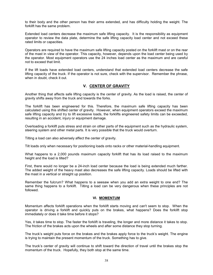to their body and the other person has their arms extended, and has difficulty holding the weight. The forklift has the same problem.

Extended load centers decrease the maximum safe lifting capacity. It is the responsibility as equipment operator to review the data plate, determine the safe lifting capacity load center and not exceed these rated limits or capacities.

Operators are required to have the maximum safe lifting capacity posted on the forklift mast or on the rear of the mast in view of the operator. This capacity, however, depends upon the load center being used by the operator. Most equipment operators use the 24 inches load center as the maximum and are careful not to exceed that limit.

If the lift loads have extended load centers, understand that extended load centers decrease the safe lifting capacity of the truck. If the operator is not sure, check with the supervisor. Remember the phrase, when in doubt, check it out.

## **V. CENTER OF GRAVITY**

Another thing that affects safe lifting capacity is the center of gravity. As the load is raised, the center of gravity shifts away from the truck and towards the forks.

The forklift has been engineered for this. Therefore, the maximum safe lifting capacity has been calculated using this shifted center of gravity. However, when equipment operators exceed the maximum safe lifting capacity and try to lift excessive loads, the forklifts engineered safety limits can be exceeded, resulting in an accident, injury or equipment damage.

Overloading a forklift puts stress and strain on other parts of the equipment such as the hydraulic system, steering system and other metal parts. It is very possible that the truck would overturn.

Tilting a load can also adversely affect the center of gravity.

Tilt loads only when necessary for positioning loads onto racks or other material-handling equipment.

What happens to a 2,000 pounds maximum capacity forklift that has its load raised to the maximum height and the load is tilted?

First, there would no longer be a 24-inch load center because the load is being extended much farther. The added weight of the heavy mast also decreases the safe lifting capacity. Loads should be lifted with the mast in a vertical or straight up position.

Remember the fulcrum? What happens to a seesaw when you add an extra weight to one end? The same thing happens to a forklift. Tilting a load can be very dangerous when these principles are not followed.

### **VI. MOMENTUM**

Momentum affects forklift operations when the forklift starts moving and can't seem to stop. When the operator is driving a forklift and quickly puts on the brakes, what happens? Does the forklift stop immediately or does it take time before it stops?

Yes, it takes time to stop. The faster the forklift is traveling, the longer and more distance it takes to stop. The friction of the brakes acts upon the wheels and after some distance they stop turning.

The truck's weight puts force on the brakes and the brakes apply force to the truck's weight. The engine is trying to maintain the present momentum of the truck. Something has to give.

The truck's center of gravity will continue to shift toward the direction of travel until the brakes stop the momentum of the truck. Hopefully, they both stop at the same time.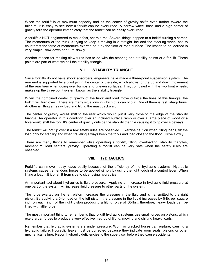When the forklift is at maximum capacity and as the center of gravity shifts even further toward the fulcrum, it is easy to see how a forklift can be overturned. A narrow wheel base and a high center of gravity tells the operator immediately that the forklift can be easily overturned.

A forklift is NOT engineered to make fast, sharp turns. Several things happen to a forklift turning a corner. The momentum of the truck is trying to keep it moving in a straight line and the steering wheel has to counteract the force of momentum exerted on it by the floor or road surface. The lesson to be learned is very simple: slow down and turn slowly.

Another reason for making slow turns has to do with the steering and stability points of a forklift. These points are part of what we call the stability triangle.

## **VII. STABILITY TRIANGLE**

Since forklifts do not have shock absorbers, engineers have made a three-point suspension system. The rear end is supported by a pivot pin in the center of the axle, which allows for the up and down movement of the rear tires when going over bumps and uneven surfaces. This, combined with the two front wheels, makes up the three point system known as the stability triangle.

When the combined center of gravity of the truck and load move outside the lines of this triangle, the forklift will turn over. There are many situations in which this can occur. One of them is fast, sharp turns. Another is lifting a heavy load and tilting the mast backward.

The center of gravity would shift to the rear which would put it very close to the edge of the stability triangle. An operator in this condition over an inclined surface ramp or over a large piece of wood or a hole would shift the forklift's center of gravity outside the stability triangle causing it to tip over sideways.

The forklift will not tip over if a few safety rules are observed. Exercise caution when tilting loads, tilt the load only for stability and when traveling always keep the forks and load close to the floor. Drive slowly.

There are many things to remember while operating a forklift, tilting, overloading, stability triangles, momentum, load centers, gravity. Operating a forklift can be very safe when the safety rules are observed.

## **VIII. HYDRAULICS**

Forklifts can move heavy loads easily because of the efficiency of the hydraulic systems. Hydraulic systems cause tremendous forces to be applied simply by using the light touch of a control lever. When lifting a load, tilt it or shift from side to side, using hydraulics.

An important fact about hydraulics is fluid pressure. Applying an increase in hydraulic fluid pressure at one part of the system will increase fluid pressure to other parts of the system.

The force exerted on the left piston increases the pressure in the fluid and is transmitted to the right piston. By applying a 5-lb. load on the left piston, the pressure in the liquid increases by 5-lb. per square inch on each inch of the right piston producing a lifting force of 50-lbs.; therefore, heavy loads can be lifted with little force.

The most important thing to remember is that forklift hydraulic systems use small forces on pistons, which exert larger forces to produce a very effective method of lifting, moving and shifting heavy loads.

Remember that hydraulic systems are under pressure. Worn or cracked hoses can rupture, causing a hydraulic failure. Hydraulic leaks must be corrected because they indicate worn seals, pistons or other mechanical failure. Report hydraulic deficiencies to the supervisor before they cause accidents.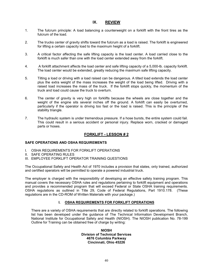## **IX. REVIEW**

- 1. The fulcrum principle: A load balancing a counterweight on a forklift with the front tires as the fulcrum of the load.
- 2. The trucks center of gravity shifts toward the fulcrum as a load is raised. The forklift is engineered for lifting a certain capacity load to the maximum height of a forklift.
- 3. A critical factor affecting the safe lifting capacity is the load center. A load carried close to the forklift is much safer than one with the load center extended away from the forklift.
- 4. A forklift attachment affects the load center and safe lifting capacity of a 5,000-lb. capacity forklift. The load center would be extended, greatly reducing the maximum safe lifting capacity.
- 5. Tilting a load or driving with a load raised can be dangerous. A tilted load extends the load center plus the extra weight of the mass increases the weight of the load being lifted. Driving with a raised load increases the mass of the truck. If the forklift stops quickly, the momentum of the truck and load could cause the truck to overturn.
- 6. The center of gravity is very high on forklifts because the wheels are close together and the weight of the engine sits several inches off the ground. A forklift can easily be overturned, particularly if the operator is driving too fast or the load is raised. This is the principle of the stability triangle.
- 7. The hydraulic system is under tremendous pressure. If a hose bursts, the entire system could fail. This could result in a serious accident or personal injury. Replace worn, cracked or damaged parts or hoses.

## **FORKLIFT - LESSON # 2**

### **SAFE OPERATIONS AND OSHA REQUIREMENTS**

- I. OSHA REQUIREMENTS FOR FORKLIFT OPERATIONS
- II. SAFE OPERATING RULES
- III. EMPLOYEE FORKLIFT OPERATOR TRAINING QUESTIONS

The Occupational Safety and Health Act of 1970 includes a provision that states, only trained, authorized and certified operators will be permitted to operate a powered industrial truck.

The employer is charged with the responsibility of developing an effective safety training program. This manual covers the necessary OSHA rules and regulations pertaining to forklift equipment and operations and provides a recommended program that will exceed Federal or State OSHA training requirements. OSHA regulations as outlined in Title 29, Code of Federal Regulations, Part 1910.178. (These regulations are in the CD-ROM of Written Materials with your package.)

## **I. OSHA REQUIREMENTS FOR FORKLIFT OPERATIONS**

There are a variety of OSHA requirements that are directly related to forklift operations. The following list has been developed under the guidance of The Technical Information Development Branch, National Institute for Occupational Safety and Health (NIOSH). The NIOSH publication No. 78-199 Outline for Training can be obtained free of charge by writing:

> **NIOSH Division of Technical Services 4676 Columbia Parkway Cincinnati, Ohio 45226**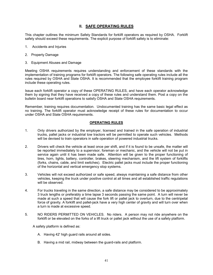# **II. SAFE OPERATING RULES**

This chapter outlines the minimum Safety Standards for forklift operators as required by OSHA. Forklift safety should exceed these requirements. The explicit purpose of forklift safety is to eliminate:

- 1. Accidents and Injuries
- 2. Property Damage
- 3. Equipment Abuses and Damage

Meeting OSHA requirements requires understanding and enforcement of these standards with the implementation of training programs for forklift operators. The following safe operating rules include all the rules required by OSHA and State OSHA. It is recommended that the employee forklift training program include these operating rules.

Issue each forklift operator a copy of these OPERATING RULES, and have each operator acknowledge them by signing that they have received a copy of these rules and understand them. Post a copy on the bulletin board near forklift operations to satisfy OSHA and State OSHA requirements.

Remember, training requires documentation. Undocumented training has the same basic legal effect as no training. The forklift operator must acknowledge receipt of these rules for documentation to occur under OSHA and State OSHA requirements.

### **OPERATING RULES**

- 1. Only drivers authorized by the employer, licensed and trained in the safe operation of industrial trucks, pallet jacks or industrial tow tractors will be permitted to operate such vehicles. Methods will be devised to train operators in safe operation of powered industrial trucks.
- 2. Drivers will check the vehicle at least once per shift, and if it is found to be unsafe, the matter will be reported immediately to a supervisor, foreman or mechanic, and the vehicle will not be put in service again until it has been made safe. Attention will be given to the proper functioning of tires, horn, lights, battery, controller, brakes, steering mechanism, and the lift system of forklifts (forks, chains, cable, and limit switches). Electric pallet jacks must include the proper functioning of the horizontal and vertical emergency stop systems.
- 3. Vehicles will not exceed authorized or safe speed, always maintaining a safe distance from other vehicles, keeping the truck under positive control at all times and all established traffic regulations will be observed.
- 4. For trucks traveling in the same direction, a safe distance may be considered to be approximately 3 truck lengths or preferably a time lapse 3 seconds passing the same point. A turn will never be made at such a speed that will cause the fork lift or pallet jack to overturn, due to the centripetal force of gravity. A forklift and pallet-jack have a very high center of gravity and will turn over when a turn is made at excessive speed.
- 5. NO RIDERS PERMITTED ON VEHICLES. No riders. A person may not ride anywhere on the forklift or be elevated on the forks of a lift truck or pallet jack without the use of a safety platform.

A safety platform is defined as:

- A. Having 42' high guard rails around all sides.
- B. Having a mid rail, midway between the guard-rails and platform.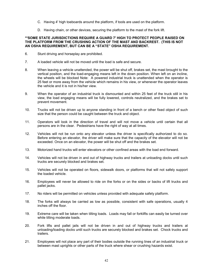- C. Having 4' high toeboards around the platform, if tools are used on the platform.
- D. Having chain, or other devices, securing the platform to the mast of the fork lift.

### **\*\*SOME STATE JURISDICTIONS REQUIRE A GUARD 7' HIGH TO PROTECT PEOPLE RAISED ON THE PLATFORM FROM THE CRUSHING ACTION OF THE MAST AND BACKREST. (THIS IS NOT AN OSHA REQUIREMENT, BUT CAN BE A "STATE" OSHA REQUIREMENT.**

- 6. Stunt driving and horseplay are prohibited.
- 7. A loaded vehicle will not be moved until the load is safe and secure.
- 8. When leaving a vehicle unattended, the power will be shut off, brakes set, the mast brought to the vertical position, and the load-engaging means left in the down position. When left on an incline, the wheels will be blocked Note: A powered industrial truck is unattended when the operator is 25 feet or more away from the vehicle which remains in his view, or whenever the operator leaves the vehicle and it is not in his/her view.
- 9. When the operator of an industrial truck is dismounted and within 25 feet of the truck still in his view, the load engaging means will be fully lowered, controls neutralized, and the brakes set to prevent movement.
- 10. Trucks will not be driven up to anyone standing in front of a bench or other fixed object of such size that the person could be caught between the truck and object.
- 11. Operators will look in the direction of travel and will not move a vehicle until certain that all persons are in the clear. Pedestrians have the right of way at all times.
- 12. Vehicles will not be run onto any elevator unless the driver is specifically authorized to do so. Before entering an elevator, the driver will make sure that the capacity of the elevator will not be exceeded. Once on an elevator, the power will be shut off and the brakes set.
- 13. Motorized hand trucks will enter elevators or other confined areas with the load end forward.
- 14. Vehicles will not be driven in and out of highway trucks and trailers at unloading docks until such trucks are securely blocked and brakes set.
- 15. Vehicles will not be operated on floors, sidewalk doors, or platforms that will not safely support the loaded vehicle.
- 16. Employees will never be allowed to ride on the forks or on the sides or backs of lift trucks and pallet jacks.
- 17. No riders will be permitted on vehicles unless provided with adequate safety platform.
- 18. The forks will always be carried as low as possible, consistent with safe operations, usually 4 inches off the floor.
- 19. Extreme care will be taken when tilting loads. Loads may fall or forklifts can easily be turned over while tilting moderate loads.
- 20. Fork lifts and pallet jails will not be driven in and out of highway trucks and trailers at unloading/loading docks until such trucks are securely blocked and brakes set. Chock trucks and trailers.
- 21. Employees will not place any part of their bodies outside the running lines of an industrial truck or between mast uprights or other parts of the truck where shear or crushing hazards exist.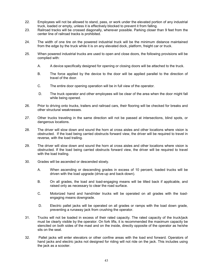- 22. Employees will not be allowed to stand, pass, or work under the elevated portion of any industrial truck, loaded or empty, unless it is effectively blocked to prevent it from falling.
- 23. Railroad tracks will be crossed diagonally, wherever possible. Parking closer than 9 feet from the center line of railroad tracks is prohibited.
- 24. The width of one tire on the powered industrial truck will be the minimum distance maintained from the edge by the truck while it is on any elevated dock, platform, freight car or truck.
- 25. When powered industrial trucks are used to open and close doors, the following provisions will be complied with:
	- A. A device specifically designed for opening or closing doors will be attached to the truck.
	- B. The force applied by the device to the door will be applied parallel to the direction of travel of the door.
	- C. The entire door opening operation will be in full view of the operator.
	- D. The truck operator and other employees will be clear of the area when the door might fall while being opened.
- 26. Prior to driving onto trucks, trailers and railroad cars, their flooring will be checked for breaks and other structural weaknesses.
- 27. Other trucks traveling in the same direction will not be passed at intersections, blind spots, or dangerous locations.
- 28. The driver will slow down and sound the horn at cross aisles and other locations where vision is obstructed. If the load being carried obstructs forward view, the driver will be required to travel in reverse, with the load trailing.
- 29. The driver will slow down and sound the horn at cross aisles and other locations where vision is obstructed. If the load being carried obstructs forward view, the driver will be required to travel with the load trailing.
- 30. Grades will be ascended or descended slowly.
	- A. When ascending or descending grades in excess of 10 percent, loaded trucks will be driven with the load upgrade (drive-up and back-down).
	- B. On all grades, the load and load-engaging means will be tilted back if applicable, and raised only as necessary to clear the road surface.
	- C. Motorized hand and hand/rider trucks will be operated on all grades with the loadengaging means downgrade.
	- D. Electric pallet jacks will be operated on all grades or ramps with the load down grade, preventing a runaway jack from crushing the operator.
- 31. Trucks will not be loaded in excess of their rated capacity. The rated capacity of the truck/jack must be clearly visible by the operator. On fork lifts, it is recommended the maximum capacity be stenciled on both sides of the mast and on the inside, directly opposite of the operator as he/she sits on the seat.
- 32. Pallet jacks will enter elevators or other confine areas with the load end forward. Operators of hand jacks and electric jacks not designed for riding will not ride on the jack. This includes using the jack as a scooter.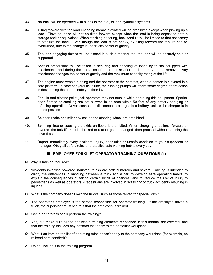- 33. No truck will be operated with a leak in the fuel, oil and hydraulic systems.
- 34. Tilting forward with the load engaging means elevated will be prohibited except when picking up a load. Elevated loads will not be tilted forward except when the load is being deposited onto a storage rack or equivalent. When stacking or tiering, backward tilt will be limited to that necessary to stabilize the load. Even though the load is not heavy, by tilting forward the fork lift can be overturned, due to the change in the trucks center of gravity.
- 35. The load engaging device will be placed in such a manner that the load will be securely held or supported.
- 36. Special precautions will be taken in securing and handling of loads by trucks equipped with attachments and during the operation of these trucks after the loads have been removed. Any attachment changes the center of gravity and the maximum capacity rating of the lift.
- 37. The engine must remain running and the operator at the controls, when a person is elevated in a safe platform. In case of hydraulic failure, the running pumps will afford some degree of protection in descending the person safely to floor level.
- 38. Fork lift and electric pallet jack operators may not smoke while operating this equipment. Sparks, open flames or smoking are not allowed in an area within 50 feet of any battery charging or refueling operation. Never connect or disconnect a charger to a battery, unless the charger is in the off position.
- 39. Spinner knobs or similar devices on the steering wheel are prohibited.
- 40. Spinning tires or causing tire skids on floors is prohibited. When changing directions, forward or reverse, the fork lift must be braked to a stop, gears changed, then proceed without spinning the drive tires.
- 41. Report immediately every accident, injury, near miss or unsafe condition to your supervisor or manager. Obey all safety rules and practice safe working habits every day.

## **III. EMPLOYEE FORKLIFT OPERATOR TRAINING QUESTIONS (1)**

- Q. Why is training required?
- A. Accidents involving powered industrial trucks are both numerous and severe. Training is intended to clarify the differences in handling between a truck and a car, to develop safe operating habits, to explain the consequences of taking certain kinds of chances, and to reduce the risk of injury to pedestrians as well as operators. (Pedestrians are involved in 1/3 to 1/2 of truck accidents resulting in iniuries.)
- Q. What if the company doesn't own the trucks, such as those rented for special jobs?
- A. The operator's employer is the person responsible for operator training. If the employee drives a truck, the supervisor must see to it that the employee is trained.
- Q. Can other professionals perform the training?
- A. Yes, but make sure all the applicable training elements mentioned in this manual are covered, and that the training includes any hazards that apply to the particular workplace.
- Q. What if an item on the list of operating rules doesn't apply to the company workplace (for example, no railroad cars handled)?
- A. Do not include it in the training program.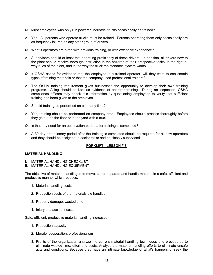- Q. Must employees who only run powered industrial trucks occasionally be trained?
- A. Yes. All persons who operate trucks must be trained. Persons operating them only occasionally are as frequently injured as any other group of drivers.
- Q. What if operators are hired with previous training, or with extensive experience?
- A. Supervisors should at least test operating proficiency of these drivers. In addition, all drivers new to the plant should receive thorough instruction in the hazards of their prospective tasks, in the right-oway rules of the plant, and in the way the truck maintenance system works.
- Q. If OSHA asked for evidence that the employee is a trained operator, will they want to see certain types of training materials or that the company used professional trainers?
- A. The OSHA training requirement gives businesses the opportunity to develop their own training programs. A log should be kept as evidence of operator training. During an inspection, OSHA compliance officers may check this information by questioning employees to verify that sufficient training has been given to the employee.
- Q. Should training be performed on company time?
- A. Yes, training should be performed on company time. Employees should practice thoroughly before they go out on the floor or in the yard with a truck.
- Q. Is that any need for an observation period after training is completed?
- A. A 30-day probationary period after the training is completed should be required for all new operators and they should be assigned to easier tasks and be closely supervised.

### **FORKLIFT - LESSON # 3**

### **MATERIAL HANDLING**

- I. MATERIAL HANDLING CHECKLIST
- II. MATERIAL HANDLING EQUIPMENT

The objective of material handling is to move, store, separate and handle material in a safe, efficient and productive manner which reduces:

- 1. Material handling costs
- 2. Production costs of the materials big handled
- 3. Property damage, wasted time
- 4. Injury and accident costs

Safe, efficient, productive material handling increases:

- 1. Production capacity
- 2. Morale, cooperation, professionalism
- 3. Profits of the organization analyze the current material handling techniques and procedures to eliminate wasted time, effort and costs. Analyze the material handling efforts to eliminate unsafe acts and conditions. Because they have an intimate knowledge of what's happening, seek the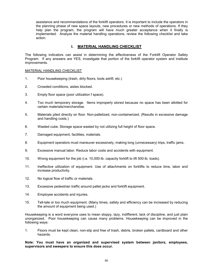assistance and recommendations of the forklift operators. It is important to include the operators in the planning phase of new space layouts, new procedures or new methods of operations. If they help plan the program, the program will have much greater acceptance when it finally is implemented. Analyze the material handling operations, review the following checklist and take action.

## **I. MATERIAL HANDLING CHECKLIST**

The following indicators can assist in determining the effectiveness of the Forklift Operator Safety Program. If any answers are YES, investigate that portion of the forklift operator system and institute improvements.

## MATERIAL HANDLING CHECKLIST

- 1. Poor housekeeping (trash, dirty floors, tools adrift, etc.)
- 2. Crowded conditions, aisles blocked.
- 3. Empty floor space (poor utilization f space).
- 4. Too much temporary storage. Items improperly stored because no space has been allotted for certain materials/merchandise.
- 5. Materials piled directly on floor. Non-palletized, non-containerized. (Results in excessive damage and handling costs.)
- 6. Wasted cube. Storage space wasted by not utilizing full height of floor space.
- 7. Damaged equipment, facilities, materials.
- 8. Equipment operators must maneuver excessively, making long (unnecessary) trips, traffic jams.
- 9. Excessive manual labor. Reduce labor costs and accidents with equipment.
- 10. Wrong equipment for the job (i.e. 10,000-lb. capacity forklift to lift 500-lb. loads).
- 11. Ineffective utilization of equipment. Use of attachments on forklifts to reduce time, labor and increase productivity.
- 12. No logical flow of traffic or materials.
- 13. Excessive pedestrian traffic around pallet jacks and forklift equipment.
- 14. Employee accidents and injuries.
- 15. Tell-tale or too much equipment. (Many times, safety and efficiency can be increased by reducing the amount of equipment being used.)

Housekeeping is a word everyone uses to mean sloppy, lazy, indifferent, lack of discipline, and just plain unorganized. Poor housekeeping can cause many problems. Housekeeping can be improved in the following ways:

1. Floors must be kept clean, non-slip and free of trash, debris, broken pallets, cardboard and other hazards.

**Note: You must have an organized and supervised system between janitors, employees, supervisors and sweepers to ensure this does occur.**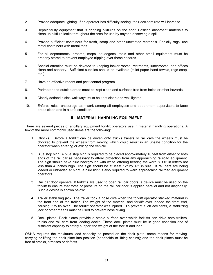- 2. Provide adequate lighting. If an operator has difficulty seeing, their accident rate will increase.
- 3. Repair faulty equipment that is dripping oil/fluids on the floor. Position absorbent materials to clean up oil/fluid leaks throughout the area for use by anyone observing a spill.
- 4. Provide sufficient containers for trash, scrap and other unwanted materials. For oily rags, use metal containers with metal tops.
- 5. For all departments, brooms, mops, squeegees, tools and other small equipment must be properly stored to prevent employee tripping over these hazards.
- 6. Special attention must be devoted to keeping locker rooms, restrooms, lunchrooms, and offices clean and sanitary. Sufficient supplies should be available (toilet paper hand towels, rags soap, etc.).
- 7. Have an effective rodent and pest control program.
- 8. Perimeter and outside areas must be kept clean and surfaces free from holes or other hazards.
- 9. Clearly defined aisles walkways must be kept clean and well lighted.
- 10. Enforce rules, encourage teamwork among all employees and department supervisors to keep areas clean and in a safe condition.

## **II. MATERIAL HANDLING EQUIPMENT**

There are several pieces of ancillary equipment forklift operators use in material handling operations. A few of the more commonly used items are the following:

- 1. Chocks. Before a forklift can be driven onto trucks trailers or rail cars the wheels must be chocked to prevent the wheels from moving which could result in an unsafe condition for the operator when entering or exiting the vehicle.
- 2. Blue stop sign. A blue stop sign is required to be placed approximately 10 feet from either or both ends of the rail car as necessary to afford protection from any approaching railroad equipment. The sign should have blue background with white lettering bearing the word STOP in letters not less than 4 inches high. The sign should be at least 12" by 15" in size. If rail cars are being loaded or unloaded at night, a blue light is also required to warn approaching railroad equipment operators.
- 3. Rail car door openers. If forklifts are used to open rail car doors, a device must be used on the forklift to ensure that force or pressure on the rail car door is applied parallel and not diagonally. Such a device is shown below:
- 4. Trailer stabilizing jack. The trailer took a nose dive when the forklift operator stacked material in the front end of the trailer. The weight of the material and forklift over loaded the front end, causing it to tip over. The forklift operator was injured. To prevent such accidents, a stabilizing jack or other means must be used to prevent nose diving.
- 5. Dock plates. Dock plates provide a stable surface over which forklifts can drive onto trailers, trucks and rail cars from loading docks. These dock plates must be in good condition and of sufficient capacity to safely support the weight of the forklift and load.

OSHA requires the maximum load capacity be posted on the dock plate; some means for moving, carrying or lifting the dock plate into position (handholds or lifting chains); and the dock plates must be free of cracks, stresses or defects.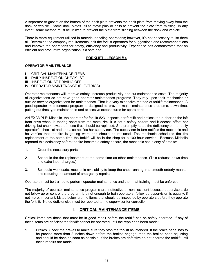A separator or gusset on the bottom of the dock plate prevents the dock plate from moving away from the dock or vehicle. Some dock plates utilize stave pins or bolts to prevent the plate from missing. In any event, some method must be utilized to prevent the plate from slipping between the dock and vehicle.

There is more equipment utilized in material handling operations; however, it's not necessary to list them all. Determine the company requirements, ask the forklift operators for suggestions and recommendations and improve the operations for safety, efficiency and productivity. Experience has demonstrated that an efficient and productive organization is a safe one.

## **FORKLIFT - LESSON # 4**

## **OPERATOR MAINTENANCE**

- I. CRITICAL MAINTENANCE ITEMS
- II. DAILY INSPECTION CHECKLIST
- III. INSPECTION AT DRIVING OFF
- IV. OPERATOR MAINTENANCE (ELECTRICS)

Operator maintenance will improve safety, increase productivity and cut maintenance costs. The majority of organizations do not have good operator maintenance programs. They rely upon their mechanics or outside service organizations for maintenance. That is a very expensive method of forklift maintenance. A good operator maintenance program is designed to prevent major maintenance problems, down time, putting out fires type maintenance and excessive expenditures for spare parts.

AN EXAMPLE: Michelle, the operator for forklift #23, inspects her forklift and notices the rubber on the left front drive wheel is tearing apart from the metal rim. It is not a safety hazard and it doesn't affect her driving, but she knows that these tires should be replaced. She promptly notes the deficiency on her daily operator's checklist and she also notifies her supervisor. The supervisor in turn notifies the mechanic and he verifies that the tire is getting worn and should be replaced. The mechanic schedules the tire replacement at the same time the forklift will be in the shop for a 100-hour service. Because Michelle reported this deficiency before the tire became a safety hazard, the mechanic had plenty of time to:

- 1. Order the necessary parts.
- 2. Schedule the tire replacement at the same time as other maintenance. (This reduces down time and extra labor charges.)
- 3. Schedule workloads, mechanic availability to keep the shop running in a smooth orderly manner and reducing the amount of emergency repairs.

Operators must be trained to perform operator maintenance and then that training must be enforced.

The majority of operator maintenance programs are ineffective or non- existent because supervisors do not follow up or control the program It is not enough to train operators, follow up supervision is equally, if not more, important. Listed below are the items that should be inspected by operators before they operate the forklift. Noted deficiencies must be reported to the supervisor for correction.

## **I. CRITICAL MAINTENANCE ITEMS**

Critical items are those that must be in good repair before the forklift can be safely operated. If any of these items are deficient the forklift cannot be operated until the repair has been made:

1. Brakes. Check the brakes to make sure they stop the forklift as intended. If the brake pedal has to be pushed more than 2 inches down before the brakes engage, then the brakes need adjusting and should be done as soon as possible. If the brakes are defective do not operate the forklift until these repairs are made.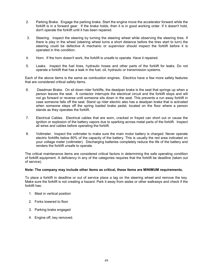- 2. Parking Brake. Engage the parking brake. Start the engine move the accelerator forward while the forklift is in a forward gear. If the brake holds, then it is in good working order. If it doesn't hold, don't operate the forklift until it has been repaired.
- 3. Steering. Inspect the steering by turning the steering wheel while observing the steering tires. If there is play in the wheel (steering wheel turns a short distance before the tires start to turn) the steering could be defective A mechanic or supervisor should inspect the forklift before it is operated in this condition.
- 4. Horn. If the horn doesn't work, the forklift is unsafe to operate. Have it repaired.
- 5. Leaks. Inspect the fuel lines, hydraulic hoses and other parts of the forklift for leaks. Do not operate a forklift that has a leak in the fuel, oil, hydraulic or transmission systems.

Each of the above items is the same as combustion engines. Electrics have a few more safety features that are considered critical safety items.

- 6. Deadman Brake. On sit down rider forklifts, the deadpan brake is the seat that springs up when a person leaves the seat. A contactor interrupts the electrical circuit and the forklift stops and will not go forward or reverse until someone sits down in the seat. This prevents a run away forklift in case someone falls off the seat. Stand up rider electric also has a deadpan brake that is activated when someone steps off the spring loaded brake pedal, located on the floor where a person stands as they operates the forklift.
- 7. Electrical Cables. Electrical cables that are worn, cracked or frayed can short out or cause the ignition or explosion of the battery vapors due to sparking across metal parts of the forklift. Inspect all wires and cables before operating the forklift.
- 8. Voltmeter. Inspect the voltmeter to make sure the main motor battery is charged. Never operate electric forklifts below 80% of the capacity of the battery. This is usually the red area indicated on your voltage meter (voltmeter). Discharging batteries completely reduce the life of the battery and renders the forklift unsafe to operate.

The critical maintenance items are considered critical factors in determining the safe operating condition of forklift equipment. A deficiency in any of the categories requires that the forklift be deadline (taken out of service).

### **Note: The company may include other items as critical, these items are MINIMUM requirements.**

To place a forklift in deadline or out of service place a tag on the steering wheel and remove the key. Make sure the forklift is not creating a hazard. Park it away from aisles or other walkways and check if the forklift has:

- 1. Mast in vertical position
- 2. Forks lowered to floor
- 3. Parking brake engaged
- 4. Engine off, key removed.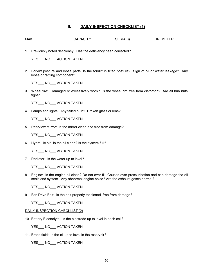## **II. DAILY INSPECTION CHECKLIST (1)**

- MAKE CAPACITY SERIAL # HR. METER
- 1. Previously noted deficiency: Has the deficiency been corrected?

YES\_\_\_ NO\_\_\_ ACTION TAKEN

2. Forklift posture and loose parts: Is the forklift in tilted posture? Sign of oil or water leakage? Any loose or rattling component?

YES NO ACTION TAKEN

3. Wheel tire: Damaged or excessively worn? Is the wheel rim free from distortion? Are all hub nuts tight?

YES NO ACTION TAKEN

4. Lamps and lights: Any failed bulb? Broken glass or lens?

YES NO ACTION TAKEN

5. Rearview mirror: Is the mirror clean and free from damage?

YES\_\_\_ NO\_\_\_ ACTION TAKEN

6. Hydraulic oil: Is the oil clean? Is the system full?

YES NO ACTION TAKEN

7. Radiator: Is the water up to level?

YES\_\_\_ NO\_\_\_ ACTION TAKEN:

8. Engine: Is the engine oil clean? Do not over fill. Causes over pressurization and can damage the oil seals and system. Any abnormal engine noise? Are the exhaust gases normal?

YES NO ACTION TAKEN

9. Fan Drive Belt: Is the belt properly tensioned, free from damage?

YES NO ACTION TAKEN

#### DAILY INSPECTION CHECKLIST (2)

10. Battery Electrolyte: Is the electrode up to level in each cell?

YES\_\_\_ NO\_\_\_ ACTION TAKEN

11. Brake fluid: Is the oil up to level in the reservoir?

YES NO ACTION TAKEN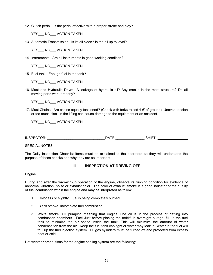12. Clutch pedal: Is the pedal effective with a proper stroke and play?

YES NO ACTION TAKEN

13. Automatic Transmission: Is its oil clean? Is the oil up to level?

YES NO ACTION TAKEN

14. Instruments: Are all instruments in good working condition?

YES NO ACTION TAKEN

15. Fuel tank: Enough fuel in the tank?

YES\_\_\_ NO\_\_\_ ACTION TAKEN

16. Mast and Hydraulic Drive: A leakage of hydraulic oil? Any cracks in the mast structure? Do all moving parts work properly?

YES NO ACTION TAKEN:

17. Mast Chains: Are chains equally tensioned? (Check with forks raised 4-6' of ground). Uneven tension or too much slack in the lifting can cause damage to the equipment or an accident.

YES NO ACTION TAKEN:

INSPECTOR: \_\_\_\_\_\_\_\_\_\_\_\_\_\_\_\_\_\_\_\_\_\_\_\_\_\_\_\_\_\_DATE:\_\_\_\_\_\_\_\_\_\_\_\_\_\_\_ SHIFT:

SPECIAL NOTES:

The Daily Inspection Checklist items must be explained to the operators so they will understand the purpose of these checks and why they are so important.

## **III. INSPECTION AT DRIVING OFF**

Engine

During and after the warming-up operation of the engine, observe its running condition for evidence of abnormal vibration, noise or exhaust color. The color of exhaust smoke is a good indicator of the quality of fuel combustion within the engine and may be interpreted as follow:

- 1. Colorless or slightly: Fuel is being completely burned.
- 2. Black smoke. Incomplete fuel combustion.
- 3. White smoke. Oil pumping meaning that engine lube oil is in the process of getting into combustion chambers. Fuel Just before placing the forklift in overnight outage, fill up the fuel tank to minimize the air space inside the tank. This will minimize the amount of water condensation from the air. Keep the fuel tank cap tight or water may leak in. Water in the fuel will foul up the fuel injection system. LP gas cylinders must be turned off and protected from excess heat or cold.

Hot weather precautions for the engine cooling system are the following: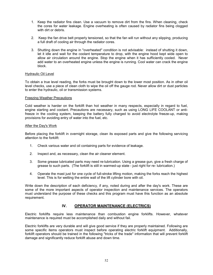- 1. Keep the radiator fins clean. Use a vacuum to remove dirt from the fins. When cleaning, check the cores for water leakage. Engine overheating is often caused by radiator fins being clogged with dirt or debris.
- 2. Keep the fan drive belt properly tensioned, so that the fan will run without any slipping, producing a full draft of cooling air through the radiator cores.
- 3. Shutting down the engine in ''overheated'' condition is not advisable: instead of shutting it down, let it idle and wait for the coolant temperature to drop, with the engine hood kept wide open to allow air circulation around the engine. Stop the engine when it has sufficiently cooled. Never add water to an overheated engine unless the engine is running. Cool water can crack the engine block.

### Hydraulic Oil Level

To obtain a true level reading, the forks must be brought down to the lower most position. As in other oil level checks, use a piece of clean cloth to wipe the oil off the gauge rod. Never allow dirt or dust particles to enter the hydraulic, oil or transmission systems.

### Freezing Weather Precautions

Cold weather is harder on the forklift than hot weather in many respects, especially in regard to fuel, engine starting and coolant. Precautions are necessary, such as using LONG LIFE COOLANT or antifreeze in the cooling system, keeping the battery fully charged to avoid electrolyte freeze-up, making provisions for avoiding entry of water into the fuel, etc.

#### After the Day's Work

Before placing the forklift in overnight storage, clean its exposed parts and give the following servicing attention to the forklift:

- 1. Check various water and oil containing parts for evidence of leakage.
- 2. Inspect and, as necessary, clean the air cleaner element.
- 3. Some grease lubricated parts may need re-lubrication. Using a grease gun, give a fresh charge of grease to such parts. (The forklift is still in warmed-up state - just right for re- lubrication.)
- 4. Operate the mast just for one cycle of full-stroke lifting motion, making the forks reach the highest level. This is for wetting the entire wall of the lift cylinder bore with oil.

Write down the description of each deficiency, if any, noted during and after the day's work. These are some of the more important aspects of operator inspection and maintenance services. The operators must understand the purpose of these checks and this program must have this function as an absolute requirement.

## **IV. OPERATOR MAINTENANCE (ELECTRICS)**

Electric forklifts require less maintenance than combustion engine forklifts. However, whatever maintenance is required must be accomplished daily and without fail.

Electric forklifts are very durable and will give good service if they are properly maintained. Following are some specific items operators must inspect before operating electric forklift equipment. Additionally, forklift operators should be trained in the following "tricks of the trade'' information that will prevent forklift damage and significantly reduce forklift abuse and down time.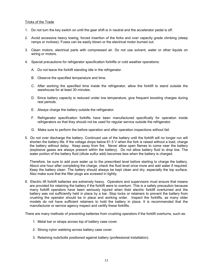### Tricks of the Trade

- 1. Do not turn the key switch on until the gear shift is in neutral and the accelerator pedal is off.
- 2. Avoid excessive heavy towing, forced insertion of the forks and over capacity grade climbing (steep ramps or inclines). Fuses can be easily blown or the electrical motor burned out.
- 3. Clean motors, electrical parts with compressed air. Do not use solvent, water or other liquids on wiring or motors.
- 4. Special precautions for refrigerator specification forklifts or cold weather operations:
	- A. Do not leave the forklift standing idle in the refrigerator.
	- B. Observe the specified temperature and time.
	- C. After working the specified time inside the refrigerator, allow the forklift to stand outside the warehouse for at least 30 minutes.
	- D. Since battery capacity is reduced under low temperature, give frequent boosting charges during rest periods.
	- E. Always charge the battery outside the refrigerator.
	- F. Refrigerator specification forklifts have been manufactured specifically for operation inside refrigerators so that they should not be used for regular service outside the refrigerator.
	- G. Make sure to perform the before operation and after operation inspections without fail.
- 5. Do not over discharge the battery. Continued use of the battery until the forklift will no longer run will shorten the battery life. If the voltage drops below 61.5 V when the fork is raised without a load, charge the battery without delay. Keep away from fire. Never allow open flames to come near the battery (explosive gases are always present within the battery). Do not allow battery fluid to drop low. The water portion of the battery fluid (dilute sulfur add) becomes less when the battery is charged.

Therefore, be sure to add pure water up to the prescribed level before starting to charge the battery. About one hour after completing the charge, check the fluid level once more and add water if required. Keep the battery clean. The battery should always be kept clean and dry, especially the top surface. Also make sure that the filler plugs are screwed in tightly.

6. Electric lift forklift batteries are extremely heavy. Operators and supervisors must ensure that means are provided for retaining the battery if the forklift were to overturn. This is a safety precaution because many forklift operators have been seriously injured when their electric forklift overturned and the battery was not sufficiently held in place by a bar. Stop locks or retainers to prevent the battery from crushing the operator should be in place and working order. Inspect the forklifts, as many older models do not have sufficient retainers to hold the battery in place. It is recommended that the manufacturer or service agency inspect and certify these forklifts.

There are many methods of preventing batteries from crushing operators if the forklift overturns, such as:

- 1. Metal bar or straps across top of battery case cover.
- 2. Strong nylon webbing across battery case cover.
- 3. Retaining nuts/bolts positioned against battery (professional installation).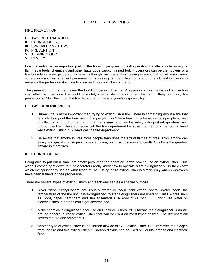# **FORKLIFT - LESSON # 5**

### FIRE PREVENTION

- I. TWO GENERAL RULES
- II. EXTINGUISHERS
- III. SPRINKLER SYSTEMS
- IV. PREVENTION
- V **TERMINOLOGY**
- VI. REVIEW

Fire prevention is an important part of the training program. Forklift operators handle a wide variety of flammable fuels, chemicals and other hazardous cargo. Trained forklift operators can be the nucleus of a fire brigade or emergency action team, although fire prevention training is essential for all employees, supervisors and management personnel. This training can be utilized on and off the job and will serve to enhance the professionalism, motivation and morale of the company.

The prevention of one fire makes the Forklift Operator Training Program very worthwhile, not to mention cost effective. Just one fire could ultimately cost a life or loss of employment. Keep in mind, fire prevention is NOT the job of the fire department. It is everyone's responsibility.

## **I. TWO GENERAL RULES**

- 1. Human life is more important than trying to extinguish a fire. There is something about a fire that tends to bring out the hero instinct in people. Don't be a hero. This behavior gets people burned or killed trying to put out a fire. If the fire is small and can be safely extinguished, go ahead and put out the fire. Have someone call the fire department because the fire could get out of hand while extinguishing it. Always call the fire department.
- 2. Be aware that smoke injures more people than does the actual flames of fires. Thick smoke can easily and quickly cause panic, disorientation, unconsciousness and death. Smoke is the greatest hazard in most fires.

## **II. EXTINGUISHERS**

Being able to put out a small fire safely presumes the operator knows how to use an extinguisher. But, when it comes right down to it do operators really know how to operate a fire extinguisher? Do they know which extinguisher to use on what types of fire? Using a fire extinguisher is simple only when employees have been trained in their proper use.

There are several types of extinguishers and each one serves a special purpose.

- 1. Silver finish extinguishers are usually water or soda acid extinguishers. Water cools the temperature of the fire until it is extinguished. Water extinguishers are used on Class A fires such as wood, paper, cardboard and similar materials. A word of caution. . . . don't use water on electrical fires, a person could get electrocuted.
- 2. A dry chemical extinguisher is for use on Class ABC fires. ABC means the extinguisher is an allaround general purpose extinguisher that can be used on most types of fires. The dry chemical covers the fire and smothers it.
- 3. Another type of extinguisher is the carbon dioxide or CO2 extinguisher. CO2 removes the oxygen from the fire and this extinguishes it. Carbon dioxide can be used on liquids, grease and electrical fires.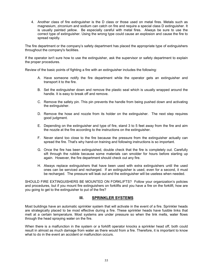4. Another class of fire extinguisher is the D class or those used on metal fires. Metals such as magnesium, zirconium and sodium can catch on fire and require a special class D extinguisher. It is usually painted yellow. Be especially careful with metal fires. Always be sure to use the correct type of extinguisher. Using the wrong type could cause an explosion and cause the fire to spread rapidly.

The fire department or the company's safety department has placed the appropriate type of extinguishers throughout the company's facilities.

If the operator isn't sure how to use the extinguisher, ask the supervisor or safety department to explain the proper procedures.

Review of the basic points of fighting a fire with an extinguisher includes the following:

- A. Have someone notify the fire department while the operator gets an extinguisher and transport it to the fire.
- B. Set the extinguisher down and remove the plastic seal which is usually wrapped around the handle. It is easy to break off and remove.
- C. Remove the safety pin. This pin prevents the handle from being pushed down and activating the extinguisher.
- D. Remove the hose and nozzle from its holder on the extinguisher. The next step requires good judgment.
- E. Depending on the extinguisher and type of fire, stand 3 to 5 feet away from the fire and aim the nozzle at the fire according to the instructions on the extinguisher.
- F. Never stand too close to the fire because the pressure from the extinguisher actually can spread the fire. That's why hand-on training and following instructions is so important.
- G. Once the fire has been extinguished, double check that the fire is completely out. Carefully sift through the rubble because some materials can smolder for hours before starting up again. However, the fire department should check out any fire.
- H. Always replace extinguishers that have been used with extra extinguishers until the used ones can be serviced and recharged. If an extinguisher is used, even for a second, it must be recharged. The pressure will leak out and the extinguisher will be useless when needed.

SHOULD FIRE EXTINGUISHERS BE MOUNTED ON FORKLIFTS? Follow your organization's policies and procedures, but if you mount fire extinguishers on forklifts and you have a fire on the forklift, how are you going to get to the extinguisher to put of the fire?

## **III. SPRINKLER SYSTEMS**

Most buildings have an automatic sprinkler system that will activate in the event of a fire. Sprinkler heads are strategically placed to be most effective during a fire. These sprinkler heads have fusible links that melt at a certain temperature. Most systems are under pressure so when the link melts, water flows through the head spraying water on the fire.

When there is a malfunction in the system or a forklift operator knocks a sprinkler head off, both could result in almost as much damage from water as there would from a fire. Therefore, it is important to know what to do in the event an accident or malfunction occurs.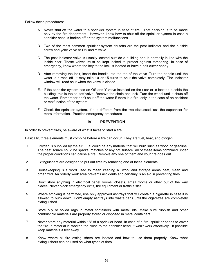Follow these procedures:

- A. Never shut off the water to a sprinkler system in case of fire. That decision is to be made only by the fire department. However, know how to shut off the sprinkler system in case a sprinkler head is broken off or the system malfunctions.
- B. Two of the most common sprinkler system shutoffs are the post indicator and the outside screw and yoke valve or OS and Y valve.
- C. The post indicator valve is usually located outside a building and is normally in line with the inside riser. These valves must be kept locked to protect against tampering. In case of emergency, know where the key to the lock is located or have a bolt cutter handy.
- D. After removing the lock, insert the handle into the top of the valve. Turn the handle until the water is turned off. It may take 10 or 15 turns to shut the valve completely. The indicator window will read shut when the valve is closed.
- E. If the sprinkler system has an OS and Y valve installed on the riser or is located outside the building, this is the shutoff valve. Remove the chain and lock. Turn the wheel until it shuts off the water. Remember don't shut off the water if there is a fire, only in the case of an accident or malfunction of the system.
- F. Check the sprinkler system. If it is different from the two discussed, ask the supervisor for more information. Practice emergency procedures.

## **IV. PREVENTION**

In order to prevent fires, be aware of what it takes to start a fire.

Basically, three elements must combine before a fire can occur. They are fuel, heat, and oxygen.

- 1. Oxygen is supplied by the air. Fuel could be any material that will burn such as wood or gasoline. The heat source could be sparks, matches or any hot surface. All of these items combined under the proper conditions can cause a fire. Remove any one of them and your fire goes out.
- 2. Extinguishers are designed to put out fires by removing one of these elements.
- 3. Housekeeping is a word used to mean keeping all work and storage areas neat, clean and organized. An orderly work area prevents accidents and certainly is an aid in preventing fires.
- 4. Don't store anything in electrical panel rooms, closets, small rooms or other out of the way places. Never block emergency exits, fire equipment or traffic aisles.
- 5. Where smoking is permitted, use only approved ashtrays that will contain a cigarette in case it is allowed to burn down. Don't empty ashtrays into waste cans until the cigarettes are completely extinguished.
- 6. Store oily or soiled rags in metal containers with metal lids. Make sure rubbish and other combustible materials are properly stored or disposed in metal containers.
- 7. Never store any material within 18" of a sprinkler head. In case of a fire, sprinkler needs to cover the fire. If material is stacked too close to the sprinkler head, it won't work effectively. If possible keep materials 3 feet away.
- 8. Know where all fire extinguishers are located and how to use them properly. Know what extinguishers can be used on what types of fires.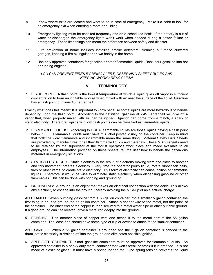- 9. Know where exits are located and what to do in case of emergency. Make it a habit to look for an emergency exit when entering a room or building.
- 10. Emergency lighting must be checked frequently and on a scheduled basis. If the battery is out of water or discharged the emergency lights won't work when needed during a power failure or emergency. These little things can mean the difference between safety and disaster.
- 11. Fire prevention at home includes installing smoke detectors, cleaning out those cluttered garages, keeping a fire extinguisher or two handy in the home.
- 12. Use only approved containers for gasoline or other flammable liquids. Don't pour gasoline into hot or running engines.

## *YOU CAN PREVENT FIRES BY BEING ALERT, OBSERVING SAFETY RULES AND KEEPING WORK AREAS CLEAN*

## **V. TERMINOLOGY**

 1. FLASH POINT: A flash point is the lowest temperature at which a liquid gives off vapor in sufficient concentration to form an ignitable mixture when mixed with air near the surface of the liquid. Gasoline has a flash point of minus 45 Fahrenheit.

Exactly what does this mean? It is important to know because some liquids are more hazardous to handle depending upon the flash point. According to the definition, gasoline at - 45 Fahrenheit will give off a vapor that, when properly mixed with air, can be ignited. Ignition can come from a match, a spark or static electricity. Therefore, liquids with low flash points can be classified as flammable liquids.

- 2. FLAMMABLE LIQUIDS: According to OSHA, flammable liquids are those liquids having a flash point below 100 F. Flammable liquids must have this label posted visibly on the container. Keep in mind that both the word flammable and inflammable mean the same thing. Material Safety Data Sheets are provided by manufactures for all their flammable liquids and materials. These MSDS sheets need to be retained by the supervisor at the forklift operator's work place and made available to all employees. The information provided on these sheets, tell the user how to handle the hazardous materials in emergency situations.
- 3. STATIC ELECTRICITY: Static electricity is the result of electrons moving from one place to another and this movement creates electricity. Every time the operator pours liquid, rotate rubber fan belts, tires or other items, to create static electricity. This form of electricity can cause ignition of flammable liquids. Therefore, it would be wise to eliminate static electricity when dispensing gasoline or other flammables. This can be done with bonding and grounding.
- 4. GROUNDING: A ground is an object that makes an electrical connection with the earth. This allows any electricity to escape into the ground, thereby avoiding the build-up of an electrical charge.

AN EXAMPLE: When pumping gasoline from a 55 gallon container into a smaller 5 gallon container, the first thing to do is to ground the 55 gallon container. Attach a copper wire to the metal, not the paint, of the container. The other end of the copper is then secured to a metal water pipe or other suitable ground. If a good ground can't be located, drive a metal rod deeply into the ground.

5. BONDING: Use another piece of copper wire and attach it to the metal part of the 55 gallon container. The loose end should have some type of clip or device to attach to the smaller container.

AN EXAMPLE: When a 55 gallon container is grounded and the 5 gallon container is bonded to the drum, static electricity is drained off into the ground and eliminates possible ignition.

6. APPROVED CONTAINER: Small gasoline containers must be approved for flammable liquids. An approved container is a heavy duty metal container that won't break or crack if it is dropped. It is not made of plastic or glass. It must have a spring loaded top. The spring tension prevents the liquid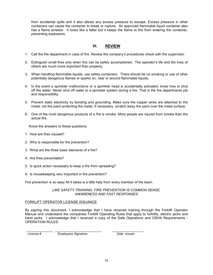from accidental spills and it also allows any excess pressure to escape. Excess pressure in other containers can cause the container to break or rupture. An approved flammable liquid container also has a flame arrestor. It looks like a falter but it keeps the flame or fire from entering the container, preventing explosions.

# **VI. REVIEW**

- 1. Call the fire department in case of fire. Review the company's procedures check with the supervisor.
- 2. Extinguish small fires only when this can be safely accomplished. The operator's life and the lives of others are much more important than property.
- 3. When handling flammable liquids, use safety containers. There should be no smoking or use of other potentially dangerous flames or sparks on, near or around flammable liquids.
- 4. In the event a sprinkler malfunctions or a sprinkler head is accidentally activated, know how to shut off the water. Never shut off water to a sprinkler system during a fire. That is the fire departments job and responsibility.
- 5. Prevent static electricity by bonding and grounding. Make sure the copper wires are attached to the metal, not the paint protecting the metal. If necessary, scratch away the paint over the metal surface.
- 6. One of the most dangerous products of a fire is smoke. More people are injured from smoke than the actual fire.

Know the answers to these questions:

- 1. How are fires caused?
- 2. Who is responsible for fire prevention?
- 3. What are the three basic elements of a fire?
- 4. Are fires preventable?
- 5. Is quick action necessary to keep a fire from spreading?
- 6. Is housekeeping very important in fire prevention?

Fire prevention is so easy All it takes is a little help from every member of the team.

*LIKE SAFETY TRAINING, FIRE PREVENTION IS COMMON SENSE, AWARENESS AND FAST RESPONSES* 

### FORKLIFT OPERATOR LICENSE ISSUANCE

By signing this document, I acknowledge that I have received training through the Forklift Operator Manual and understand the companies Forklift Operating Rules that apply to forklifts, electric jacks and hand jacks. I acknowledge that I received a copy of the Safe Operations and OSHA Requirements -OPERATION RULES.

 *License # Employees Signature Date Issued* 

\_\_\_\_\_\_\_\_\_\_\_\_\_\_ \_\_\_\_\_\_\_\_\_\_\_\_\_\_\_\_\_\_\_\_\_\_\_\_ \_\_\_\_\_\_\_\_\_\_\_\_\_\_\_\_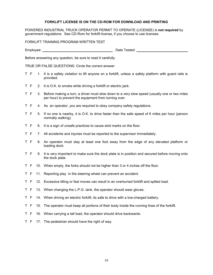## **FORKLIFT LICENSE IS ON THE CD-ROM FOR DOWNLOAD AND PRINTING**

POWERED INDUSTRIAL TRUCK OPERATOR PERMIT TO OPERATE (LICENSE) is **not required** by government regulations. See CD-Rom for forklift license, if you choose to use licenses.

FORKLIFT TRAINING PROGRAM WRITTEN TEST

Employee: Contract the Contract of the Contract of the Date Tested: Contract of the Date Tested:

Before answering any question, be sure to read it carefully.

TRUE OR FALSE QUESTIONS: Circle the correct answer

- T F 1. It is a safety violation to lift anyone on a forklift, unless a safety platform with guard rails is provided.
- T F 2. It is O.K. to smoke while driving a forklift or electric jack.
- T F 3. Before making a turn, a driver must slow down to a very slow speed (usually one or two miles per hour) to prevent the equipment from turning over.
- T F 4. As an operator, you are required to obey company safety regulations.
- T F 5. If no one is nearby, it is O.K. to drive faster than the safe speed of 6 miles per hour (person normally walking).
- T F 6. It is a sign of unsafe practices to cause skid marks on the floor.
- T F 7. All accidents and injuries must be reported to the supervisor immediately.
- T F 8. An operator must stay at least one foot away from the edge of any elevated platform or loading dock.
- T F 9. It is very important to make sure the dock plate is in position and secured before moving onto the dock plate.
- T F 10. When empty, the forks should not be higher than 3 or 4 inches off the floor.
- T F 11. Reporting play in the steering wheel can prevent an accident.
- T F 12. Excessive tilting or fast moves can result in an overturned forklift and spilled load.
- T F 13. When changing the L.P.G. tank, the operator should wear gloves.
- T F 14. When driving an electric forklift, its safe to drive with a low-charged battery.
- T F 15. The operator must keep all portions of their body inside the running lines of the forklift.
- T F 16. When carrying a tall load, the operator should drive backwards.
- T F 17. The pedestrian should have the right of way.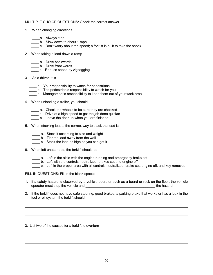## MULTIPLE CHOICE QUESTIONS: Check the correct answer

- 1. When changing directions
	- \_\_\_\_\_\_a. Always stop
	- \_\_\_\_ b. Slow down to about 1 mph
	- c. Don't worry about the speed; a forklift is built to take the shock
- 2. When taking a load down a ramp
	- **\_\_\_\_** a. Drive backwards
	- **\_\_\_\_** b. Drive front wards
	- \_\_\_\_ c. Reduce speed by zigzagging
- 3. As a driver, it is.
	- \_\_\_\_ a. Your responsibility to watch for pedestrians
	- \_\_\_\_ b. The pedestrian's responsibility to watch for you
	- \_\_\_\_ c. Management's responsibility to keep them out of your work area
- 4. When unloading a trailer, you should
	- **\_\_\_\_** a. Check the wheels to be sure they are chocked
	- **\_\_\_\_** b. Drive at a high speed to get the job done quicker
	- c. Leave the door up when you are finished
- 5. When stacking loads, the correct way to stack the load is
	- **\_\_\_\_** a. Stack it according to size and weight
	- b. Tier the load away from the wall
	- **EXECO** c. Stack the load as high as you can get it
- 6. When left unattended, the forklift should be
	- \_\_\_\_ a. Left in the aisle with the engine running and emergency brake set
	- **b.** Left with the controls neutralized, brakes set and engine off
	- c. Left in the proper area with all controls neutralized, brake set, engine off, and key removed

## FILL-IN QUESTIONS: Fill-in the blank spaces

- 1. If a safety hazard is observed by a vehicle operator such as a board or rock on the floor, the vehicle operator must stop the vehicle and \_\_\_\_\_\_\_\_\_\_\_\_\_\_\_\_\_\_\_\_\_\_\_\_\_\_\_\_\_\_\_\_\_\_\_\_ the hazard.
- 2. If the forklift does not have safe steering, good brakes, a parking brake that works or has a leak in the fuel or oil system the forklift should
- 3. List two of the causes for a forklift to overturn

 $\ddot{\phantom{a}}$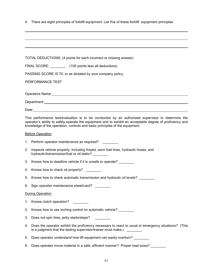| 4. There are eight principles of forklift equipment. List five of these forklift equipment principles |  |  |
|-------------------------------------------------------------------------------------------------------|--|--|
|                                                                                                       |  |  |

 $\overline{a}$ 

|    | TOTAL DEDUCTIONS: (4 points for each incorrect or missing answer)                                                                                                                                                                                                                            |
|----|----------------------------------------------------------------------------------------------------------------------------------------------------------------------------------------------------------------------------------------------------------------------------------------------|
|    | FINAL SCORE: (100 points less all deductions)                                                                                                                                                                                                                                                |
|    | PASSING SCORE IS 70, or as dictated by your company policy.                                                                                                                                                                                                                                  |
|    | PERFORMANCE TEST                                                                                                                                                                                                                                                                             |
|    |                                                                                                                                                                                                                                                                                              |
|    |                                                                                                                                                                                                                                                                                              |
|    |                                                                                                                                                                                                                                                                                              |
|    | This performance test/evaluation is to be conducted by an authorized supervisor to determine the<br>operator's ability to safely operate the equipment and to exhibit an acceptable degree of proficiency and<br>knowledge of the operation, controls and basic principles of the equipment. |
|    | <b>Before Operation</b>                                                                                                                                                                                                                                                                      |
|    | 1. Perform operator maintenance as required?                                                                                                                                                                                                                                                 |
| 2. | Inspects vehicle properly, including frayed, worn fuel lines, hydraulic hoses, and<br>hydraulic/transmission/fuel or oil leaks? _______                                                                                                                                                      |
| 3. | Knows how to deadline vehicle if it is unsafe to operate?                                                                                                                                                                                                                                    |
|    | 4. Knows how to check oil properly? ________                                                                                                                                                                                                                                                 |
| 5. | Knows how to check automatic transmission and hydraulic oil levels?                                                                                                                                                                                                                          |
|    | 6. Sign operator maintenance sheet/card?                                                                                                                                                                                                                                                     |
|    | <b>During Operation</b>                                                                                                                                                                                                                                                                      |
| 1. | Knows clutch operation?                                                                                                                                                                                                                                                                      |
| 2. | Knows how to use inching control on automatic vehicle? ________                                                                                                                                                                                                                              |
| 3. | Does not spin tires, jerky starts/stops?                                                                                                                                                                                                                                                     |
| 4. | Does the operator exhibit the proficiency necessary to react to usual or emergency situations? (This<br>is a judgment that the testing supervisor/trainer must make.)                                                                                                                        |
| 5. | Does operator understand how lift equipment can easily overturn?                                                                                                                                                                                                                             |
| 6. | Does operator move material in a safe, efficient manner? Proper load sizes?                                                                                                                                                                                                                  |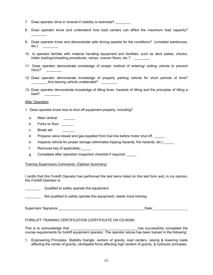- 7. Does operator drive in reverse if visibility is restricted?
- 8. Does operator know and understand how load centers can affect the maximum load capacity?
- 9. Does operator know and demonstrate safe driving speeds for the conditions? (crowded warehouse, etc.) \_\_\_\_\_\_\_\_
- 10. Is operator familiar with material handling equipment and facilities, such as deck plates, chocks, trailer loading/unloading procedures, ramps, uneven floors, etc.?
- 11. Does operator demonstrate knowledge of proper method of entering/ exiting vehicle to prevent injury? \_\_\_\_\_\_\_\_
- 12. Does operator demonstrate knowledge of properly parking vehicle for short periods of time? \_\_\_\_\_\_\_\_ And leaving vehicle unattended? \_\_\_\_\_\_\_\_
- 13. Does operator demonstrate knowledge of tilting lever, hazards of tilting and the principles of tilting a load?

#### After Operation

 $\frac{1}{2}$ 

- 1. Does operator know how to shut off equipment properly, including?
	- a. Mast vertical
	- b. Forks on floor
	- c. Break set
	- d. Propane valve closed and gas expelled from fuel line before motor shut off.
	- e. Inspects vehicle for proper storage (eliminates tripping hazards, fire hazards, etc.)
	- f. Removes key (if applicable) \_\_\_\_\_
	- g. Completes after operation inspection checklist if required.

### Training Supervisors Comments: (Opinion Summary)

I certify that this Forklift Operator has performed the test items listed on this test form and, in my opinion, this Forklift Operator is:

|  | Qualified to safely operate this equipment. |  |
|--|---------------------------------------------|--|
|--|---------------------------------------------|--|

Not qualified to safely operate this equipment; needs more training.

Supervisor Signature **Example 2018** Supervisor Signature **Contract 2018** Supervisor Signature **Contract 2019** 

FORKLIFT TRAINING CERTIFICATION (CERTIFICATE ON CD-ROM)

This is to acknowledge that the second second that the successfully completed the second the second the second the second the second the second the second the second the second the second the second the second the second t course requirements for forklift equipment operator. The operator above has been trained in the following:

1. Engineering Principles. Stability triangle, centers of gravity, load centers, raising & lowering loads affecting the center of gravity, centripetal force affecting high centers of gravity, & hydraulic principles.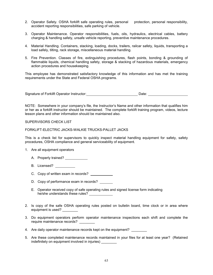- 2. Operator Safety. OSHA forklift safe operating rules, personal protection, personal responsibility, accident reporting responsibilities, safe parking of vehicle.
- 3. Operator Maintenance. Operator responsibilities, fuels, oils, hydraulics, electrical cables, battery charging & handling safety, unsafe vehicle reporting, preventive maintenance procedures.
- 4. Material Handling. Containers, stacking, loading, docks, trailers, railcar safety, liquids, transporting a load safely, tilting, rack storage, miscellaneous material handling.
- 5. Fire Prevention. Classes of fire, extinguishing procedures, flash points, bonding & grounding of flammable liquids, chemical handling safety, storage & stacking of hazardous materials, emergency action procedures and housekeeping.

This employee has demonstrated satisfactory knowledge of this information and has met the training requirements under the State and Federal OSHA programs.

Signature of Forklift Operator Instructor: Date: Date:

NOTE: Somewhere in your company's file, the Instructor's Name and other information that qualifies him or her as a forklift instructor should be maintained. The complete forklift training program, videos, lecture lesson plans and other information should be maintained also.

#### SUPERVISORS CHECK LIST

FORKLIFT-ELECTRIC JACKS-WALKIE TRUCKS-PALLET JACKS

This is a check list for supervisors to quickly inspect material handling equipment for safety, safety procedures, OSHA compliance and general serviceability of equipment.

- 1. Are all equipment operators
	- A. Properly trained?
	- B. Licensed?
	- C. Copy of written exam in records?
	- D. Copy of performance exam in records?
	- E. Operator received copy of safe operating rules and signed license form indicating he/she understands these rules?
- 2. Is copy of the safe OSHA operating rules posted on bulletin board, time clock or in area where equipment is used?
- 3. Do equipment operators perform operator maintenance inspections each shift and complete the require maintenance records?

4. Are daily operator maintenance records kept on the equipment?

5. Are these completed maintenance records maintained in your files for at least one year? (Retained indefinitely on equipment involved in injuries)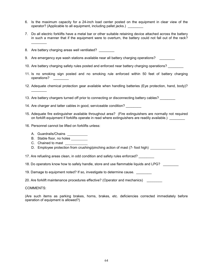- 6. Is the maximum capacity for a 24-inch load center posted on the equipment in clear view of the operator? (Applicable to all equipment, including pallet jacks.)
- 7. Do all electric forklifts have a metal bar or other suitable retaining device attached across the battery in such a manner that if the equipment were to overturn, the battery could not fall out of the rack?
- 8. Are battery charging areas well ventilated? 9. Are emergency eye wash stations available near all battery charging operations?
- 10. Are battery charging safety rules posted and enforced near battery charging operations?
- 11. Is no smoking sign posted and no smoking rule enforced within 50 feet of battery charging operations?
- 12. Adequate chemical protection gear available when handling batteries (Eye protection, hand, body)?
- 13. Are battery chargers turned off prior to connecting or disconnecting battery cables?
- 14. Are charger and tatter cables in good, serviceable condition?
- 15. Adequate fire extinguisher available throughout area? (Fire extinguishers are normally not required on forklift equipment if forklifts operate in read where extinguishers are readily available.) \_\_\_\_\_\_\_\_
- 16. Personnel cannot be lifted on forklifts unless:
	- A. Guardrails/Chains

 $\frac{1}{2}$ 

 $\frac{1}{2}$ 

- B. Stable floor, no holes
- C. Chained to mast
- D. Employee protection from crushing/pinching action of mast (7- foot high) \_\_\_\_\_\_\_\_\_\_

17. Are refueling areas clean, in odd condition and safety rules enforced? \_\_\_\_\_\_

18. Do operators know how to safely handle, store and use flammable liquids and LPG? \_\_\_\_\_\_\_\_

19. Damage to equipment noted? If so, investigate to determine cause.

20. Are forklift maintenance procedures effective? (Operator and mechanics) \_\_\_\_\_\_\_\_

COMMENTS:

(Are such items as parking brakes, horns, brakes, etc. deficiencies corrected immediately before operation of equipment is allowed?)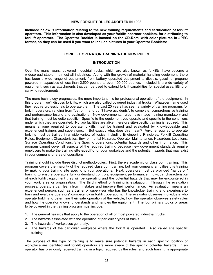### **NEW FORKLIFT RULES ADOPTED IN 1998**

**Included below is information relating to the new training requirements and certification of forklift operators. This information is also developed as your forklift operator booklets, for distributing to forklift operators. The Operator Booklet is located on the CD-Rom, with color pictures in JPEG format, so they can be used if you want to include pictures in your Operator Booklets:** 

### **FORKLIFT OPERATOR TRAINING-THE NEW RULES**

### **INTRODUCTION**

Over the many years, powered industrial trucks, which are also known as forklifts, have become a widespread staple in almost all industries. Along with the growth of material handling equipment, there has been a wide range of equipment, from battery operated equipment to diesels, gasoline, propane powered in capacities of less than 2,500 pounds to over 100,000 pounds. Included is a wide variety of equipment, such as attachments that can be used to extend forklift capabilities for special uses, lifting or carrying requirements.

The more technology progresses, the more important it is for professional operation of the equipment. In this program we'll discuss forklifts, which are also called powered industrial trucks. Whatever name used they require professionals to operate them. The past 20 years has seen a variety of training programs for forklift operators, ranging from "get on it and don't have accidents", to complete, comprehensive training and performance testing and evaluations. New governmental rules have made training mandatory and that training must be quite specific. Specific to the equipment you operate and specific to the conditions under which they are operated. No two facilities are alike, therefore site-specific training is required. This means anyone required to operate forklifts must be trained and evaluated by knowledgeable and experienced trainers and supervisors. But exactly what does this mean? Anyone required to operate forklifts must be trained in a wide variety of topics, including Engineering Principles, Forklift Operating Rules, Equipment Characteristics, Environmental Hazards, Operator Maintenance, Hazardous Locations, Surface Operating Conditions, Site Specific operations, potential hazards and other information. This program cannot cover all aspects of the required training because new government standards require employers to make the training **site specific** for your workplace and the potential hazards that may exist in your company or area of operations.

Training should include three distinct methodologies. First, there's academic or classroom training. This program covers the majority of the required classroom training, but your company amplifies this training by making your training site specific to your operations. Next, operators must be provided "hands on" training to ensure operators fully understand controls, equipment performance, individual characteristics of each forklift equipment they will be operating and the potential hazards that may be encountered in your work area or organization. The third method of training is evaluation. Through the evaluation process, operators can learn from mistakes and improve their performance. An evaluation means an experienced person, such as a trainer or supervisor who has the knowledge, training and experience to train and evaluate operators' competency in forklift operations. The evaluator observes individuals who operate forklifts to determine their safe operation of the vehicle, how the operator observes safety rules and how the operator knows, understands and handles the equipment. The four primary topics or areas to be covered in the training program must include:

- 1. The general hazards that apply to the operation of all or most powered industrial trucks.
- 2. The hazards associated with the operation of particular types of trucks.
- 3. The hazards of workplaces generally.
- 4. The hazards of the particular workplace where the forklift is operated. Also called site specific training.

The purpose of this type of training is to make sure potential hazards in each specific location or workplace are identified and forklift operators are more aware of the specific potential hazards. If an operator has previously received training in a topic required by the rules, and such training is appropriate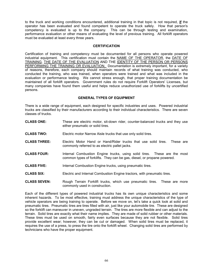to the truck and working conditions encountered, additional training in that topic is not required, **if** the operator has been evaluated and found competent to operate the truck safely. How that person's competency is evaluated is up to the company. This can be through testing and examination, performance evaluation or other means of evaluating the level of previous training. All forklift operators must be evaluated at least every three years.

### **CERTIFICATION**

Certification of training and competency must be documented for all persons who operate powered industrial equipment. This certification must contain the NAME OF THE OPERATOR, the DATE OF TRAINING, THE DATE OF THE EVALUATION AND THE IDENTITY OF THE PERSON OR PERSONS PERFORMING THE TRAINING OR EVALUATION. Documentation is extremely important, for a variety of reasons, therefore, each company should maintain records of what training was conducted, who conducted the training, who was trained, when operators were trained and what was included in the evaluation or performance testing. We cannot stress enough, that proper training documentation be maintained of all forklift operators. Government rules do not require Forklift Operators' Licenses, but many companies have found them useful and helps reduce unauthorized use of forklifts by uncertified persons.

## **GENERAL TYPES OF EQUIPMENT**

There is a wide range of equipment, each designed for specific industries and uses. Powered industrial trucks are classified by their manufacturers according to their individual characteristics. There are seven classes of trucks.

- **CLASS ONE:** These are electric motor, sit-down rider, counter-balanced trucks and they use either pneumatic or solid tires.
- **CLASS TWO:** Electric motor Narrow Aisle trucks that use only solid tires.
- **CLASS THREE:** Electric Motor Hand or Hand/Rider trucks that use solid tires. These are commonly referred to as electric pallet jacks.
- **CLASS FOUR:** Internal Combustion Engine trucks, using solid tires. These are the most common types of forklifts. They can be gas, diesel, or propane powered.
- **CLASS FIVE:** Internal Combustion Engine trucks, using pneumatic tires.
- **CLASS SIX:** Electric and Internal Combustion Engine tractors, with pneumatic tires.
- **CLASS SEVEN:** Rough Terrain Forklift trucks, which use pneumatic tires. These are more commonly used in construction.

Each of the different types of powered industrial trucks has its own unique characteristics and some inherent hazards. To be most effective, training must address the unique characteristics of the type of vehicle operators are being training to operate. Before we move on, let's take a quick look at solid and pneumatic tires. Pneumatic tires are tires filled with air, just like your automobile tire. These are designed so the forklift can maneuver in uneven, ungraded terrain. The tires are more flexible and can adjust to the terrain. Solid tires are exactly what their name implies. They are made of solid rubber or other materials. These tires must be used on smooth, fairly even surfaces because they are not flexible. Solid tires provide excellent wear; however, they can be cut or damaged. When solid tires must be replaced, it requires the use of a press, to press the tire onto the forklift wheel. Changing solid tires are performed by technicians who have the proper equipment.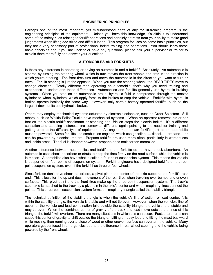### **ENGINEERING PRINCIPLES**

Perhaps one of the most important, yet misunderstood parts of any forklift-training program is the engineering principles of the equipment. Unless you have this knowledge, it's difficult to understand some of the safety rules relating to forklift operations and certainly detracts from your ability to make good judgements when lifting odd sized and difficult loads. This program focuses on some basic principles, but they are a very necessary part of professional forklift training and operations. You should learn these basic principles and if you are unclear or have any questions, please ask your supervisor or trainer to explain them more fully and answer your questions.

## **AUTOMOBILES AND FORKLIFTS**

Is there any difference in operating or driving an automobile and a forklift? Absolutely. An automobile is steered by turning the steering wheel, which in turn moves the front wheels and tires in the direction in which you're steering. The front tires turn and move the automobile in the direction you want to turn or travel. Forklift steering is just the opposite. When you turn the steering wheel, the REAR TIRES move to change direction. Totally different than operating an automobile, that's why you need training and experience to understand these differences. Automobiles and forklifts generally use hydraulic braking systems. When you step on an automobile brake, hydraulic fluid is compressed through the master cylinder to wheel cylinders, which apply force to the brakes to stop the vehicle. Forklifts with hydraulic brakes operate basically the same way. However, only certain battery operated forklifts, such as the large sit down units use hydraulic brakes.

Others may employ mechanical systems actuated by electronic solenoids, such as Order Selectors. Still others, such as Walkie Pallet Trucks have mechanical systems. When an operator removes his or her foot off the electric forklift accelerator or standing pad, friction stops the electric forklift. It's a different sensation and stopping distances are somewhat different, again pointing to the need for training and getting used to the different type of equipment. An engine must power forklifts, just as an automobile must be powered. Some forklifts use combustion engines, which use gasoline….. diesel….. propane… or can be powered by electrical motors. Propane forklifts are used more often, particularly in warehouses and inside areas. The fuel is cleaner; however, propane does emit carbon monoxide.

Another difference between automobiles and forklifts is that forklifts do not have shock absorbers. An automobile uses shock absorbers or struts to keep the tires firmly on the road surface while the vehicle is in motion. Automobiles also have what is called a four-point suspension system. This means the vehicle is supported on four points of suspension system. Forklift engineers have designed forklifts on a threepoint suspension system, even if the forklift has three or four wheels.

Since forklifts don't have shock absorbers, a pivot pin in the center of the axle supports the forklift's rear end. This allows for the up and down movement of the rear tires when traveling over bumps and uneven surfaces. This pivot point and the front tires make up the three-point suspension system. The truck's steer axle is attached to the truck by a pivot pin in the axle's center and when imaginary lines connect the points. This three-point suspension system forms an imaginary triangle called the stability triangle.

The technical definition of the stability triangle is when the vehicle's line of action, or load center, falls within the stability triangle, the vehicle is stable and will not tip over. However, when the vehicle's line of action or the vehicle and load combination falls outside the stability triangle, the vehicle is unstable and may tip over. When the combined center of gravity of the truck and load move outside the lines of this triangle, the forklift will overturn. There are many situations in which this can occur. Fast, sharp turns can cause this center of gravity to shift outside the triangle. Lifting a heavy load and tilting the mast backward while moving, then running over a piece of wood or other uneven surface can overturn the vehicle. Many operators get confused in emergencies due to the difference in rear wheel steering and the vehicle being powered by the front wheels.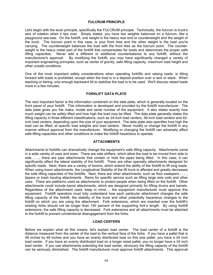### **FULCRUM PRINCIPLE**

Let's begin with the lever principle, specifically the FULCRUM principle. Technically, the fulcrum is truck's axis of rotation when it tips over. Simply stated, you have two weights balanced on a fulcrum, like a playground see-saw. On the forklift, one weight is the heavy rear end or counterweight and the weight of the truck. The fulcrum point in this case, is your front tires and the other weight is the load you're carrying. The counterweight balances the load with the front tires as the fulcrum point. The counterweight is the heavy metal part of the forklift that compensates for loads and determines the proper safe lifting capacities. Never add a different or additional counterbalance to any forklift, without the manufacturer's approval. By modifying the forklift, you may have significantly changed a variety of important engineering principles, such as center of gravity, safe lifting capacity, maximum load height and other unsafe conditions.

One of the most important safety considerations when operating forklifts and raising loads, is tilting forward with loads is prohibited, except when the load is in a deposit position over a rack or stack. When stacking or tiering, only enough backward tilt to stabilize the load is to be used. We'll discuss raised loads more in a few minutes.

## **FORKLIFT DATA PLATE**

The next important factor is the information contained on the data plate, which is generally located on the front panel of your forklift. This information is developed and provided by the forklift manufacturer. The data plate gives you the make, model and serial number of the equipment. It also states exactly how much weight can be safely lifted and how high the load may be lifted. The data plate generally states the lifting capacity in three different classifications, such as 24-inch load centers, 36-inch load centers and 42 inch load centers, depending upon the size of your equipment. The data plate also specifies how high the load can be lifted, at specific load weights and load centers. Never modify or change the forklift in any manner without approval from the manufacturer. Modifying or changing the forklift can adversely affect safe lifting capacities and other conditions to make the forklift hazardous to operate.

### **ATTACHMENTS**

Attachments to forklifts can dramatically change the equipment's safe lifting capacity. Attachments come in a wide variety of uses and sizes. There are side shifters, which allow the load to be moved from side to side……., there are pipe attachments that contain or hold the pipes being lifted. In this case, it can significantly affect the lateral stability of the forklift. There are other specialty attachments designed for specific loads. Next, there are a variety of booms, which extend the ability of the forklift to lift long loads. When using boom attachments, the Longitudinal Stability of the lift truck is affected and greatly decreases the safe lifting capacities of the forklifts. Next, there are other attachments, such as floor sweepers……., tippers or trash hauling attachments. Rams for specific service such as lifting large wire coils and other uses. There are platforms used as attachments to protect people when being lifted on the forklift. Other attachments could include barrel attachments, which are designed primarily for lifting drums and barrels. Regardless of the attachment used, keep in mind…. the equipment manufacturer must approve this equipment. Forklift operators must fully understand how each particular attachment changes the safe lifting capacity of the forklift, the stability of the truck and other potentially hazardous changes to the forklift on which you are using the attachment. Fork extensions, which are inserted over the forklift's existing forks should not be longer than 150 percent of the supporting fork's length. By using forklift extensions, the safe lifting capacity is decreased. Fork extensions and all attachments must be attached to the forklift to prevent unintentional disengagement from the forks.

### **LOAD CENTERS**

Before we explain what all this means, let's explain load center. The load center of a forklift is the distance measured from the center of the load to the vertical face of the forks. If you have a pallet that is 48 inches by 48 inches and you have an evenly distributed load on this size pallet, you have a 24 inch load center. If you have an evenly distributed load on a longer sized pallet, you no longer have a 24 inch load center. If you use attachments extending the load center, obviously the lifting capacity of the forklift can be seriously diminished. The forklift manufacturer must approve forklift attachments. This approval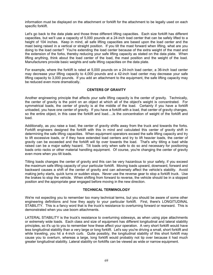information must be displayed on the attachment or forklift for the attachment to be legally used on each specific forklift.

Let's go back to the data plate and those three different lifting capacities. Each size forklift has different capacities, but we'll use a capacity of 5,000 pounds at a 24-inch load center that can be safely lifted to a height of 104 inches. Keep in mind, all safe lifting capacities are based upon the load center and the mast being raised in a vertical or straight position. If you tilt the mast forward when lifting, what are you doing to the load center? You're extending the load center because of the extra weight of the mast and the extension of the forks, thereby reducing your safe lifting capacity as stated on the data plate. When lifting anything, think about the load center of the load, the mast position and the weight of the load. Manufacturers provide basic weights and safe lifting capacities on the data plate.

For example, where the forklift is rated at 5,000 pounds on a 24-inch load center, a 36-inch load center may decrease your lifting capacity to 4,000 pounds and a 42-inch load center may decrease your safe lifting capacity to 3,000 pounds. If you add an attachment to the equipment, the safe lifting capacity may be reduced even more dramatically.

## **CENTERS OF GRAVITY**

Another engineering principle that affects your safe lifting capacity is the center of gravity. Technically, the center of gravity is the point on an object at which all of the object's weight is concentrated. For symmetrical loads, the center of gravity is at the middle of the load. Certainly if you have a forklift unloaded, you have one center of gravity. If you have a forklift with a load, that center of gravity changes, so the entire object, in this case the forklift and load.... is the concentration of weight of the forklift and load.

Additionally, as you raise a load, the center of gravity shifts away from the truck and towards the forks. Forklift engineers designed the forklift with this in mind and calculated this center of gravity shift in determining the safe lifting capacities. When equipment operators exceed the safe lifting capacity and try to lift excessive loads, or if they have extended load centers and try to lift heavier loads, the center of gravity can be exceeded and the forklift will tip over towards the load. That's why tilting a load while raised can be a major safety hazard. Tilt loads only when safe to do so and necessary for positioning loads onto racks or other material handling equipment. Of course, you're changing the center of gravity even more when you tilt loads.

Tilting loads changes the center of gravity and this can be very hazardous to your safety, if you exceed the maximum safe lifting capacity of your particular forklift. Moving loads upward, downward, forward and backward causes a shift of the center of gravity and can adversely affect the vehicle's stability. Avoid making jerky starts, quick turns or sudden stops. Never use the reverse gear to stop a forklift truck. Use the brakes to stop the vehicle. When shifting from forward to reverse, the vehicle should be in a stopped position and the appropriate gear engaged before moving in the new direction.

### **TECHNICAL TERMINOLOGY**

We're not expecting you to remember too many technical terms, but you should be aware of some other engineering definitions and how they apply to your particular forklift. First, there's LONGITUDINAL STABILITY. This is a fancy word that is the truck's resistance to overturning forward or rearward. This is demonstrated when you use boom attachments.

LATERAL STABILITY is the truck's resistance to overturning sideways, as when using pipe attachments or extremely wide loads. Each class and size of equipment has different longitudinal and lateral stability principles, so it's up to you to remember how these affect your operation. A very short forklift would have less longitudinal stability than a very large or long forklift. Let's say you're driving a small, short forklift and while traveling, you hit a 4-inch curb. Quite possibly, the longitudinal stability of this short forklift may cause you to overturn, whereas a large, long forklift would probably not tip over because it had much greater longitudinal stability. Lateral stability on forklifts can be viewed as wide or narrow equipment.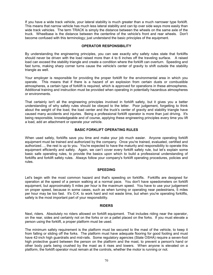If you have a wide track vehicle, your lateral stability is much greater than a much narrower type forklift. This means that narrow vehicle has much less lateral stability and can tip over side ways more easily than wide track vehicles. The term TRACK is simply the distance between the wheels on the same axle of the truck. Wheelbase is the distance between the centerline of the vehicle's front and rear wheels. Don't become confused with this terminology; just understand the basic principles of the equipment.

## **OPERATOR RESPONSIBILITY**

By understanding the engineering principles, you can see exactly why safety rules state that forklifts should never be driven with the load raised more than 4 to 6 inches off the traveling surface. A raised load can exceed the stability triangle and create a condition where the forklift can overturn. Speeding and fast turns, making sharp corner turns cause the vehicle's center of gravity to shift outside the stability triangle as well.

Your employer is responsible for providing the proper forklift for the environmental area in which you operate. This means that if there is a hazard of an explosion from certain dusts or combustible atmospheres, a certain type of forklift is required, which is approved for operations in these atmospheres. Additional training and instruction must be provided when operating in potentially hazardous atmospheres or environments.

That certainly isn't all the engineering principles involved in forklift safety, but it gives you a better understanding of why safety rules should be obeyed to the letter. Poor judgement, forgetting to think about the weight of the load, the load center and the truck's center of gravity and stability triangle have caused many accidents and injuries. Being a professional forklift operator is more than just driving. It's being responsible, knowledgeable and of course, applying these engineering principles every time you lift a load, add an attachment or operate your vehicle.

## **BASIC FORKLIFT OPERATING RULES**

When used safely, forklifts save you time and make your job much easier. Anyone operating forklift equipment must be trained and authorized by the company. Once you're trained, evaluated, certified and authorized…, the rest is up to you. You're expected to have the maturity and responsibility to operate this equipment efficiently and safely. Again, we can't cover every forklift safety rule, but let's explain some basic safe operating rules, to provide the basics upon which to build a professional understanding of forklifts and forklift safety rules. Always follow your company's forklift operating procedures, policies and rules.

### **SPEEDING**

Let's begin with the most common hazard and that's speeding on forklifts. Forklifts are designed for operation at the speed of a person walking at a normal pace. You don't have speedometers on forklift equipment, but approximately 5 miles per hour is the maximum speed. You have to use your judgement on proper speed, because in some cases, such as when turning or operating near pedestrians, 5 miles per hour may be too fast. It's O.K. to work hard and not waste time, but when you're operating forklifts, safety is the most important part of your responsibility.

### **RIDERS**

Next, riders. Absolutely no riders allowed on forklift equipment. That includes riding near the operator, on the rear, sides and certainly not on the forks or on a pallet placed on the forks. If you must elevate a person using the forklift, a proper platform must be used.

The minimum safety requirement is the platform must be secured to the mast of the vehicle, to keep it from falling or sliding off the forks. The platform must have adequate flooring for good footing and must have 42-inch high guardrails and mid-rails. Some regulatory agencies (State OSHA) require a seven-foot high protective guard between the person on the platform and the mast, to prevent a person's hand or other body parts being crushed by the mast as it rises and lowers. When anyone is elevated on a platform, the forklift operator must remain at the controls, whether the motor is running or not.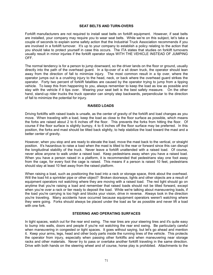#### **SEAT BELTS AND TURN-OVERS**

Forklift manufacturers are not required to install seat belts on forklift equipment. However, if seat belts are installed, your company may require you to wear seat belts. While we're on this subject, let's take a couple of seconds to explain some safety action that the Industrial Truck Association recommends if you are involved in a forklift turnover. It's up to your company to establish a policy relating to the action that you should take to protect yourself in case this occurs. The ITA states that studies on forklift turnovers usually result in minor injuries if the forklift operator stays WITH THE VEHICLE INSTEAD OF JUMPING OFF.

The normal tendency is for a person to jump downward, so the driver lands on the floor or ground, usually directly into the path of the overhead guard. In a tip-over of a sit down truck, the operator should lean away from the direction of fall to minimize injury. The most common result in a tip over, where the operator jumps out is a crushing injury to the head, neck, or back where the overhead guard strikes the operator. Forty two percent of forklift fatalities are caused by the operator trying to jump from a tipping vehicle. To keep this from happening to you, always remember to keep the load as low as possible and stay with the vehicle if it tips over. Wearing your seat belt is the best safety measure. On the other hand, stand-up rider trucks the truck operator can simply step backwards, perpendicular to the direction of fall to minimize the potential for injury.

#### **RAISED LOADS**

Driving forklifts with raised loads is unsafe, as the center of gravity of the forklift and load changes as you move. When traveling with a load, keep the load as close to the floor surface as possible, which means the forks are raised about 2 to 6 inches off the floor. This prevents the forks from hitting the floor. Of course if the floor surface is slightly bumpy, 4 to 6 inches off the floor surface may be preferred. In this position, the forks and mast should be tilted back slightly, to help stabilize the load toward the mast and a better center of gravity.

However, when you stop and are ready to elevate the load, move the mast back to the vertical, or straight position. It's hazardous to raise a load when the mast is tilted to the rear or forward since this can disrupt the longitudinal stability of the truck. Never leave a forklift unattended with a raised load. Of course, never allow anyone to walk under a raised load. Keep pedestrians away when you have a raised load. When you have a person raised in a platform, it is recommended that pedestrians stay one foot away from the cage, for every foot the cage is raised. This means if a person is raised 10 feet, pedestrians should stay at least 10 feet away from the raised platform.

When raising a load, such as positioning the load into a rack or storage space, think about the overhead. Will the load hit a sprinkler pipe or other object? Broken doorways, lights and other objects are a result of equipment operators not watching where they are moving with a raised load. The red light should go on anytime that you're raising a load and remember that raised loads should not be tilted forward, except when you're over a rack or tier ready to deposit the load. While we're talking about maneuvering loads, if the load you're carrying is too high and blocks your vision, drive in reverse. Always look in the direction you're traveling. Many accidents have occurred because equipment operators weren't watching where they were going. Forks should always be placed under the load as far as possible and never lift a load with one fork

### **STEERING AND OPERATING SURFACES**

In tight spaces, watch out for the rear end swing. The rear tires are your steering tires and it's quite easy to bump into walls, doors and people if you're not watching the rear end swing. Be particularly careful when maneuvering in congested or tight spaces. It goes without saying, but let's go ahead and mention it. Keep your arms, legs, head and other body parts inside the running lines of the vehicle. This protects the operator from injury, especially when passing other forklifts and when maneuvering near storage racks and other materials. Never try to pass or overtake another forklift traveling in the same direction. Drive with both hands on the steering wheel and of course, horse play is prohibited. Attachments to the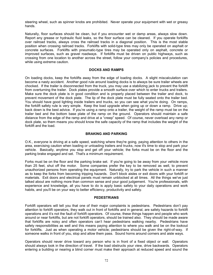steering wheel, such as spinner knobs are prohibited. Never operate your equipment with wet or greasy hands.

Naturally, floor surfaces should be clean, but if you encounter wet or damp areas, always slow down. Report any grease or hydraulic fluid leaks, so the floor surface can be cleaned. If you operate forklifts over railroad tracks, always cross the railroad tracks in a diagonal position. This is the most stable position when crossing railroad tracks. Forklifts with solid-type tires may only be operated on asphalt or concrete surfaces. Forklifts with pneumatic-type tires may be operated only on asphalt, concrete or improved surfaces, such as gravel roadways. If forklifts must be driven on public highways, such as crossing from one location to another across the street, follow your company's policies and procedures, while using extreme caution.

### **DOCKS AND RAMPS**

On loading docks, keep the forklifts away from the edge of loading docks. A slight miscalculation can become a nasty accident. Another good rule around loading docks is to always be sure trailer wheels are chocked. If the trailer is disconnected from the truck, you may use a stabilizing jack to prevent the forklift from overturning the trailer. Dock plates provide a smooth surface over which to enter trucks and trailers. Make sure the dock plate is in good condition and is properly placed between the trailer and dock, to prevent movement of the dock plate. The lip of the dock plate must be fully seated onto the trailer bed. You should have good lighting inside trailers and trucks, so you can see what you're doing. On ramps, the forklift safety rule is very simple. Keep the load upgrade when going up or down a ramp. Drive up; back down is the best advice. If you're using a ramp onto a trailer, the weight of the ramp must be on the trailer bed and the bottom base plate of the ramp on the ground. Operators should maintain a safe distance from the edge of the ramp and drive at a "creep" speed. Of course, never overload any ramp or dock plate, so them means you should know the safe capacity of the ramp that includes the weight of the forklift and the load.

## **BRAKING AND PARKING**

O.K., everyone is driving at a safe speed, watching where they're going, paying attention to others in the area, exercising caution when loading or unloading trailers and trucks, now it's time to stop and park your vehicle. Basically, anytime you stop and get off your vehicle; the forks must be on the floor and the parking brake engaged and set. That's a minimum requirement.

Forks must be on the floor and the parking brake set. If you're going to be away from your vehicle more than 25 feet, shut off the motor. Some companies prefer the key to be removed as well, to prevent unauthorized persons from operating the equipment. Naturally, try to park the vehicle in such a manner as to keep the forks from becoming tripping hazards. Don't block aisles or exit doors with your forklift or materials. Exit doors and electrical panels must remain unblocked at all times. All the things we've just talked about are nothing more than common sense and your good judgement. You're professionals, with experience and knowledge, all you have to do is apply basic safety to your daily operations and work habits, and you'll be on your way to better efficiency, productivity and safety.

### **PEDESTRIANS**

Forklift operators will tell you that one of their major complaints is pedestrians. Pedestrians don't pay attention to forklift operators, they walk out in front of forklifts and in general, are safety hazards to forklift operations and it's not the fault of forklift operators. Of course, these things happen and people who work around or near forklifts, but are not forklift operators, should be trained also. They should be made aware that forklifts are noisy and often operators can't hear pedestrians walking nearby. Pedestrians have safety responsibilities as well and this means paying attention to where you walk and be on the lookout for forklifts. Just as when operating a motor vehicle; pedestrians should be given the right-of-way. If someone walks in front of you, stop and allow them pass. Sound horns around corners and aisle ways.

Operators should never drive toward any person who is in front of a fixed object or wall. Operators should always look in the direction of travel. If the load obstructs your view, drive backwards. Operators entering a building or nearing a blind corner must make their approach at reduced speed and sound the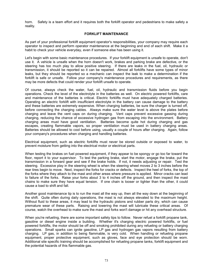horn. Safety is a team effort and it requires both the forklift operator and pedestrians to make safety a reality.

#### **FORKLIFT MAINTENANCE**

As part of your professional forklift equipment operator's responsibilities, your company may require each operator to inspect and perform operator maintenance at the beginning and end of each shift. Make it a habit to check your vehicle everyday, even if someone else has been using it.

Let's begin with some basic maintenance procedures. If your forklift equipment is unsafe to operate, don't use it. A vehicle is unsafe when the horn doesn't work, brakes and parking brake are defective, or the steering has too much play to allow positive steering. If there are leaks in the fuel, oil, hydraulic or transmission, it should be reported so it can be repaired. Almost all forklifts have some types of minor leaks, but they should be reported so a mechanic can inspect the leak to make a determination if the forklift is safe or unsafe. Follow your company's maintenance procedures and requirements, as there may be more defects that could render your forklift unsafe to operate.

Of course, always check the water, fuel, oil, hydraulic and transmission fluids before you begin operations. Check the level of the electrolyte in the batteries as well. On electric powered forklifts, care and maintenance of the batteries is critical. Electric forklifts must have adequately charged batteries. Operating an electric forklift with insufficient electrolyte in the battery can cause damage to the battery and these batteries are extremely expensive. When charging batteries, be sure the charger is turned off, before connecting the charging cables. Always make sure the water level is above the plates before charging and leave the vent caps on during charging. Vent caps prevent excessive gassing during charging, reducing the chance of excessive hydrogen gas from escaping into the environment. Battery charging areas must have good ventilation. Batteries become quite hot during charging and gas escapes, creating flammable vapors, so proper ventilation must be used in battery charging areas. Batteries should be allowed to cool before using, usually a couple of hours after charging. Again, follow your company's procedures when charging and handling batteries.

Electrical equipment, such as electric forklifts must never be stored outside or exposed to water, to prevent moisture from getting into the electrical motor or electrical parts.

When testing the brakes on fuel powered equipment, if they appear to be spongy or go too far toward the floor, report it to your supervisor. To test the parking brake, start the motor, engage the brake, put the transmission in a forward gear and see if the brake holds. If not, it needs adjusting or repair. Test the steering. Excessive play in the steering wheel is when the steering wheel moves 2 to 3 inches before the rear tires begin to move. Next, inspect the forks for cracks or defects. Inspect the heel of forks, the top of the forks where they attach to the mast and other areas where pressure is applied. Minor cracks can lead to failure of the forks. Raise your forks about 3 to 4 inches off the ground, and then inspect the mast chains to make sure they have equal tension. If one chain is looser or tighter than the other, it could cause a load to shift and fall.

Another good maintenance tip is to run the mast all the way up, then all the way down at the beginning of the shift. Quite often during daily operations, the mast is not always elevated to the maximum height. Without fluid to these areas, it may lead to the hydraulic pistons and rubber parts dry, which can cause premature wear of these parts. Raising and lowering the mast will lubricate these critical areas. Of course, watch the overhead to make sure the mast and forks won't damage or hit any overhead structure.

When you're refueling, there are some important safety tips to follow. Never refuel a forklift propane tank, gasoline or diesel engine inside a building. Whether it's charging electric powered forklifts, or fuel powered forklifts, the motor should be off and smoking prohibited during any refueling or battery charging operations. Small sparks can ignite gasoline, LP gas and hydrogen gas vapors resulting from battery charging. LP gas, in addition to being flammable, is very cold. When handling or refueling propane equipment, proper protective equipment, such as gloves, face and eye protection should be worn. Additional site specific training should be accomplished for refueling propane tanks, forklift equipment and the potential hazards of this flammable gas.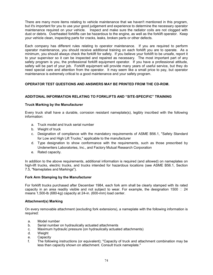There are many more items relating to vehicle maintenance that we haven't mentioned in this program, but it's important for you to use your good judgement and experience to determine the necessary operator maintenance required on your vehicle. Inspect and make sure the radiator coils are not clogged with dust or debris. Overheated forklifts can be hazardous to the engine, as well as the forklift operator. Keep your vehicle clean, inspecting parts for cracks, leaks, broken parts or other defects.

Each company has different rules relating to operator maintenance. If you are required to perform operator maintenance, you should receive additional training on each forklift you are to operate. As a minimum, you should always check the forklift for safety. If you believe your forklift to be unsafe, report it to your supervisor so it can be inspected and repaired as necessary. The most important part of any safety program is you, the professional forklift equipment operator. If you have a professional attitude, safety will be part of your job. Forklift equipment will provide many years of useful service, but they do need special care and attention from the operator. It may seem like a small price to pay, but operator maintenance is extremely critical to a good maintenance and your safety program.

# **OPERATOR TEST QUESTIONS AND ANSWERS MAY BE PRINTED FROM THE CD-ROM.**

# **ADDITONAL INFORMATION RELATING TO FORKLIFTS AND "SITE-SPECIFIC" TRAINING**

# **Truck Marking by the Manufacturer**

Every truck shall have a durable, corrosion resistant nameplate(s), legibly inscribed with the following information:

- a. Truck model and truck serial number
- b. Weight of truck
- c. Designation of compliance with the mandatory requirements of ASME B56.1, "Safety Standard for Low and High Lift Trucks," applicable to the manufacturer
- d. Type designation to show conformance with the requirements, such as those prescribed by Underwriters Laboratories, Inc., and Factory Mutual Research Corporation
- e. Rated capacity.

In addition to the above requirements, additional information is required (and allowed) on nameplates on high-lift trucks, electric trucks, and trucks intended for hazardous locations (see ASME B56.1, Section 7.5, "Nameplates and Markings").

# **Fork Arm Stamping by the Manufacturer**

For forklift trucks purchased after December 1984, each fork arm shall be clearly stamped with its rated capacity in an area readily visible and not subject to wear. For example, the designation 1500 W 24 means 1,500-lb (680-kg) capacity at 24-in. (600-mm) load center.

# **Attachment(s) Marking**

On every removable attachment (excluding fork extensions), a nameplate with the following information is required:

- a. Model number
- b. Serial number on hydraulically actuated attachments
- c. Maximum hydraulic pressure (on hydraulically actuated attachments)
- d. Weight
- e. Capacity
- f. The following instructions (or equivalent); "Capacity of truck and attachment combination may be less than capacity shown on attachment. Consult truck nameplate."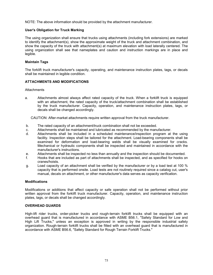NOTE: The above information should be provided by the attachment manufacturer.

# **User's Obligation for Truck Marking**

The using organization shall ensure that trucks using attachments (including fork extensions) are marked to identify the attachment(s), show the approximate weight of the truck and attachment combination, and show the capacity of the truck with attachment(s) at maximum elevation with load laterally centered. The using organization shall see that nameplates and caution and instruction markings are in place and legible.

# **Maintain Tags**

The forklift truck manufacturer's capacity, operating, and maintenance instruction plates, tags, or decals shall be maintained in legible condition.

# **ATTACHMENTS AND MODIFICATIONS**

**Attachments** 

a. Attachments almost always affect rated capacity of the truck. When a forklift truck is equipped with an attachment, the rated capacity of the truck/attachment combination shall be established by the truck manufacturer. Capacity, operation, and maintenance instruction plates, tags, or decals shall be changed accordingly.

CAUTION: After-market attachments require written approval from the truck manufacturer.

- b. The rated capacity of an attachment/truck combination shall not be exceeded.
- c. Attachments shall be maintained and lubricated as recommended by the manufacturer.
- d. Attachments shall be included in a scheduled maintenance/inspection program at the using facility. Inspection steps shall be tailored for the attachment. Load-bearing components shall be examined for deformation and load-bearing welds shall be visually examined for cracks. Mechanical or hydraulic components shall be inspected and maintained in accordance with the manufacturer's instructions.
- e. Attachments shall be inspected no less than annually and the inspection should be documented.
- f. Hooks that are included as part of attachments shall be inspected, and as specified for hooks on cranes/hoists.
- g. Load capacity of an attachment shall be verified by the manufacturer or by a load test at 100 % capacity that is performed onsite. Load tests are not routinely required since a catalog cut, user's manual, decals on attachment, or other manufacturer's data serves as capacity verification.

# **Modifications**

Modifications or additions that affect capacity or safe operation shall not be performed without prior written approval from the forklift truck manufacturer. Capacity, operation, and maintenance instruction plates, tags, or decals shall be changed accordingly.

# **OVERHEAD GUARDS**

High-lift rider trucks, order-picker trucks and rough-terrain forklift trucks shall be equipped with an overhead guard that is manufactured in accordance with ASME B56.1, "Safety Standard for Low and High Lift Trucks," unless an exception is approved in writing by the responsible industrial safety organization. Rough-terrain forklift trucks shall be fitted with an overhead guard that is manufactured in accordance with ASME B56.6, "Safety Standard for Rough Terrain Forklift Trucks."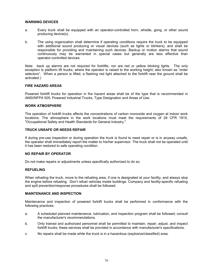# **WARNING DEVICES**

- a. Every truck shall be equipped with an operator-controlled horn, whistle, gong, or other sound producing device(s).
- b. The using organization shall determine if operating conditions require the truck to be equipped with additional sound producing or visual devices (such as lights or blinkers), and shall be responsible for providing and maintaining such devices. Backup or motion alarms that sound continuously may be warranted in special cases but generally are less effective than operator-controlled devices.

Note: back up alarms are not required for forklifts, nor are red or yellow blinking lights. The only exception is platform lift trucks, where the operator is raised to the working height; also known as "order selectors". When a person is lifted, a flashing red light attached to the forklift near the ground shall be activated.)

# **FIRE HAZARD AREAS**

Powered forklift trucks for operation in fire hazard areas shall be of the type that is recommended in ANSI/NFPA 505, Powered Industrial Trucks, Type Designation and Areas of Use.

#### **WORK ATMOSPHERE**

The operation of forklift trucks affects the concentrations of carbon monoxide and oxygen at indoor work locations. The atmosphere in the work locations must meet the requirements of 29 CFR 1910, "Occupational Safety and Health Standards for General Industry."

# **TRUCK UNSAFE OR NEEDS REPAIR**

If during pre-use inspection or during operation the truck is found to need repair or is in anyway unsafe, the operator shall immediately report the matter to his/her supervisor. The truck shall not be operated until it has been restored to safe operating condition.

# **NO REPAIR BY OPERATOR**

Do not make repairs or adjustments unless specifically authorized to do so.

#### **REFUELING**

When refueling the truck, move to the refueling area, if one is designated at your facility, and always stop the engine before refueling. Don't refuel vehicles inside buildings. Company and facility-specific refueling and spill prevention/response procedures shall be followed.

#### **MAINTENANCE AND INSPECTION**

Maintenance and inspection of powered forklift trucks shall be performed in conformance with the following practices:

- a. A scheduled planned maintenance, lubrication, and inspection program shall be followed; consult the manufacturer's recommendations.
- b. Only trained and authorized personnel shall be permitted to maintain, repair, adjust, and inspect forklift trucks; these services shall be provided in accordance with manufacturer's specifications.
- c. No repairs shall be made while the truck is in a hazardous (explosive/classified) area.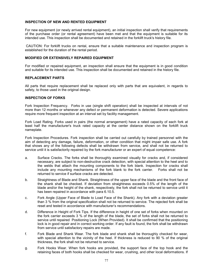# **INSPECTION OF NEW AND RENTED EQUIPMENT**

For new equipment (or newly arrived rental equipment), an initial inspection shall verify that requirements of the purchase order (or rental agreement) have been met and that the equipment is suitable for its intended use. This inspection shall be documented and retained in the forklift truck's history file.

 CAUTION: For forklift trucks on rental, ensure that a suitable maintenance and inspection program is established for the duration of the rental period.

# **MODIFIED OR EXTENSIVELY REPAIRED EQUIPMENT**

For modified or repaired equipment, an inspection shall ensure that the equipment is in good condition and suitable for its intended use. This inspection shall be documented and retained in the history file.

# **REPLACEMENT PARTS**

All parts that require replacement shall be replaced only with parts that are equivalent, in regards to safety, to those used in the original design.

#### **INSPECTION OF FORKS**

Fork Inspection Frequency. Forks in use (single shift operation) shall be inspected at intervals of not more than 12 months or whenever any defect or permanent deformation is detected. Severe applications require more frequent inspection at an interval set by facility management.

Fork Load Rating. Forks used in pairs (the normal arrangement) have a rated capacity of each fork at least half the manufacturer's truck rated capacity at the center distance shown on the forklift truck nameplate.

Fork Inspection Procedures. Fork inspection shall be carried out carefully by trained personnel with the aim of detecting any damage, failure, deformation, or other condition that might impair safe use. A fork that shows any of the following defects shall be withdrawn from service, and shall not be returned to service until it is satisfactorily repaired by the fork manufacturer or an expert of equal competence:

- a. Surface Cracks. The forks shall be thoroughly examined visually for cracks and, if considered necessary, are subject to non-destructive crack detection, with special attention to the heel and to the welds that attach the mounting components to the fork blank. Inspection for cracks shall include any mounting mechanisms of the fork blank to the fork carrier. Forks shall not be returned to service if surface cracks are detected.
- b. Straightness of Blade and Shank. Straightness of the upper face of the blade and the front face of the shank shall be checked. If deviation from straightness exceeds 0.5% of the length of the blade and/or the height of the shank, respectively, the fork shall not be returned to service until it has been repaired in accordance with para 6.10.5.
- c. Fork Angle (Upper Face of Blade to Load Face of the Shank). Any fork with a deviation greater than 3 % from the original specification shall not be returned to service. The rejected fork shall be reset and tested in accordance with manufacturer's recommendations.
- d. Difference in Height of Fork Tips. If the difference in height of one set of forks when mounted on the fork carrier exceeds 3 % of the length of the blade, the set of forks shall not be returned to service until repaired Positioning Lock (When Provided). It shall be confirmed that the positioning lock is in good repair and in correct working order. If any fault is found, the fork shall be withdrawn from service until satisfactory repairs are made.
- f. Fork Blade and Shank Wear. The fork blade and shank shall be thoroughly checked for wear, with special attention to the vicinity of the heel. If thickness is reduced to 90 % of the original thickness, the fork shall not be returned to service.
- g. Fork Hooks Wear. When fork hooks are provided, the support face of the top hook and the retaining faces of both hooks shall be checked for wear, crushing, and other local deformations. If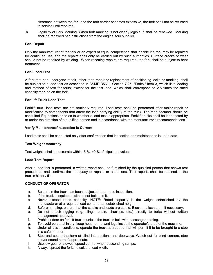clearance between the fork and the fork carrier becomes excessive, the fork shall not be returned to service until repaired.

 h. Legibility of Fork Marking. When fork marking is not clearly legible, it shall be renewed. Marking shall be renewed per instructions from the original fork supplier.

# **Fork Repair**

Only the manufacturer of the fork or an expert of equal competence shall decide if a fork may be repaired for continued use, and the repairs shall only be carried out by such authorities. Surface cracks or wear should not be repaired by welding. When resetting repairs are required, the fork shall be subject to heat treatment.

# **Fork Load Test**

A fork that has undergone repair, other than repair or replacement of positioning locks or marking, shall be subject to a load test as described in ASME B56.1, Section 7.25, "Forks," Item 3, which lists loading and method of test for forks; except for the test load, which shall correspond to 2.5 times the rated capacity marked on the fork.

# **Forklift Truck Load Test**

Forklift truck load tests are not routinely required. Load tests shall be performed after major repair or modification to components that affect the load-carrying ability of the truck. The manufacturer should be consulted if questions arise as to whether a load test is appropriate. Forklift trucks shall be load tested by or under the direction of a qualified person and in accordance with the manufacturer's recommendations.

# **Verify Maintenance/Inspection is Current**

Load tests shall be conducted only after confirmation that inspection and maintenance is up to date.

# **Test Weight Accuracy**

Test weights shall be accurate within -5 %, +0 % of stipulated values.

# **Load Test Report**

After a load test is performed, a written report shall be furnished by the qualified person that shows test procedures and confirms the adequacy of repairs or alterations. Test reports shall be retained in the truck's history file.

# **CONDUCT OF OPERATOR**

- a. Be certain the truck has been subjected to pre-use inspection.
- b. If the truck is equipped with a seat belt, use it.
- c. Never exceed rated capacity. NOTE: Rated capacity is the weight established by the manufacturer at a required load center at an established height.
- d. Before handling, ensure that the stacks and loads are stable. Block and lash them if necessary.
- e. Do not attach rigging (e.g. slings, chain, shackles, etc.) directly to forks without written management approval.
- f. Prohibit riders on forklift trucks, unless the truck is built with passenger seating.
- g. To avoid personal injury, keep head, arms, and legs inside the operator's area of the machine.
- h. Under all travel conditions, operate the truck at a speed that will permit it to be brought to a stop in a safe manner.
- i. Stop and sound the horn at blind intersections and doorways. Watch out for blind corners, stop and/or sound horn if appropriate.
- j. Use low gear or slowest speed control when descending ramps.
- k. Always spread the forks to suit the load width.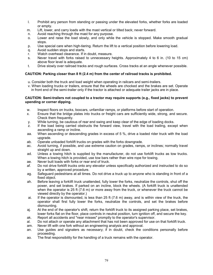- l. Prohibit any person from standing or passing under the elevated forks, whether forks are loaded or empty.
- m. Lift, lower, and carry loads with the mast vertical or tilted back; never forward.
- n. Avoid reaching through the mast for any purpose.
- o. Lower and raise the load slowly, and only while the vehicle is stopped. Make smooth gradual stops.
- p. Use special care when high-tiering. Return the lift to a vertical position before lowering load.
- q. Avoid sudden stops and starts.
- r. Watch overhead clearance. If in doubt, measure.
- s. Never travel with forks raised to unnecessary heights. Approximately 4 to 6 in. (10 to 15 cm) above floor level is adequate.
- t. Drive slowly over railroad tracks and rough surfaces. Cross tracks at an angle whenever possible.

# **CAUTION: Parking closer than 8 ft (2.4 m) from the center of railroad tracks is prohibited.**

- u. Consider both the truck and load weight when operating in railcars and semi-trailers.
- v. When loading trucks or trailers, ensure that the wheels are chocked and the brakes are set. Operate in front end of the semi-trailer only if the tractor is attached or adequate trailer jacks are in place.

# **CAUTION: Semi-trailers not coupled to a tractor may require supports (e.g., fixed jacks) to prevent upending or corner dipping.**

- w. Inspect floors on trucks, boxcars, unfamiliar ramps, or platforms before start of operation.
- x. Ensure that the bridge plates into trucks or freight cars are sufficiently wide, strong, and secure. Check them frequently.
- y. While turning, be cautious of rear end swing and keep clear of the edge of loading docks.
- z. If the load being carried obstructs the forward view, travel with the load trailing, except when ascending a ramp or incline.
- aa. When ascending or descending grades in excess of 5 %, drive a loaded rider truck with the load upgrade.
- ab. Operate unloaded forklift trucks on grades with the forks downgrade.
- ac. Avoid turning, if possible, and use extreme caution on grades, ramps, or inclines; normally travel straight up and down.
- ad. Unless a towing hitch is supplied by the manufacturer, do not use forklift trucks as tow trucks. When a towing hitch is provided, use tow bars rather than wire rope for towing.
- ae. Never butt loads with forks or rear end of truck.
- af. Do not drive forklift trucks onto any elevator unless specifically authorized and instructed to do so by a written, approved procedure.
- ag. Safeguard pedestrians at all times. Do not drive a truck up to anyone who is standing in front of a fixed object.
- ah. Before leaving a forklift truck unattended, fully lower the forks, neutralize the controls, shut off the power, and set brakes. If parked on an incline, block the wheels. (A forklift truck is unattended when the operator is 25 ft (7.6 m) or more away from the truck, or whenever the truck cannot be viewed directly by the operator.)
- ai. If the operator is dismounted, is less than 25 ft (7.6 m) away, and is within view of the truck, the operator shall first fully lower the forks, neutralize the controls, and set the brakes before dismounting.
- aj. At the end of the operator's shift, return the forklift truck to its assigned parking place, set brakes, lower forks flat on the floor, place controls in neutral position, turn ignition off, and secure the key.
- ak. Report all accidents and "near misses" promptly to the operator's supervisor.
- al. Do not attach or operate any attachment that has not been approved for use on that forklift truck.
- am. Never lift with one fork without an engineering analysis and approval.
- an. Use guides and signalers as necessary; if in doubt, check the conditions personally before proceeding.
- ao. The final responsibility for the handling of a truck remains with the operator.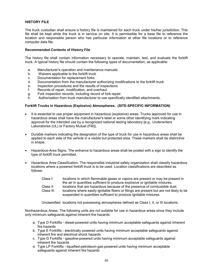# **HISTORY FILE**

The truck custodian shall ensure a history file is maintained for each truck under his/her jurisdiction. This file shall be kept while the truck is in service on site. It is permissible for a base file to reference the location and responsible person who has particular information at other file locations or to reference computer data file.

# **Recommended Contents of History File**

The history file shall contain information necessary to operate, maintain, test, and evaluate the forklift truck. A typical history file should contain the following types of documentation, as applicable:

- a. Manufacturer's operation and maintenance manuals
- b. Waivers applicable to the forklift truck
- c. Documentation for replacement forks
- d. Documentation from the manufacturer authorizing modifications to the forklift truck
- e. Inspection procedures and the results of inspections
- f. Records of repair, modification, and overhaul.
- g. Fork inspection records, including record of fork repair.
- h. Authorization from truck manufacturer to use specifically identified attachments.

#### **Forklift Trucks in Hazardous (Explosive) Atmospheres. (SITE-SPECIFIC INFORMATION)**

- It is essential to use proper equipment in hazardous (explosive) areas. Trucks approved for use in hazardous areas shall have the manufacturer's label or some other identifying mark indicating approval for the intended use by a recognized national testing laboratory [e.g., Underwriters Laboratories (UL) or Factory Mutual (FM)].
- Durable markers indicating the designation of the type of truck for use in hazardous areas shall be applied to each side of the vehicle in a visible but protected area. These markers shall be distinctive in shape.
- Hazardous-Area Signs. The entrance to hazardous areas shall be posted with a sign to identify the type of forklift truck permitted.
- Hazardous Area Classification. The responsible industrial safety organization shall classify hazardous locations where a powered forklift truck is to be used. Location classifications are described as follows:

| Class I:              | locations in which flammable gases or vapors are present or may be present in<br>the air in quantities sufficient to produce explosive or ignitable mixtures.                                                                             |
|-----------------------|-------------------------------------------------------------------------------------------------------------------------------------------------------------------------------------------------------------------------------------------|
| Class II<br>Class III | locations that are hazardous because of the presence of combustible dust.<br>locations where easily ignitable fibers or filings are present but are not likely to be<br>suspended in quantities sufficient to produce ignitable mixtures. |

Unclassified locations not possessing atmospheres defined as Class I, II, or III locations.

Nonhazardous Areas. The following units are not suitable for use in hazardous areas since they include only minimum safeguards against inherent fire hazards:

- a. Type D Forklifts diesel-powered units having minimum acceptable safeguards against inherent fire hazards
- b. Type E Forklifts electrically powered units having minimum acceptable safeguards against inherent fire and electrical shock hazards
- c. Type G Forklifts gasoline-powered units having minimum acceptable safeguards against inherent fire hazards
- d. Type LP Forklifts liquefied-petroleum-gas-powered units having minimum acceptable safeguards against inherent fire hazards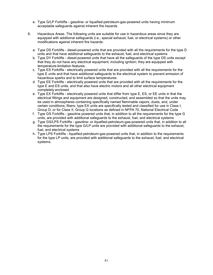- e. Type G/LP Forklifts gasoline- or liquefied-petroleum-gas-powered units having minimum acceptable safeguards against inherent fire hazards
- 6. Hazardous Areas. The following units are suitable for use in hazardous areas since they are equipped with additional safeguards (i.e., special exhaust, fuel, or electrical systems) or other modifications against inherent fire hazards:
	- a. Type DS Forklifts diesel-powered units that are provided with all the requirements for the type D units and that have additional safeguards to the exhaust, fuel, and electrical systems
	- b. Type DY Forklifts diesel-powered units that have all the safeguards of the type DS units except that they do not have any electrical equipment, including ignition; they are equipped with temperature-limitation features.
	- c. Type ES Forklifts electrically powered units that are provided with all the requirements for the type E units and that have additional safeguards to the electrical system to prevent emission of hazardous sparks and to limit surface temperatures
	- d. Type EE Forklifts electrically powered units that are provided with all the requirements for the type E and ES units, and that also have electric motors and all other electrical equipment completely enclosed
	- e. Type EX Forklifts electrically powered units that differ from type E, ES, or EE units in that the electrical fittings and equipment are designed, constructed, and assembled so that the units may be used in atmospheres containing specifically named flammable vapors, dusts, and, under certain conditions, fibers; type EX units are specifically tested and classified for use in Class I, Group D, or for Class II, Group G locations as defined in NFPA 70, National Electrical Code
	- f. Type GS Forklifts gasoline powered units that, in addition to all the requirements for the type G units, are provided with additional safeguards to the exhaust, fuel, and electrical systems
	- g. Type GS/LPS Forklifts gasoline- or liquefied-petroleum-gas-powered units that, in addition to all the requirements for the type G/LP units are provided with additional safeguards to the exhaust, fuel, and electrical systems
	- h. Type LPS Forklifts liquefied-petroleum-gas-powered units that, in addition to the requirements for the type LP units, are provided with additional safeguards to the exhaust, fuel, and electrical systems.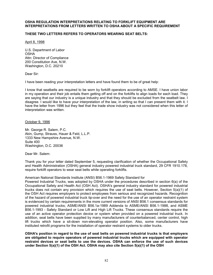#### **OSHA REGULATION INTERPRETATIONS RELATING TO FORKLIFT EQUIPMENT ARE INTERPRETATIONS FROM LETTERS WRITTEN TO OSHA ABOUT A SPECIFIC REQUIREMENT**

# **THESE TWO LETTERS REFERS TO OPERATORS WEARING SEAT BELTS:**

April 8, 1998

U.S. Department of Labor OSHA Attn: Director of Compliance 200 Constitution Ave, N.W. Washington, D.C. 20210

Dear Sir:

I have been reading your interpretation letters and have found them to be of great help:

I know that seatbelts are required to be worn by forklift operators according to AMSE. I have union labor in my operation and their job entails them getting off and on the forklifts to align loads for each load. They are saying that our industry is a unique industry and that they should be excluded from the seatbelt law. I disagree. I would like to have your interpretation of the law, in writing so that I can present them with it. I have the letter from 1996 but they feel that the trade show industry was not considered when this letter of interpretation was written.

October 9, 1996

Mr. George R. Salem, P.C. Akin, Gump, Strauss, Hauer & Feld, L.L.P. 1333 New Hampshire Avenue, N.W. Suite 400 Washington, D.C. 20036

Dear Mr. Salem:

Thank you for your letter dated September 5, requesting clarification of whether the Occupational Safety and Health Administration (OSHA) general industry powered industrial truck standard, 29 CFR 1910.178, require forklift operators to wear seat belts while operating forklifts.

American National Standards Institute (ANSI) B56.1-1969 Safety Standard for

Powered Industrial Trucks, was adopted by OSHA under the procedures described in section 6(a) of the Occupational Safety and Health Act (OSH Act). OSHA's general industry standard for powered industrial trucks does not contain any provision which requires the use of seat belts. However, Section 5(a)(1) of the OSH Act requires employers to protect employees from serious and recognized hazards. Recognition of the hazard of powered industrial truck tip-over and the need for the use of an operator restraint system is evidenced by certain requirements in the more current versions of ANSI B56.1 consensus standards for powered industrial trucks; ASME/ANSI B56.1a-1989 Addenda to ASME/ANSI B56.1-1988, and ASME B56.1-1993 - Safety Standard or Low Lift and High Lift Trucks. These consensus standards require the use of an active operator protection device or system when provided on a powered industrial truck. In addition, seat belts have been supplied by many manufacturers of counterbalanced, center control, high lift trucks which have a sit-down non-elevating operator position. Also, some manufacturers have instituted retrofit programs for the installation of operator restraint systems to older trucks.

**OSHA's position in regard to the use of seat belts on powered industrial trucks is that employers are obligated to require operators of powered industrial trucks which are equipped with operator restraint devices or seat belts to use the devices. OSHA can enforce the use of such devices under Section 5(a)(1) of the OSH Act. OSHA may also cite Section 5(a)(1) of the OSH**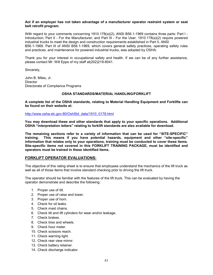#### **Act if an employer has not taken advantage of a manufacturer operator restraint system or seat belt retrofit program.**

With regard to your comments concerning 1910.178(a)(2), ANSI B56.1-1969 contains three parts: Part I -Introduction; Part II - For the Manufacturer; and Part III - For the User. 1910.178(a)(2) require powered industrial trucks to meet the design and construction requirements established in Part II, ANSI B56.1-1969. Part III of ANSI B56.1-1969, which covers general safety practices, operating safety rules and practices, and maintenance for powered industrial trucks, was adopted by OSHA.

Thank you for your interest in occupational safety and health. If we can be of any further assistance, please contact Mr. Will Epps of my staff at(202)219-8041.

Sincerely,

John B. Miles, Jr. **Director** Directorate of Compliance Programs

# **OSHA STANDARDS/MATERIAL HANDLING/FORKLIFT**

**A complete list of the OSHA standards, relating to Material Handling Equipment and Forklifts can be found on their website at:** 

http://www.osha-slc.gov:80/OshStd\_data/1910\_0178.html

**You may download these and other standards that apply to your specific operations. Additional OSHA "interpretation letters" relating to forklift standards are also available for download.** 

**The remaining sections refer to a variety of information that can be used for "SITE-SPECIFIC" training. This means if you have potential hazards, equipment and other "site-specific" information that relates only to your operations, training must be conducted to cover these items. Site-specific items not covered in this FORKLIFT TRAINING PACKAGE, must be identified and operators must be trained in these identified items.** 

# **FORKLIFT OPERATOR EVALUATIONS:**

The objective of this rating sheet is to ensure that employees understand the mechanics of the lift truck as well as all of those items that involve standard checking prior to driving the lift truck.

The operator should be familiar with the features of the lift truck. This can be evaluated by having the operator demonstrate and describe the following:

- 1. Proper use of tilt.
- 2. Proper use of raise and lower.
- 3. Proper use of horn.
- 4. Check for oil leaks.
- 5. Check mast chains.
- 6. Check tilt and lift cylinders for wear and/or leakage.
- 7. Check brakes.
- 8. Check tires and wheels.
- 9. Check hour meter.
- 10. Check scissors reach.
- 11. Check warning light.
- 12. Check rear view mirror.
- 13. Check battery retainer.
- 14. Check discharge indicator.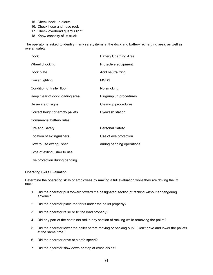- 15. Check back up alarm.
- 16. Check hose and hose reel.
- 17. Check overhead guard's light.
- 18. Know capacity of lift truck.

The operator is asked to identify many safety items at the dock and battery recharging area, as well as overall safety.

| Dock                            | <b>Battery Charging Area</b> |
|---------------------------------|------------------------------|
| Wheel chocking                  | Protective equipment         |
| Dock plate                      | Acid neutralizing            |
| <b>Trailer lighting</b>         | <b>MSDS</b>                  |
| Condition of trailer floor      | No smoking                   |
| Keep clear of dock loading area | Plug/unplug procedures       |
| Be aware of signs               | Clean-up procedures          |
| Correct height of empty pallets | Eyewash station              |
| Commercial battery rules        |                              |
| Fire and Safety                 | <b>Personal Safety</b>       |
| Location of extinguishers       | Use of eye protection        |
| How to use extinguisher         | during banding operations    |
| Type of extinguisher to use     |                              |
|                                 |                              |

Eye protection during banding

#### Operating Skills Evaluation

Determine the operating skills of employees by making a full evaluation while they are driving the lift truck.

- 1. Did the operator pull forward toward the designated section of racking without endangering anyone?
- 2. Did the operator place the forks under the pallet properly?
- 3. Did the operator raise or tilt the load properly?
- 4. Did any part of the container strike any section of racking while removing the pallet?
- 5. Did the operator lower the pallet before moving or backing out? (Don't drive and lower the pallets at the same time.)
- 6. Did the operator drive at a safe speed?
- 7. Did the operator slow down or stop at cross aisles?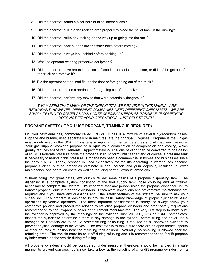- 8. Did the operator sound his/her horn at blind intersections?
- 9. Did the operator pull into the racking area properly to place the pallet back in the racking?
- 10. Did the operator strike any racking on the way up or going into the rack?
- 11. Did the operator back out and lower his/her forks before moving?
- 12. Did the operator always look behind before backing up?
- 13. Was the operator wearing protective equipment?
- 14. Did the operator drive around the block of wood or obstacle on the floor, or did he/she get out of the truck and remove it?
- 15. Did the operator set the load flat on the floor before getting out of the truck?
- 16. Did the operator put on a hardhat before getting out of the truck?
- 17. Did the operator perform any moves that were potentially dangerous?

*IT MAY SEEM THAT MANY OF THE CHECKLISTS WE PROVIDE IN THIS MANUAL ARE REDUNDANT; HOWEVER, DIFFERENT COMPANIES NEED DIFFERENT CHECKLISTS. WE ARE SIMPLY TRYING TO COVER AS MANY "SITE-SPECIFIC" NEEDS AS POSSIBLE. IF SOMETHING DOES NOT FIT YOUR OPERATIONS, JUST DELETE THEM.* 

# **PROPANE SAFETY (IF YOU USE PROPANE, TRAINING IS REQUIRED)**

Liquified petroleum gas, commonly called LPG or LP gas is a mixture of several hydrocarbon gases. Propane and butane, used separately or in mixtures, are the principal LP-gases. Propane is the LP gas most widely used in the USA. Propane is a vapor at normal temperatures and atmospheric pressure. Your gas supplier converts propane to a liquid by a combination of compression and cooling, which greatly reduces space requirements. Approximately 270 gallons of vapor can be converted to one gallon of liquid. Moderate pressure holds the propane in liquid form until needed and of course, a pressure tank is necessary to maintain this pressure. Propane has been a common fuel in homes and businesses since the early 1920's. Today, propane is used extensively for forklifts operating in warehouses because propane's clean burning properties eliminate sludge, carbon and gum deposits, resulting in lower maintenance and operation costs, as well as reducing harmful exhaust emissions.

Without going into great detail, let's quickly review some basics of a propane dispensing tank. The dispenser is a complete system consisting of the fuel supply tank, hose coupling and all fixtures necessary to complete the system. It's important that any person using the propane dispenser unit to transfer propane liquid into portable cylinders. Learn what inspections and preventative maintenance are required and if you have any questions about the safety features of the system; be sure to ask your supervisor. This program is designed to provide basic safety knowledge of proper cylinder refueling operations by vehicle operators. The most important consideration is safety, so always follow your company's policies and procedures relating to refueling propane cylinders and other safety regulations recommended by the Propane supplier or equipment manufacturer. The very first step is to make sure the cylinder is approved by the markings on the cylinder, such as DOT, ICC or ASME nameplates. Inspect the cylinder to determine if there is any damage to the cylinder, before filling and never use a damaged or if defects are found. A protective ring or housing is required on all approved cylinders to prevent physical damage to the valves. The next step is to make sure there are no open flames, sparks or other sources of ignition near the refueling tank or area. Naturally, no smoking is allowed near the refueling area. The vehicle must be shut off during refueling and it is recommended the forklift propane cylinder remain on the vehicle during refueling.

All propane cylinders should be considered under pressure, therefore, should be handled in a safe manner to prevent damage. Let's now take a look at the refueling of a forklift propane cylinder from a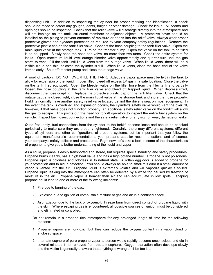dispensing unit. In addition to inspecting the cylinder for proper marking and identification, a check should be made to detect any gouges, dents, bulges or other damage. Check for leaks. All seams and openings should be inspected. Check that the relief valve will discharge directly into the atmosphere and will not impinge on the tank, structural members or adjacent objects. A protective cover should be installed on the piping to prevent entrance of moisture or debris into the relief valve. Always wear proper protective gloves and eye/face protection as required by your company safety regulations. Remove the protective plastic cap on the tank filler valve. Connect the hose coupling to the tank filler valve. Open the main liquid valve at the storage tank. Turn on the transfer pump. Open the valve on the tank to be filled is so equipped. Slowly open the hose end valve, no more than two turns. Check the entire system for leaks. Open maximum liquid level outage bleeder valve approximately one quarter turn until the gas starts to vent. Fill the tank until liquid vents from the outage valve. When liquid vents, there will be a visible cloud and this indicates the cylinder is full. When liquid vents, close the hose end of the valve immediately. Shut off transfer pump and close the outage valve.

A word of caution: DO NOT OVERFILL THE TANK. Adequate vapor space must be left in the tank to allow for expansion of the liquid. If over filled, bleed off excess LP gas in a safe location. Close the valve on the tank if so equipped. Open the bleeder valve on the filler hose from the filler tank and partially loosen the hose coupling at the tank filler valve and bleed off trapped liquid. When depressurized, disconnect the hose coupling. Replace the protective plastic cap on the tank filler valve. Check that the outage gauge is closed tight, close the main liquid valve at the storage tank and store the hose properly. Forklifts normally have another safety relief valve located behind the driver's seat on most equipment. In the event the tank is overfilled and expansion occurs, the cylinder's safety valve would vent the over fill, however, if that valve does not function properly, an additional safety relief valve on the forklift will allow the gas to escape. This points out the need for forklift operators to inspect the entire fuel system on the vehicle. Inspect fuel hoses, connections and the safety relief valve for any sign of wear, damage or leaks.

Quite frequently, fuel connections from the cylinder to the forklift become loose and should be checked periodically to make sure they are properly tightened. Certainly, there may different systems, different types of cylinders and other configurations of propane systems, but it's important that you follow the equipment manufacturer's recommendations, your propane supplier recommendations and of course, your company's safety policies and procedures. Right now, let's take a look at some of the characteristics of propane, to give you a better understanding of the liquid and vapor.

As a liquid, propane is easily transported and stored, but requires special handling and safety procedures. Propane burns cleanly, has a high heat value and has a high octane number. Propane is not poisonous. Propane liquid is colorless and odorless in its natural state. A rotten egg odor is added to propane for your protection and to aid in detection. You should always be able to smell this odor if a small amount of vapor is vented into the air. Propane liquid is extremely volatile and will vaporize quickly if spilled. Propane liquid leaking into the atmosphere can often be detected by a white fog caused by freezing of moisture in the air. Propane vapor is heavier than air and can accumulate in low spots. Escaping propane could lead to one or more of the following incidents:

- 1. Fire due to burning of the gas.
- 2. Explosion due to ignition of combustible mixture of gas and air in a confined space.
- 3. Asphyxiation due to the lack of oxygen.4. Freeze burn from direct contact of propane liquid with the skin. Where escaping gas is encountered, all possible sources of ignition must be considered and eliminated or controlled.
- Do not remain in a propane rich atmosphere for any prolonged length of time for the following reasons:
- 1. Propane vapors are non-toxic, but they can reduce the oxygen content in a vapor cloud or enclosed space.
- 2. In an atmosphere of pure propane vapor, a person would rapidly become unconscious and die in several minutes if not removed from this atmosphere. Oxygen starvation often develops slowly and the victim is generally unaware that anything is wrong until it's too late.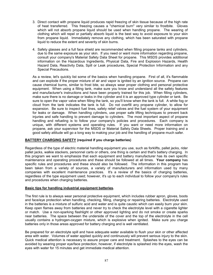- 3. Direct contact with propane liquid produces rapid freezing of skin tissue because of the high rate of heat transferred. This freezing causes a "chemical burn" very similar to frostbite. Gloves which will not absorb propane liquid should be used when handling propane. The wearing of clothing which will repel or partially absorb liquid is the best way to avoid exposure to your skin from propane liquid. Immediately remove any clothing, which has been saturated with propane liquid to reduce the extent and severity of skin burns.
- 4. Safety glasses and a full face shield are recommended when filling propane tanks and cylinders, due to the same exposure as your skin. If you need or want more information regarding propane, consult your company's Material Safety Data Sheet for propane. This MSDS provides additional information on the Hazardous Ingredients, Physical Data, Fire and Explosion Hazards, Health Hazard Data, Reactivity Data, Spill or Leak procedures, Special Protection Information and any Special Precautions.

As a review, let's quickly list some of the basics when handling propane. First of all, it's flammable and can explode if the proper mixture of air and vapor is ignited by an ignition source. Propane can cause chemical burns, similar to frost bite, so always wear proper clothing and personal protective equipment. When using a filling tank, make sure you know and understand all the safety features and manufacturer's instructions and have been properly trained for this job. When filling cylinders, make sure there is no damage or leaks in the cylinder and it is an approved type cylinder or tank. Be sure to open the vapor valve when filling the tank, so you'll know when the tank is full. A white fog or cloud from the tank indicates the tank is full. Do not overfill any propane cylinder, to allow for expansion. Be sure to inspect fuel lines, safety relief valves and the fuel system of your equipment for leaks or damage. When handling cylinders, use proper safe lifting techniques to prevent back injuries and safe handling to prevent damage to cylinders. The most important aspect of propane handling and refueling is to follow your company's policies and procedures. Each company is unique, with different systems and operating rules. If you want or need more information on propane, ask your supervisor for the MSDS or Material Safety Data Sheets. Proper training and a good safety attitude will go a long way to making your job and the handling of propane much safer.

# **BATTERY CHARGING SAFETY (required if you charge batteries)**

Regardless of the type of electric material handling equipment you use, such as forklifts, pallet jacks, rider pallet jacks, walkie stackers, personnel carts or others, one thing is certain and that's battery charging. In this program we want to emphasize that each equipment and battery manufacturer has its own specific maintenance and operating procedures and these should be followed at all times. **Your company** has specific rules and procedures and these should also be followed. The information in this program has been taken from a variety of sources, a variety of manufacturers and information used by many companies with excellent maintenance practices. It's a review of the basics of charging batteries, regardless of the type equipment used; however, it's up to each individual to follow your company's rules and procedures when charging batteries.

# **Basic tips for handling industrial equipment batteries.**

The first rule is to always wear personal protective equipment, which includes rubber apron, gloves, boots and face/eye protection when handling, checking, filling, charging or repairing batteries. Electrolyte used in the batteries is a mixture of sulfuric acid and water and is quite caustic which can easily burn your skin. Keep open flames away from batteries and never try to check the electrolyte level with a cigarette lighter or match. Use a non-sparking flashlight or other approved lighting and do not smoke or create sparks near batteries. The space between the underside of the cover and the top of the electrolyte in the cell usually contains a hydrogen-oxygen mixture, which is explosive when ignited. Make sure you charge batteries only in those areas approved for battery charging and is well ventilated.

Be prepared for an electrolyte spill and have adequate water available to flush your skin or other affected area with water. Volumes of water applied quickly and continuously will prevent serious injury to the skin. Quick medical attention is necessary to assure proper care and treatment. Splashes to the eyes can be avoided by wearing proper eye/face protection, however, if electrolyte is splashed into the eyes, wash the eyes with water for 15 minutes and get immediate medical attention.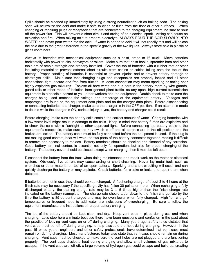Spills should be cleaned up immediately by using a strong neutralizer such as baking soda. The baking soda will neutralize the acid and make it safe to clean or flush from the floor or other surfaces. When changing or repairing plugs or receptacles that are connected to the charging equipment, be sure to shut off the power first. This will prevent a short circuit and arcing of an electrical spark. Arcing can cause an explosion and fire. When mixing acid to prepare electrolyte, ALWAYS POUR THE ACID SLOWLY INTO WATER and never pour water into the acid. If water is added to acid it will not readily mix and will splash the acid due to the great difference in the specific gravity of the two liquids. Always store acid in plastic or glass containers.

Always lift batteries with mechanical equipment such as a hoist, crane or lift truck. Move batteries horizontally with power trucks, conveyors or rollers. Make sure that hoist hooks, spreader bars and other tools are of ample strength and properly installed. Cover the top of batteries with a rubber mat or other insulating material to prevent external short circuits from chains or cables falling onto the top of the battery. Proper handling of batteries is essential to prevent injuries and to prevent battery damage or electrolyte spills. Make sure that charging plugs and receptacles are properly locked and all other connections tight, secure and free from friction. A loose connection may mean sparking or arcing near highly explosive gas mixtures. Enclose all bare wires and bus bars in the battery room by wire guards, guard rails or other mans of isolation from general plant traffic, as any open, high current transmission equipment is a possible hazard to you, other workers and the equipment. Double check to make sure the charger being used matches the voltage and amperage of the equipment battery. Voltages and amperages are found on the equipment data plate and on the charger data plate. Before disconnecting or connecting batteries to a charger, make sure the charger is in the OFF position. If an attempt is made to do this while the charger is ON, serious injury to you, the battery and charger could result.

Before charging, make sure the battery cells contain the correct amount of water. Charging batteries with a low water level might result in damage to the cells. Keep in mind that battery fumes are explosive and to check the cells with a flashlight or other approved light. Before connecting the battery cable to the equipment's receptacle, make sure the key switch is off and all controls are in the off position and the brakes are locked. The battery cable must be fully connected before the equipment is used. If the plug is not making good contact, heat will weld the two parts of the battery connector together, making it difficult to remove and necessary to replace. Battery terminals should be checked and cleaned of any corrosion. Good battery terminal contact is essential not only for operation, but also for proper charging of the battery. The battery cover should be closed except when charging, then it must be left open.

Disconnect the battery from the truck when doing maintenance and repair work on the motor or electrical system. Obviously, live current may cause arcing or short circuiting. Never lay metal tools such as wrenches or other material on top of an open battery. Sparking and short circuiting will occur and can quickly discharge the battery or may explode. Check batteries for cracks or leaks and repair them when detected.

If batteries are not in use, they should be kept charged. A freshening charge of about 3 to 4 hours at the finish rate may be necessary if the specific gravity has fallen 30 points or more. When recharging a fully discharged battery, the starting charge rate may be 3 to 5 times higher than the finish charge rate indicated on the battery nameplate. The charge rate should taper down to the finish charge rate by the time the battery is 85 percent charged and may be even lower when fully charged. High "on charge" temperatures or frequent need to add water are indications of overcharging. Be sure to follow the equipment manufacturer's instructions on proper battery charging.

The top of the battery should be kept clean and dry. Keep vent caps in place during use and when charging. Let's stop here a minute because there have been questions and confusion in the past about the practice of leaving vent caps on or off during charging. Many years ago, safety rules dictated that vent caps must be left off during charging, to help dissipate the heat during charging. However, in the past 15 or so years, engineers and other safety professionals have determined that vent caps must remain on during charging. Most manufacturers today also state that vent caps should remain on during charging. Vent caps must be checked to make sure the vent holes are not plugged and are functioning properly. The vent caps dissipate heat during charging and allow small volumes of gas mixtures to escape. If the vent caps are left off, a large volume of hydrogen gas could escape and build up, creating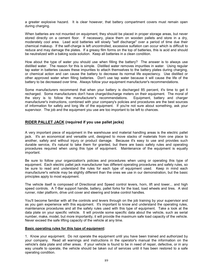a greater explosive hazard. It is clear however, that battery compartment covers must remain open during charging.

When batteries are not mounted on equipment, they should be placed in proper storage areas, but never stored directly on a cement floor. If necessary, place them on wooden pallets and store in a dry, moderately cool area. Lead acid batteries will slowly "self discharge" over a period of time due their chemical makeup. If the self-charge is left uncontrolled, excessive sulfation can occur which is difficult to reduce and may damage the plates. If a greasy film forms on the top of batteries, this is acid and should be neutralized with a baking soda solution. Keep all batteries in a clean condition.

How about the type of water you should use when filling the battery? The answer is to always use distilled water. The reason for this is simple. Distilled water removes impurities in water. Using regular tap water in batteries causes these impurities to attach themselves to the battery plates during charging, or chemical action and can cause the battery to decrease its normal life expectancy. Use distilled or other approved water when filling batteries. Don't use tap water because it will cause the life of the battery to be decreased over time. Always follow your equipment manufacturer's recommendations.

Some manufacturers recommend that when your battery is discharged 85 percent, it's time to get it recharged. Some manufacturers don't have charge/discharge meters on their equipment. The moral of the story is to follow the manufacturer's recommendations. Equipment, battery and charger manufacturer's instructions, combined with your company's policies and procedures are the best sources of information for safety and long life of the equipment. If you're not sure about something, ask your supervisor. The job and the equipment you use are too important to be left to chances.

# **RIDER PALLET JACK (required if you use pallet jacks)**

A very important piece of equipment in the warehouse and material handling areas is the electric pallet jack. It's an economical and versatile unit, designed to move stacks of materials from one place to another, safely and without injury or product damage. Because it's easy to use and provides such durable service, it's natural to take them for granted, but there are basic safety rules and operating procedures required when using this type of equipment. Maintenance of the equipment is equally important.

Be sure to follow your organization's policies and procedures when using or operating this type of equipment. Each electric pallet jack manufacturer has different operating procedures and safety rules, so be sure to read and understand the rules for each type of equipment used. Keep in mind each manufacturer's vehicle may be slightly different than the ones we use in our demonstration, but the basic principles apply to most equipment.

The vehicle itself is composed of Directional and Speed control levers, horn, lift and lower... and high speed controls. A T-Bar support handle, battery, pallet forks for the load, load wheels and tires. A skid runner, rider platform, drive unit cover and steering and brake control handles.

You'll become familiar with all the controls and levers through on the job training by your supervisor and as you gain experience with this equipment. It's important to know and understand the operating rules, maintenance procedures and all the safety rules used with this type of equipment. Take a look at the data plate on your specific vehicle. It will provide some specific data about the vehicle, such as serial number, make, model, but more importantly, it will provide the maximum safe load capacity of the vehicle. Never exceed the safe lifting capacity of the vehicle at any time.

# **Basic operating rules for this type of equipment:**

1. Know your equipment. Do not operate the equipment until you have been trained and authorized by your company. Read all warnings and instructions in the operator's manual the information on the vehicle's data plate and other areas. If your vehicle is found to be in need of repair, defective, or in any way unsafe to operate, the vehicle should be taken out of services until it has been restored to a safe operating condition.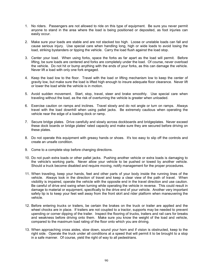- 1. No riders. Passengers are not allowed to ride on this type of equipment. Be sure you never permit anyone to stand in the area where the load is being positioned or deposited, as foot injuries can easily occur.
- 2. Make sure your loads are stable and are not stacked too high. Loose or unstable loads can fall and cause serious injury. Use special care when handling long, high or wide loads to avoid losing the load, striking bystanders or tipping the vehicle. Carry the load flush against the load stop.
- 3. Center your load. When using forks, space the forks as far apart as the load will permit. Before lifting, be sure loads are centered and forks are completely under the load. Of course, never overload the vehicle. Do not hit or bump anything with the ends of your forks, as this can damage the vehicle. Never lift a load with only one fork engaged.
- 4. Keep the load low to the floor. Travel with the load or lifting mechanism low to keep the center of gravity low, but make sure the load is lifted high enough to insure adequate floor clearance. Never lift or lower the load while the vehicle is in motion.
- 5. Avoid sudden movement. Start, stop, travel, steer and brake smoothly. Use special care when traveling without the load, as the risk of overturning the vehicle is greater when unloaded.
- 6. Exercise caution on ramps and inclines. Travel slowly and do not angle or turn on ramps. Always travel with the load downhill when using pallet jacks. Be extremely cautious when operating the vehicle near the edge of a loading dock or ramp.
- 7. Secure bridge plates. Drive carefully and slowly across dockboards and bridgeplates. Never exceed these dock boards or bridge plates' rated capacity and make sure they are secured before driving on these plates.
- 8. Do not operate this equipment with greasy hands or shoes. It's too easy to slip off the controls and create an unsafe condition.
- 9. Come to a complete stop before changing directions.
- 10. Do not push extra loads or other pallet jacks. Pushing another vehicle or extra loads is damaging to the vehicle's working parts. Never allow your vehicle to be pushed or towed by another vehicle. Should a truck become disabled and require moving, notify management for the proper procedures.
- 11. When traveling, keep your hands, feet and other parts of your body inside the running lines of the vehicle. Always look in the direction of travel and keep a clear view of the path of travel. When visibility is impaired, operate the vehicle with the opposite end in the travel direction and use caution. Be careful of drive end swing when turning while operating the vehicle in reverse. This could result in damage to material or equipment, specifically to the drive end of your vehicle. Another very important safety tip is to keep your feet well away from the front skirt and rider platform when maneuvering the vehicle.
- 12. Before entering trucks or trailers, be certain the brakes on the truck or trailer are applied and the wheel chocks are in place. If trailers are not coupled to a tractor, supports may be needed to prevent upending or corner dipping of the trailer. Inspect the flooring of trucks, trailers and rail cars for breaks and weakness before driving onto them. Make sure you know the weight of the load and vehicle, compared to the maximum load rating of the floor onto which you are driving.
- 13. When approaching cross aisles, slow down, sound your horn and if vision is obstructed, keep to the right side. Operate the truck under all conditions at a speed that will permit it to be brought to a stop in a safe manner. Of course, yield the right of way to all pedestrians.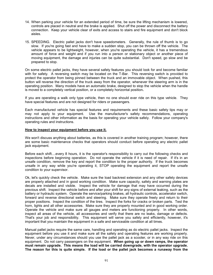- 14. When parking your vehicle for an extended period of time, be sure the lifting mechanism is lowered, controls are placed in neutral and the brake is applied. Shut off the power and disconnect the battery connection. Keep your vehicle clear of exits and access to stairs and fire equipment and don't block aisles.
- 15. SPEEDING. Electric pallet jacks don't have speedometers. Generally, the rule of thumb is to go slow. If you're going fast and have to make a sudden stop, you can be thrown off the vehicle. The vehicle appears to be lightweight, however, when you're operating the vehicle, it has a tremendous amount of force and weight and if you run into a person or stationary object or another piece of moving equipment, the damage and injuries can be quite substantial. Don't speed, go slow and be prepared to stop.

On some electric pallet jacks, they have several safety features you should look for and become familiar with for safety. A reversing switch may be located on the T-Bar. This reversing switch is provided to protect the operator from being pinned between the truck and an immovable object. When pushed, this button will reverse the direction of the truck away from the operator, whenever the steering arm is in the operating position. Many models have an automatic brake, designed to stop the vehicle when the handle is moved to a completely vertical position, or a completely horizontal position**.** 

If you are operating a walk only type vehicle, then no one should ever ride on this type vehicle. They have special features and are not designed for riders or passengers.

Each manufactured vehicle has special features and requirements and these basic safety tips may or may not apply to your equipment. Use the manufacturer's safety recommendations, operating instructions and other information as the basis for operating your vehicle safely. Follow your company's operating rules and instructions.

# **How to inspect your equipment before you use it.**

We won't discuss anything about batteries, as this is covered in another training program; however, there are some basic maintenance checks that operators should conduct before operating any electric pallet jack equipment.

Before each shift....every 8 hours, it is the operator's responsibility to carry out the following checks and inspections before beginning operation. Do not operate the vehicle if it is need of repair. If it's in an unsafe condition, remove the key and report the condition to the proper authority. If the truck becomes unsafe in any way while you're operating it, STOP operating the equipment and report the unsafe condition to your supervisor.

Ok, let's quickly check the vehicle. Make sure the load backrest extension and any other safety devices are properly attached and in good working condition. Make sure capacity, safety and warning plates are decals are installed and visible. Inspect the vehicle for damage that may have occurred during the previous shift. Inspect the vehicle before and after your shift for any signs of external leaking, such as the battery or hydraulic system. Operate the service/parking brakes, all hydraulic controls, accelerator switch, forward and reverse directional switch and steering. Make sure they operate freely and return to their proper positions. Inspect the condition of the tires. Inspect the forks for cracks or broken parts. Test the horn, lights and all other accessories. Make sure they are properly mounted and in good working order. Operate the vehicle and make sure all gauges and meters are functioning properly. In other words, inspect all areas of the vehicle, all accessories and verify that there are no leaks, damage or defects. That's your job and responsibility. This equipment will serve you safely and efficiently, however, it's important that you maintain the equipment in a safe and serviceable condition at all times.

Manual pallet jacks require the same care, handling and operating as do electric pallet jacks. Inspect the equipment before you use it and make sure all the safety and operating features are working properly. Never, under any circumstances should you use the pallet jack as a scooter, or in any way ride on this equipment. Do not carry passengers on the equipment. **When going up or down ramps, the operator must remain upgrade. This means the load will be carried downgrade, with the operator upgrade. The reason for this is quite simple. If the load or the pallet jack becomes a runaway from the**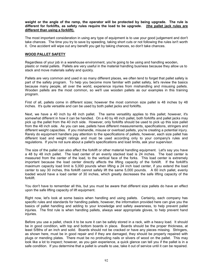**weight or the angle of the ramp, the operator will be protected by being upgrade. The rule is different for forklifts, as safety rules require the load to be upgrade. (the pallet jack rules are different than using a forklift).**

The most important consideration in using any type of equipment is to use your good judgement and don't take chances. The time you try to save by speeding, taking short cuts or not following the rules isn't worth it. One accident will wipe out any benefit you get by taking chances, so don't take chances.

# **WOOD PALLET SAFETY**

Regardless of your job in a warehouse environment, you're going to be using and handling wooden, plastic or metal pallets. Pallets are very useful in the material handling business because they allow us to stack and move materials safely and quickly.

Pallets are very common and used in so many different places, we often tend to forget that pallet safety is part of the safety program. To help you become more familiar with pallet safety, let's review the basics because many people, all over the world, experience injuries from mishandling and misusing pallets. Wooden pallets are the most common, so we'll use wooden pallets as our examples in this training program.

First of all, pallets come in different sizes; however the most common size pallet is 48 inches by 48 inches. It's quite versatile and can be used by both pallet jacks and forklifts.

Next, we have a 40 inch by 48 inch pallet. The same versatility applies to this pallet; however, it's somewhat different in how it can be handled. On a 40 by 48 inch pallet, both forklifts and pallet jacks may pick up the pallet from the 40 inch side. However, only forklifts should be used to pick up this size pallet from the 48 inch side. As you can see, pallets have different measurements, specifications, stringers and different weight capacities. If you mishandle, misuse or overload pallets, you're creating a potential injury. Rarely do equipment handlers pay attention to the specifications of pallets, however, each size pallet has different load and weight ratings and must be used according only to your company's rules and regulations. If you're not sure about a pallet's specifications and load limits, ask your supervisor.

The size of the pallet can also affect the forklift or other material handling equipment. Let's say you have a 48 by 48 inch pallet. The load center of an evenly stacked load is 24 inches. The load center is measured from the center of the load, to the vertical face of the forks. This load center is extremely important because the load center directly affects the lifting capacity of the forklift. If the forklift's maximum capacity load limit is 5,000 pounds when lifting a 24 inch load center, if you extend the load center to say 30 inches, this forklift cannot safely lift the same 5,000 pounds. A 60 inch pallet, evenly loaded would have a load center of 30 inches, which greatly decreases the safe lifting capacity of the forklift.

You don't have to remember all this, but you must be aware that different size pallets do have an effect upon the safe lifting capacity of lift equipment.

Right now, let's look at some basics when handling and using pallets. Certainly, each company has specific rules and standards for handling pallets, however, the information provided here can give you the basics of pallet handling and adding to your knowledge and safety awareness, to help prevent pallet injuries. The first rule is when handling pallets, always wear appropriate gloves, to help prevent hand injuries.

Before you use a pallet, check it to be sure it can be safely stored in a rack, with a heavy load. It should be in good condition, with top and bottom boards in place. Boards should be the proper thickness, at least 5/8ths of an inch and solid. Boards should not be cracked or have any pieces missing. Stringers, as shown here, must be in good repair and if they are damaged, they should be properly repaired with plugs or mending plates. There must be no protruding nails or slivers of wood on the pallet. This may look like a lot to inspect; however, as you gain experience, a quick glance can tell you if the pallet is in a safe condition. If you determine that a pallet is unsafe to use, take it out of service until it can be repaired.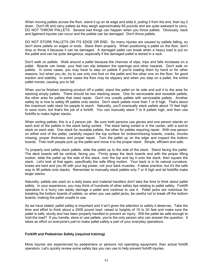When moving pallets across the floor, stand it up on its edge and slide it, pulling it from the end, then lay it down. Don't lift and carry pallets as they weigh approximately 65 pounds and are quite awkward to carry. DO NOT THROW PALLETS. Several bad things can happen when you throw pallets. Obviously, back and ligament injuries can occur and the pallets can be damaged. Don't throw pallets.

DO NOT STORE PALLETS ON ITS EDGE OR END. So many injuries are caused by pallets falling, so don't store pallets on edges or ends. Stack them properly. When positioning a pallet on the floor, don't drop or throw it because it can be damaged. A damaged pallet can break when a heavy load is put on the pallet and can be quite dangerous, especially if the damaged pallet is stored in a rack.

Don't walk on pallets. Walk around a pallet because the chances of slips, trips and falls increases on a pallet. Boards can break, your feet can slip between the openings and other hazards. Don't walk on pallets. In some cases, you may have to step on pallets if you're loading them by hand or for other reasons, but when you do, try to use only one foot on the pallet and the other one on the floor, for good traction and stability. In some cases the floor may be slippery and when you step on a pallet, the entire pallet moves, causing you to fall.

When you've finished stacking product off a pallet, stand the pallet on its side and pull it to the area for stacking empty pallets. There should be two stacking areas. One for serviceable and reusable pallets, the other area for pallets that need repair. Don't mix unsafe pallets with serviceable pallets. Another safety tip is how to safely lift pallets onto stacks. Don't stack pallets more than 7 or 8 high. That's about the maximum safe stack for people to reach. Naturally, you'll eventually stack pallets about 15 feet high to save room, but that's the job of a forklift. You can manually stack 7 to 8 pallets high, and then use forklifts to make higher stacks.

When sorting pallets, this is a 2 person job. Be sure both persons use gloves and one person stands on each end of the pallets in the stack being sorted. The stack being sorted is in the center, with a sort-to stack on each side. One stack for reusable pallets, the other for pallets requiring repair. With one person on either end of the pallet, carefully inspect the top surface for broken/missing boards, cracks, chunks missing, proper thickness and proper repair. Turn the pallet up on the edge and inspect the bottom boards. Then both people pick up the pallet and move it to the proper stack. Simple, efficient and safe.

To properly and safely stack pallets, slide the pallet up to the side of the stack. Stand facing the pallet. The deck boards will be vertical, facing you. Firmly grasp the deck boards and with the proper lifting motion, slide the pallet up the side of the stack, over the top and lay it onto the stack, then square the stack. Let's look at that again, specifically the safe lifting motion. Your back is in its natural curvature, knees are bent and you lift with your leg power, not your back muscles. It takes practice, but it's the safe way to lift pallets onto stacks. Remember to manually stack pallets only 7 or 8 high and let forklifts make larger stacks.

Naturally, pallets are used on a daily basis and material handlers don't take the time to think about pallet safety. In your experience, you may think of hundreds of other safety tips relating to pallet safety. Forklift operators in a hurry can easily damage a pallet and continue to use it. Pallet jacks are notorious for breaking the bottom boards of pallets, so when you use pallet jacks, be careful not to break off the bottom boards, making the pallet unsafe to use.

As we have stated, pallet safety is important and it isn't given the attention to safety it deserves. Take the time and effort to think about a 2500 pound load, raised to heights of 15 to 20 feet and make sure the pallet is safe, sturdy and has been properly handled to prevent an injury. Will the pallet be safe enough to hold the load? If you handle, store or use pallets, you're the only person who can answer the question. It takes an effort on everyone's part to make pallet safety a part of your everyday operations.

# **Forklift and Pedestrian Safety (required training)**

More injuries are experienced by pedestrians or persons not operating equipment, than actual forklift operators. Let's quickly review some safety tips you can use to help prevent forklift injuries.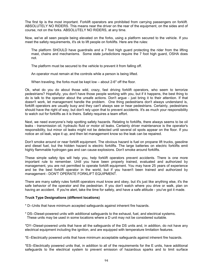The first tip is the most important. Forklift operators are prohibited from carrying passengers on forklift. ABSOLUTELY NO RIDERS. This means near the driver on the rear of the equipment, on the sides and of course, not on the forks. ABSOLUTELY NO RIDERS, at any time.

Now, we've all seen people being elevated on the forks, using a platform secured to the vehicle. If you meet the safety requirements, it's ok to lift people on forklifts. Here are the rules:

The platform SHOULD have guardrails and a 7 foot high guard protecting the rider from the lifting mast, chains and mechanisms. Some state jurisdictions require the 7 foot high guard, OSHA does not.

The platform must be secured to the vehicle to prevent it from falling off.

An operator must remain at the controls while a person is being lifted.

When traveling, the forks must be kept low – about 2-6" off the floor.

Ok, what do you do about those wild, crazy, fast driving forklift operators, who seem to terrorize pedestrians? Hopefully, you don't have those people working with you, but if it happens, the best thing to do is talk to the operator about the unsafe actions. Don't argue - just bring it to their attention. If that doesn't work, let management handle the problem. One thing pedestrians don't always understand is, forklift operators are usually busy and they can't always see or hear pedestrians. Certainly, pedestrians should have the right of way, but don't rely upon that to prevent accidents. It's as much your responsibility to watch out for forklifts as it is theirs. Safety requires a team effort.

Next, we need everyone's help spotting safety hazards. Relating to forklifts, there always seems to be oil leaks - transmission oil, hydraulic fluid or motor oil leaks. Certainly driver maintenance is the operator's responsibility, but minor oil leaks might not be detected until several oil spots appear on the floor. If you notice an oil leak, wipe it up, and then let management know so the leak can be repaired.

Don't smoke around or near forklift equipment. The obvious hazard is fuel on propane lift trucks, gasoline and diesel fuel, but the hidden hazard is electric forklifts. The large batteries on electric forklifts emit highly flammable hydrogen gas and can cause explosions. Don't smoke around forklifts.

These simple safety tips will help you, help forklift operators prevent accidents. There is one more important rule to remember. Until you have been properly trained, evaluated and authorized by management, you are not permitted to operate forklift equipment. You may have 25 years of experience and be the best forklift operator in the world, but if you haven't been trained and authorized by management - DON'T OPERATE FORKLIFT EQUIPMENT.

There are many safety rules forklift operators must know and obey, but it's just like anything else, it's the safe behavior of the operator and the pedestrian. If you don't watch where you drive or walk, plan on having an accident. If you're alert, take the time for safety, and have a safe attitude - you've got it made.

# **Truck Type Designations (different locations)**

\* D--Units that have minimum accepted safeguards against inherent fire hazards.

\* DS--Diesel-powered units with additional safeguards to the exhaust, fuel, and electrical systems. These units may be used in some locations where a D unit may not be considered suitable.

\*DY--Diesel-powered units that have all the safeguards of the DS units and, in addition, do not have any electrical equipment including the ignition, and are equipped with temperature limitation features.

\*E--Electrically powered units that have minimum acceptable safeguards against inherent fire hazards.

\*ES--Electrically powered units that, in addition to all of the requirements for the E units, have additional safeguards to the electrical system to prevent emission of hazardous sparks and to limit surface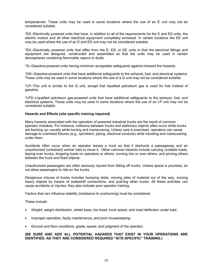temperatures. These units may be used in some locations where the use of an E unit may not be considered suitable.

\*EE--Electrically powered units that have, in addition to all of the requirements for the E and ES units, the electric motors and all other electrical equipment completely enclosed. In certain locations the EE unit may be used where the use of an E and ES unit may not be considered suitable.

\*EX--Electrically powered units that differ from the E, ES, or EE units in that the electrical fittings and equipment are designed, constructed and assembled so that the units may be used in certain atmospheres containing flammable vapors or dusts.

\*G--Gasoline-powered units having minimum acceptable safeguards against inherent fire hazards.

\*GS--Gasoline-powered units that have additional safeguards to the exhaust, fuel, and electrical systems. These units may be used in some locations where the use of a G unit may not be considered suitable.

\*LP--This unit is similar to the G unit, except that liquefied petroleum gas is used for fuel instead of gasoline.

\*LPS--Liquefied petroleum gas-powered units that have additional safeguards to the exhaust, fuel, and electrical systems. These units may be used in some locations where the use of an LP unit may not be considered suitable.

#### **Hazards and Effects (site specific training required)**

Many hazards associated with the operation of powered industrial trucks are the result of common operator mistakes. For instance, collisions between trucks and stationary objects often occur while trucks are backing up--usually while turning and maneuvering. Unless care is exercised, operators can cause damage to overhead fixtures (e.g., sprinklers, piping, electrical conduits) while traveling and maneuvering under them.

Accidents often occur when an operator leaves a truck so that it obstructs a passageway and an unauthorized (untrained) worker tries to move it. Other common hazards include carrying unstable loads, tipping over trucks, dropping loads on operators or others, running into or over others, and pinning others between the truck and fixed objects.

Unauthorized passengers are often seriously injured from falling off trucks. Unless space is provided, do not allow passengers to ride on the trucks.

Dangerous misuse of trucks includes bumping skids, moving piles of material out of the way, moving heavy objects by means of makeshift connections, and pushing other trucks. All these activities can cause accidents or injuries; they also indicate poor operator training.

Factors that can influence stability (resistance to overturning) must be considered.

These include:

- Weight, weight distribution, wheel base, tire tread, truck speed, and mast deflection under load.
- Improper operation, faulty maintenance, and poor housekeeping.
- Ground and floor conditions, grade, speed, and judgment of the operator.

# **(BE SURE AND ADD ALL POTENTIAL HAZARDS THAT EXIST IN YOUR OPERATIONS ARE IDENTIFIED, AS THEY ARE CONSIDERED REQUIRED "SITE-SPECIFIC" TRAINING.)**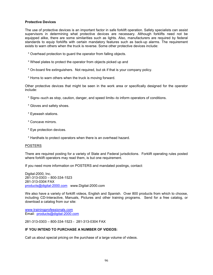# **Protective Devices**

The use of protective devices is an important factor in safe forklift operation. Safety specialists can assist supervisors in determining what protective devices are necessary. Although forklifts need not be equipped alike, there are some similarities such as lights. Also, manufacturers are required by federal standards to equip forklifts with certain mandatory features such as back-up alarms. The requirement exists to warn others when the truck is reverse. Some other protective devices include:

- \* Overhead protection to guard the operator from falling objects.
- \* Wheel plates to protect the operator from objects picked up and
- \* On-board fire extinguishers. Not required, but ok if that is your company policy.
- \* Horns to warn others when the truck is moving forward.

Other protective devices that might be seen in the work area or specifically designed for the operator include:

- \* Signs--such as stop, caution, danger, and speed limits--to inform operators of conditions.
- \* Gloves and safety shoes.
- \* Eyewash stations.
- \* Concave mirrors.
- \* Eye protection devices.
- \* Hardhats to protect operators when there is an overhead hazard.

# **POSTERS**

There are required posting for a variety of State and Federal jurisdictions. Forklift operating rules posted where forklift operators may read them, is but one requirement.

If you need more information on POSTERS and mandated postings, contact:

Digital-2000, Inc. 281-313-0303 – 800-334-1523 281-313-0304 FAX products@digital-2000.com www.Digital-2000.com

We also have a variety of forklift videos, English and Spanish. Over 800 products from which to choose, including CD-Interactive, Manuals, Pictures and other training programs. Send for a free catalog, or download a catalog from our site:

www.trainingprofessionals.com Email: products@digital-2000.com

281-313-0303 – 800-334-1523 - 281-313-0304 FAX

# **IF YOU INTEND TO PURCHASE A NUMBER OF VIDEOS:**

Call us about special pricing on the purchase of a large volume of videos.